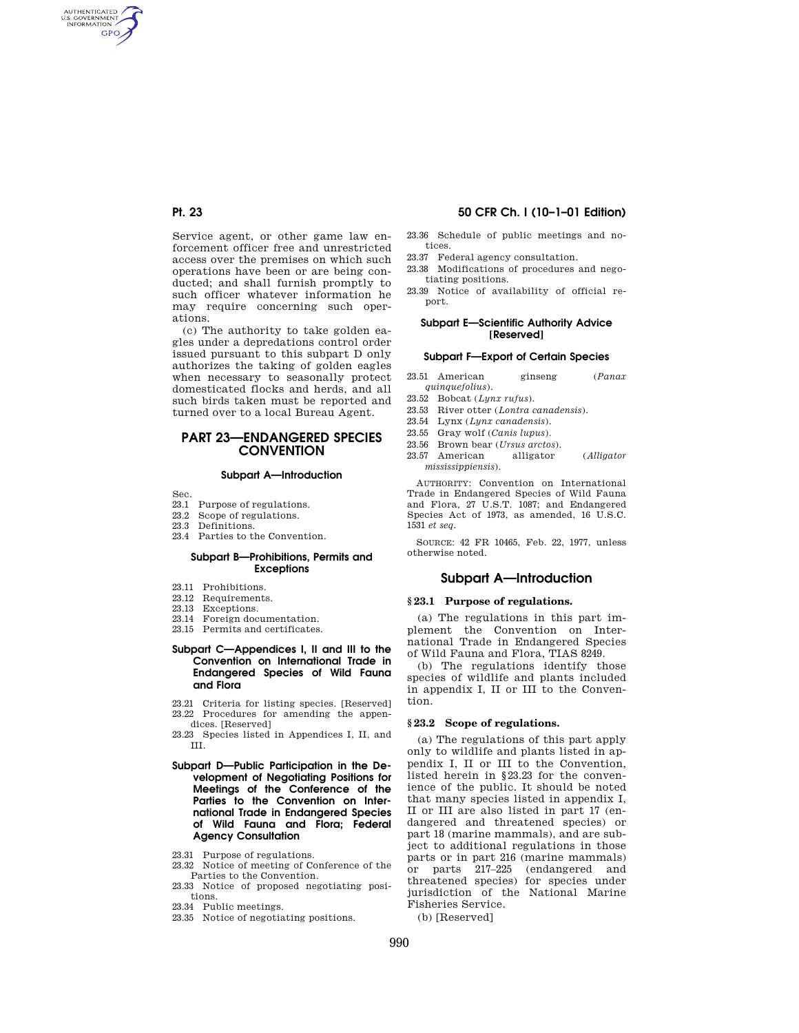Service agent, or other game law enforcement officer free and unrestricted access over the premises on which such operations have been or are being conducted; and shall furnish promptly to such officer whatever information he may require concerning such operations.

(c) The authority to take golden eagles under a depredations control order issued pursuant to this subpart D only authorizes the taking of golden eagles when necessary to seasonally protect domesticated flocks and herds, and all such birds taken must be reported and turned over to a local Bureau Agent.

# **PART 23—ENDANGERED SPECIES CONVENTION**

## **Subpart A—Introduction**

Sec.

- 23.1 Purpose of regulations.
- 23.2 Scope of regulations.
- 23.3 Definitions.
- 23.4 Parties to the Convention.

## **Subpart B—Prohibitions, Permits and Exceptions**

- 23.11 Prohibitions.
- 23.12 Requirements.
- 23.13 Exceptions.
- 23.14 Foreign documentation.
- 23.15 Permits and certificates.

## **Subpart C—Appendices I, II and III to the Convention on International Trade in Endangered Species of Wild Fauna and Flora**

- 23.21 Criteria for listing species. [Reserved] 23.22 Procedures for amending the appendices. [Reserved]
- 23.23 Species listed in Appendices I, II, and III.
- **Subpart D—Public Participation in the Development of Negotiating Positions for Meetings of the Conference of the Parties to the Convention on International Trade in Endangered Species of Wild Fauna and Flora; Federal Agency Consultation**
- 23.31 Purpose of regulations.
- 23.32 Notice of meeting of Conference of the Parties to the Convention.
- 23.33 Notice of proposed negotiating positions.
- 23.34 Public meetings.
- 23.35 Notice of negotiating positions.
- 23.36 Schedule of public meetings and notices.
- 23.37 Federal agency consultation.
- 23.38 Modifications of procedures and negotiating positions.
- 23.39 Notice of availability of official report.

## **Subpart E—Scientific Authority Advice [Reserved]**

## **Subpart F—Export of Certain Species**

- 23.51 American ginseng (*Panax quinquefolius*).
- 23.52 Bobcat (*Lynx rufus*).
- 23.53 River otter (*Lontra canadensis*).
- 23.54 Lynx (*Lynx canadensis*).
- 23.55 Gray wolf (*Canis lupus*).
- 23.56 Brown bear (*Ursus arctos*).
- 23.57 American alligator (*Alligator mississippiensis*).

AUTHORITY: Convention on International Trade in Endangered Species of Wild Fauna and Flora, 27 U.S.T. 1087; and Endangered Species Act of 1973, as amended, 16 U.S.C. 1531 *et seq.*

SOURCE: 42 FR 10465, Feb. 22, 1977, unless otherwise noted.

## **Subpart A—Introduction**

## **§ 23.1 Purpose of regulations.**

(a) The regulations in this part implement the Convention on International Trade in Endangered Species of Wild Fauna and Flora, TIAS 8249.

(b) The regulations identify those species of wildlife and plants included in appendix I, II or III to the Convention.

## **§ 23.2 Scope of regulations.**

(a) The regulations of this part apply only to wildlife and plants listed in appendix I, II or III to the Convention, listed herein in § 23.23 for the convenience of the public. It should be noted that many species listed in appendix I, II or III are also listed in part 17 (endangered and threatened species) or part 18 (marine mammals), and are subject to additional regulations in those parts or in part 216 (marine mammals) or parts 217–225 (endangered and threatened species) for species under jurisdiction of the National Marine Fisheries Service.

(b) [Reserved]



AUTHENTICATED<br>U.S. GOVERNMENT<br>INFORMATION **GPO**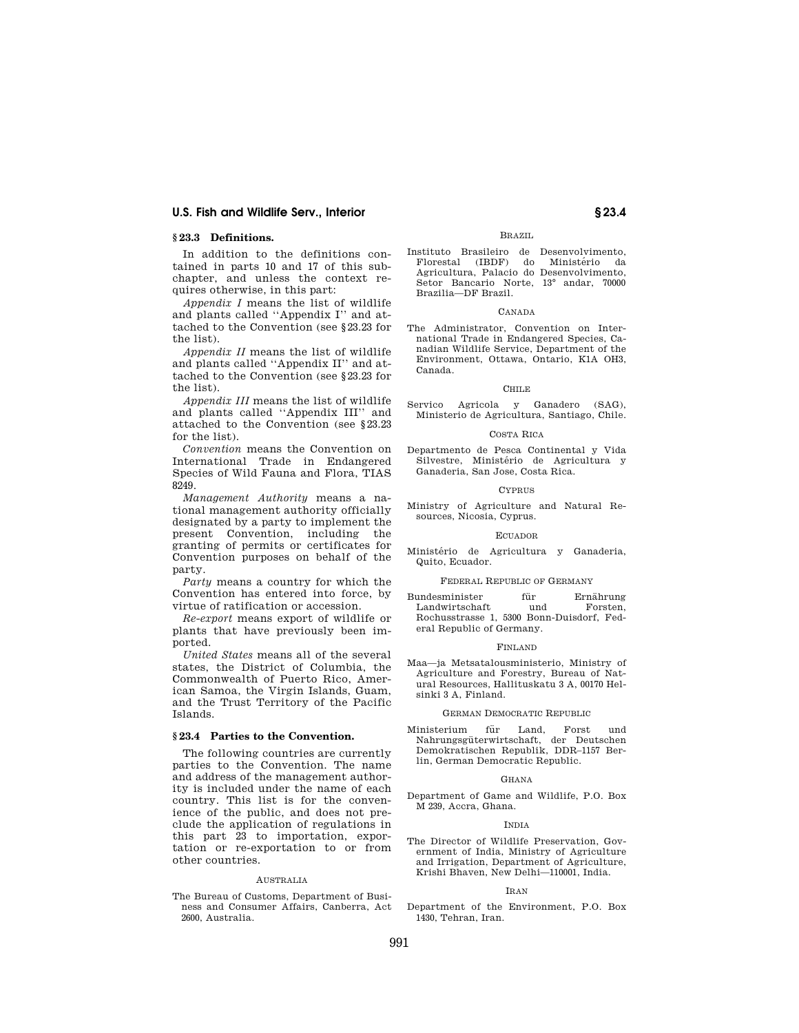## **§ 23.3 Definitions.**

In addition to the definitions contained in parts 10 and 17 of this subchapter, and unless the context requires otherwise, in this part:

*Appendix I* means the list of wildlife and plants called ''Appendix I'' and attached to the Convention (see § 23.23 for the list).

*Appendix II* means the list of wildlife and plants called ''Appendix II'' and attached to the Convention (see § 23.23 for the list).

*Appendix III* means the list of wildlife and plants called ''Appendix III'' and attached to the Convention (see § 23.23 for the list).

*Convention* means the Convention on International Trade in Endangered Species of Wild Fauna and Flora, TIAS 8249.

*Management Authority* means a national management authority officially designated by a party to implement the present Convention, including the granting of permits or certificates for Convention purposes on behalf of the party.

*Party* means a country for which the Convention has entered into force, by virtue of ratification or accession.

*Re-export* means export of wildlife or plants that have previously been imported.

*United States* means all of the several states, the District of Columbia, the Commonwealth of Puerto Rico, American Samoa, the Virgin Islands, Guam, and the Trust Territory of the Pacific Islands.

## **§ 23.4 Parties to the Convention.**

The following countries are currently parties to the Convention. The name and address of the management authority is included under the name of each country. This list is for the convenience of the public, and does not preclude the application of regulations in this part 23 to importation, exportation or re-exportation to or from other countries.

### AUSTRALIA

The Bureau of Customs, Department of Business and Consumer Affairs, Canberra, Act 2600, Australia.

### BRAZIL

Instituto Brasileiro de Desenvolvimento, Florestal (IBDF) do Ministério da Agricultura, Palacio do Desenvolvimento, Setor Bancario Norte, 13° andar, 70000 Brazilia—DF Brazil.

### CANADA

The Administrator, Convention on International Trade in Endangered Species, Canadian Wildlife Service, Department of the Environment, Ottawa, Ontario, K1A OH3, Canada.

### CHILE

Servico Agricola y Ganadero (SAG), Ministerio de Agricultura, Santiago, Chile.

### COSTA RICA

Departmento de Pesca Continental y Vida Silvestre, Ministério de Agricultura y Ganaderia, San Jose, Costa Rica.

### **CYPRUS**

Ministry of Agriculture and Natural Resources, Nicosia, Cyprus.

### ECUADOR

Ministério de Agricultura y Ganaderia, Quito, Ecuador.

### FEDERAL REPUBLIC OF GERMANY

Bundesminister für Ernährung<br>Landwirtschaft und Forsten Landwirtschaft und Forsten Rochusstrasse 1, 5300 Bonn-Duisdorf, Federal Republic of Germany.

## FINLAND

Maa—ja Metsatalousministerio, Ministry of Agriculture and Forestry, Bureau of Natural Resources, Hallituskatu 3 A, 00170 Helsinki 3 A, Finland.

### GERMAN DEMOCRATIC REPUBLIC

Ministerium für Land, Forst und Nahrungsgüterwirtschaft, der Deutschen Demokratischen Republik, DDR–1157 Berlin, German Democratic Republic.

### GHANA

Department of Game and Wildlife, P.O. Box M 239, Accra, Ghana.

### INDIA

The Director of Wildlife Preservation, Government of India, Ministry of Agriculture and Irrigation, Department of Agriculture, Krishi Bhaven, New Delhi—110001, India.

## IRAN

Department of the Environment, P.O. Box 1430, Tehran, Iran.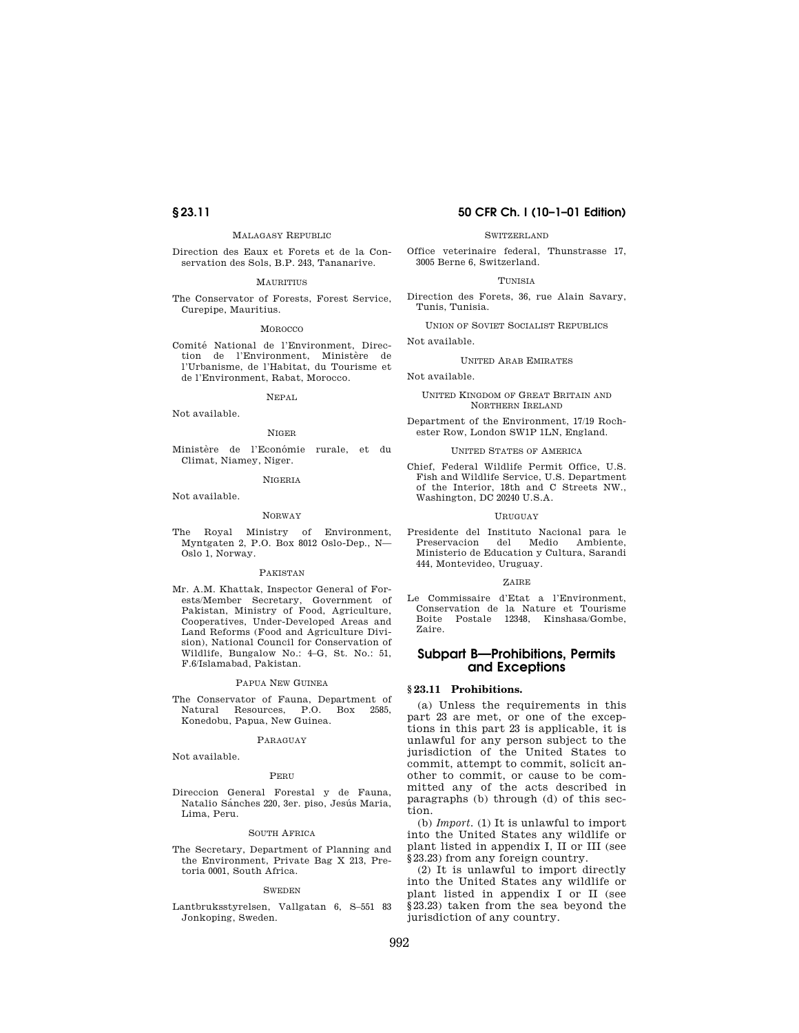## MALAGASY REPUBLIC

Direction des Eaux et Forets et de la Conservation des Sols, B.P. 243, Tananarive.

## **MAURITIUS**

The Conservator of Forests, Forest Service, Curepipe, Mauritius.

### **MOROCCO**

Comité National de l'Environment. Direction de l'Environment, Ministère de l'Urbanisme, de l'Habitat, du Tourisme et de l'Environment, Rabat, Morocco.

## NEPAL

Not available.

### NIGER

Ministère de l'Económie rurale, et du Climat, Niamey, Niger.

## NIGERIA

## Not available.

## NORWAY

The Royal Ministry of Environment, Myntgaten 2, P.O. Box 8012 Oslo-Dep., N— Oslo 1, Norway.

### PAKISTAN

Mr. A.M. Khattak, Inspector General of Forests/Member Secretary, Government of Pakistan, Ministry of Food, Agriculture, Cooperatives, Under-Developed Areas and Land Reforms (Food and Agriculture Division), National Council for Conservation of Wildlife, Bungalow No.: 4–G, St. No.: 51, F.6/Islamabad, Pakistan.

## PAPUA NEW GUINEA

The Conservator of Fauna, Department of<br>Natural Resources. P.O. Box 2585. Natural Resources, P.O. Box 2585, Konedobu, Papua, New Guinea.

### PARAGUAY

Not available.

### PERU

Direccion General Forestal y de Fauna, Natalio Sánches 220, 3er. piso, Jesús Maria, Lima, Peru.

### SOUTH AFRICA

The Secretary, Department of Planning and the Environment, Private Bag X 213, Pretoria 0001, South Africa.

### SWEDEN

Lantbruksstyrelsen, Vallgatan 6, S–551 83 Jonkoping, Sweden.

# **§ 23.11 50 CFR Ch. I (10–1–01 Edition)**

## SWITZERLAND

Office veterinaire federal, Thunstrasse 17, 3005 Berne 6, Switzerland.

## **TUNISIA**

Direction des Forets, 36, rue Alain Savary, Tunis, Tunisia.

UNION OF SOVIET SOCIALIST REPUBLICS

### Not available.

### UNITED ARAB EMIRATES

Not available.

UNITED KINGDOM OF GREAT BRITAIN AND NORTHERN IRELAND

Department of the Environment, 17/19 Rochester Row, London SW1P 1LN, England.

UNITED STATES OF AMERICA

Chief, Federal Wildlife Permit Office, U.S. Fish and Wildlife Service, U.S. Department of the Interior, 18th and C Streets NW., Washington, DC 20240 U.S.A.

## URUGUAY

Presidente del Instituto Nacional para le Preservacion Ministerio de Education y Cultura, Sarandi 444, Montevideo, Uruguay.

## ZAIRE

Le Commissaire d'Etat a l'Environment, Conservation de la Nature et Tourisme Boite Postale 12348, Kinshasa/Gombe, Zaire.

# **Subpart B—Prohibitions, Permits and Exceptions**

## **§ 23.11 Prohibitions.**

(a) Unless the requirements in this part 23 are met, or one of the exceptions in this part 23 is applicable, it is unlawful for any person subject to the jurisdiction of the United States to commit, attempt to commit, solicit another to commit, or cause to be committed any of the acts described in paragraphs (b) through (d) of this section.

(b) *Import.* (1) It is unlawful to import into the United States any wildlife or plant listed in appendix I, II or III (see § 23.23) from any foreign country.

(2) It is unlawful to import directly into the United States any wildlife or plant listed in appendix I or II (see § 23.23) taken from the sea beyond the jurisdiction of any country.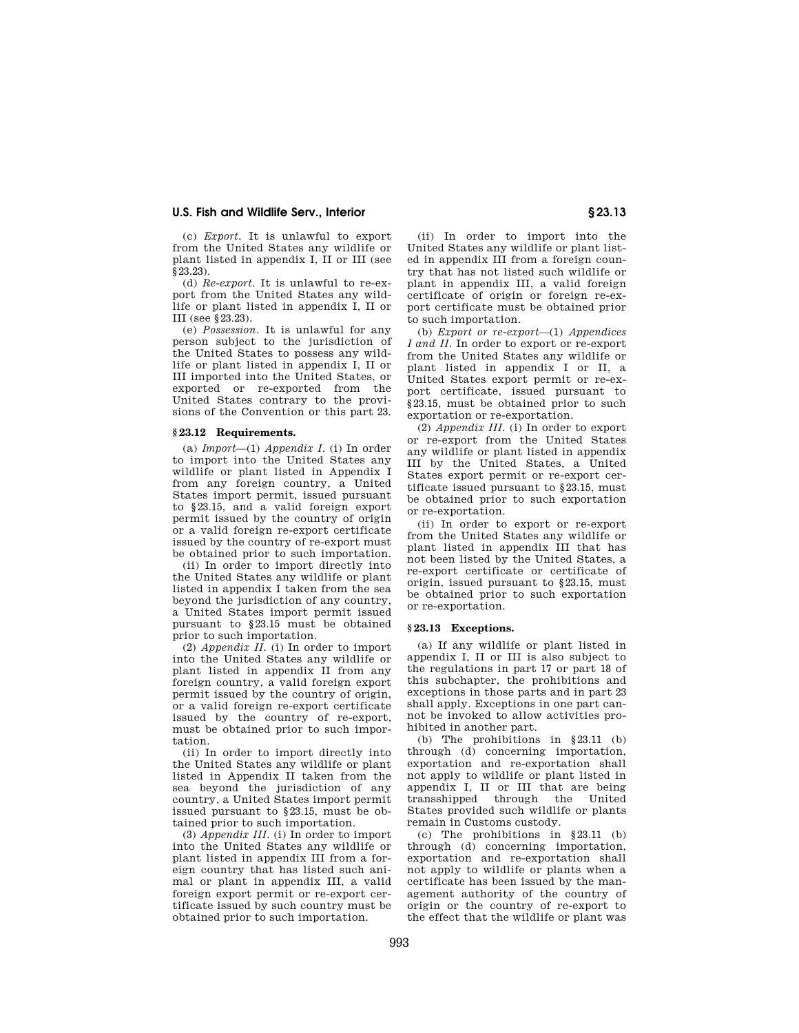(c) *Export.* It is unlawful to export from the United States any wildlife or plant listed in appendix I, II or III (see  $\S$  23.23).

(d) *Re-export.* It is unlawful to re-export from the United States any wildlife or plant listed in appendix I, II or III (see § 23.23).

(e) *Possession.* It is unlawful for any person subject to the jurisdiction of the United States to possess any wildlife or plant listed in appendix I, II or III imported into the United States, or exported or re-exported from the United States contrary to the provisions of the Convention or this part 23.

### **§ 23.12 Requirements.**

(a) *Import*—(1) *Appendix I.* (i) In order to import into the United States any wildlife or plant listed in Appendix I from any foreign country, a United States import permit, issued pursuant to § 23.15, and a valid foreign export permit issued by the country of origin or a valid foreign re-export certificate issued by the country of re-export must be obtained prior to such importation.

(ii) In order to import directly into the United States any wildlife or plant listed in appendix I taken from the sea beyond the jurisdiction of any country, a United States import permit issued pursuant to § 23.15 must be obtained prior to such importation.

(2) *Appendix II.* (i) In order to import into the United States any wildlife or plant listed in appendix II from any foreign country, a valid foreign export permit issued by the country of origin, or a valid foreign re-export certificate issued by the country of re-export, must be obtained prior to such importation.

(ii) In order to import directly into the United States any wildlife or plant listed in Appendix II taken from the sea beyond the jurisdiction of any country, a United States import permit issued pursuant to § 23.15, must be obtained prior to such importation.

(3) *Appendix III.* (i) In order to import into the United States any wildlife or plant listed in appendix III from a foreign country that has listed such animal or plant in appendix III, a valid foreign export permit or re-export certificate issued by such country must be obtained prior to such importation.

(ii) In order to import into the United States any wildlife or plant listed in appendix III from a foreign country that has not listed such wildlife or plant in appendix III, a valid foreign certificate of origin or foreign re-export certificate must be obtained prior to such importation.

(b) *Export or re-export*—(1) *Appendices I and II.* In order to export or re-export from the United States any wildlife or plant listed in appendix I or II, a United States export permit or re-export certificate, issued pursuant to § 23.15, must be obtained prior to such exportation or re-exportation.

(2) *Appendix III.* (i) In order to export or re-export from the United States any wildlife or plant listed in appendix III by the United States, a United States export permit or re-export certificate issued pursuant to § 23.15, must be obtained prior to such exportation or re-exportation.

(ii) In order to export or re-export from the United States any wildlife or plant listed in appendix III that has not been listed by the United States, a re-export certificate or certificate of origin, issued pursuant to § 23.15, must be obtained prior to such exportation or re-exportation.

## **§ 23.13 Exceptions.**

(a) If any wildlife or plant listed in appendix I, II or III is also subject to the regulations in part 17 or part 18 of this subchapter, the prohibitions and exceptions in those parts and in part 23 shall apply. Exceptions in one part cannot be invoked to allow activities prohibited in another part.

(b) The prohibitions in § 23.11 (b) through (d) concerning importation, exportation and re-exportation shall not apply to wildlife or plant listed in appendix I, II or III that are being transshipped through the United States provided such wildlife or plants remain in Customs custody.

(c) The prohibitions in § 23.11 (b) through (d) concerning importation, exportation and re-exportation shall not apply to wildlife or plants when a certificate has been issued by the management authority of the country of origin or the country of re-export to the effect that the wildlife or plant was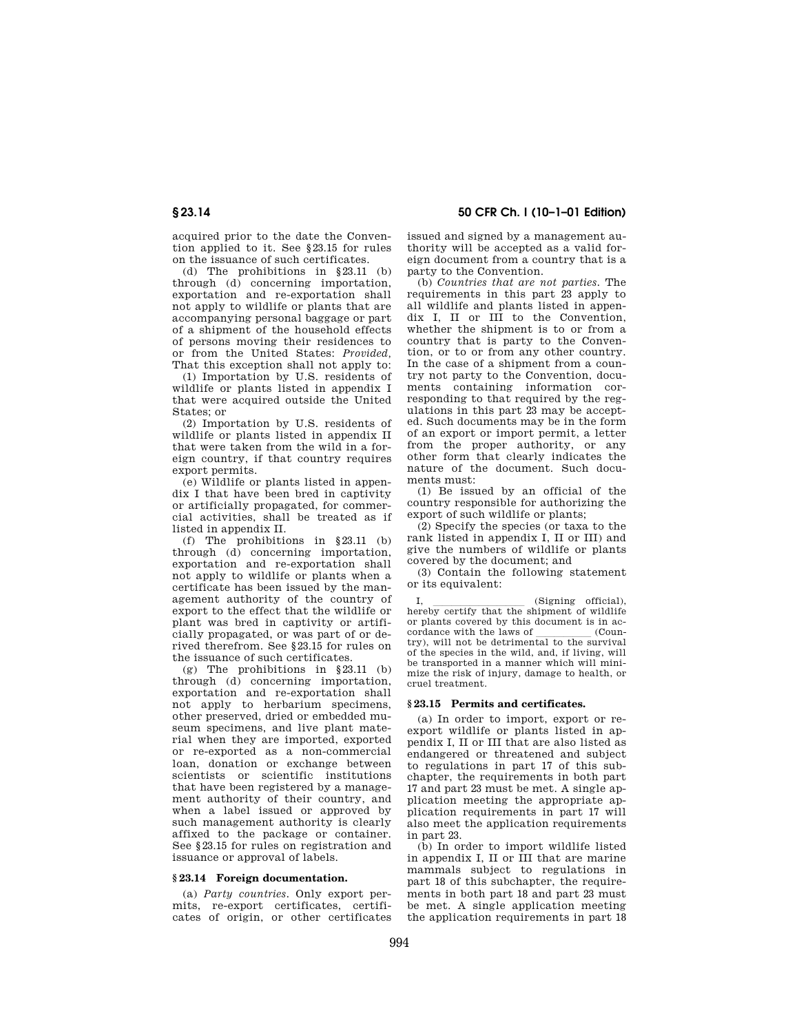acquired prior to the date the Convention applied to it. See § 23.15 for rules on the issuance of such certificates.

(d) The prohibitions in § 23.11 (b) through (d) concerning importation, exportation and re-exportation shall not apply to wildlife or plants that are accompanying personal baggage or part of a shipment of the household effects of persons moving their residences to or from the United States: *Provided,* That this exception shall not apply to:

(1) Importation by U.S. residents of wildlife or plants listed in appendix I that were acquired outside the United States; or

(2) Importation by U.S. residents of wildlife or plants listed in appendix II that were taken from the wild in a foreign country, if that country requires export permits.

(e) Wildlife or plants listed in appendix I that have been bred in captivity or artificially propagated, for commercial activities, shall be treated as if listed in appendix II.

(f) The prohibitions in § 23.11 (b) through (d) concerning importation, exportation and re-exportation shall not apply to wildlife or plants when a certificate has been issued by the management authority of the country of export to the effect that the wildlife or plant was bred in captivity or artificially propagated, or was part of or derived therefrom. See § 23.15 for rules on the issuance of such certificates.

 $(g)$  The prohibitions in §23.11 (b) through (d) concerning importation, exportation and re-exportation shall not apply to herbarium specimens, other preserved, dried or embedded museum specimens, and live plant material when they are imported, exported or re-exported as a non-commercial loan, donation or exchange between scientists or scientific institutions that have been registered by a management authority of their country, and when a label issued or approved by such management authority is clearly affixed to the package or container. See § 23.15 for rules on registration and issuance or approval of labels.

## **§ 23.14 Foreign documentation.**

(a) *Party countries.* Only export permits, re-export certificates, certificates of origin, or other certificates

**§ 23.14 50 CFR Ch. I (10–1–01 Edition)**

issued and signed by a management authority will be accepted as a valid foreign document from a country that is a party to the Convention.

(b) *Countries that are not parties.* The requirements in this part 23 apply to all wildlife and plants listed in appendix I, II or III to the Convention, whether the shipment is to or from a country that is party to the Convention, or to or from any other country. In the case of a shipment from a country not party to the Convention, documents containing information corresponding to that required by the regulations in this part 23 may be accepted. Such documents may be in the form of an export or import permit, a letter from the proper authority, or any other form that clearly indicates the nature of the document. Such documents must:

(1) Be issued by an official of the country responsible for authorizing the export of such wildlife or plants;

(2) Specify the species (or taxa to the rank listed in appendix I, II or III) and give the numbers of wildlife or plants covered by the document; and

(3) Contain the following statement or its equivalent:

I, (Signing official), hereby certify that the shipment of wildlife or plants covered by this document is in accordance with the laws of  $\frac{\text{(Coun-}}{\text{try})}$ , will not be detrimental to the survival of the species in the wild, and, if living, will be transported in a manner which will minimize the risk of injury, damage to health, or cruel treatment.

## **§ 23.15 Permits and certificates.**

(a) In order to import, export or reexport wildlife or plants listed in appendix I, II or III that are also listed as endangered or threatened and subject to regulations in part 17 of this subchapter, the requirements in both part 17 and part 23 must be met. A single application meeting the appropriate application requirements in part 17 will also meet the application requirements in part 23.

(b) In order to import wildlife listed in appendix I, II or III that are marine mammals subject to regulations in part 18 of this subchapter, the requirements in both part 18 and part 23 must be met. A single application meeting the application requirements in part 18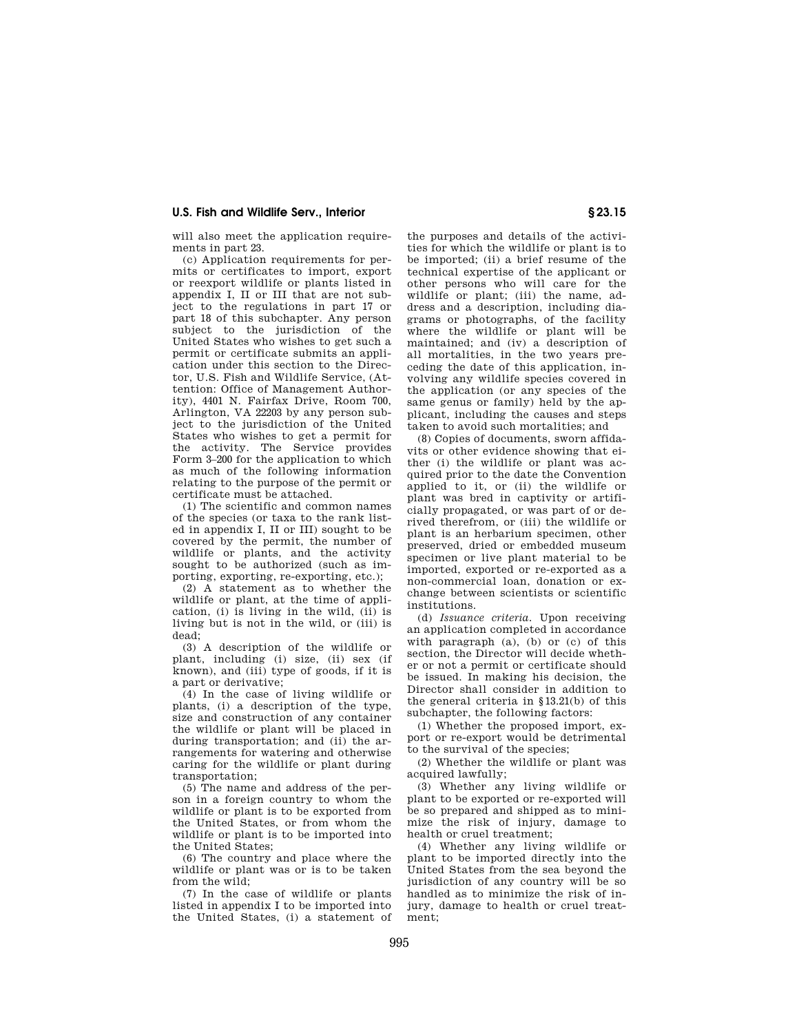will also meet the application requirements in part 23.

(c) Application requirements for permits or certificates to import, export or reexport wildlife or plants listed in appendix I, II or III that are not subject to the regulations in part 17 or part 18 of this subchapter. Any person subject to the jurisdiction of the United States who wishes to get such a permit or certificate submits an application under this section to the Director, U.S. Fish and Wildlife Service, (Attention: Office of Management Authority), 4401 N. Fairfax Drive, Room 700, Arlington, VA 22203 by any person subject to the jurisdiction of the United States who wishes to get a permit for the activity. The Service provides Form 3-200 for the application to which as much of the following information relating to the purpose of the permit or certificate must be attached.

(1) The scientific and common names of the species (or taxa to the rank listed in appendix I, II or III) sought to be covered by the permit, the number of wildlife or plants, and the activity sought to be authorized (such as importing, exporting, re-exporting, etc.);

(2) A statement as to whether the wildlife or plant, at the time of application, (i) is living in the wild, (ii) is living but is not in the wild, or (iii) is dead;

(3) A description of the wildlife or plant, including (i) size, (ii) sex (if known), and (iii) type of goods, if it is a part or derivative;

(4) In the case of living wildlife or plants, (i) a description of the type, size and construction of any container the wildlife or plant will be placed in during transportation; and (ii) the arrangements for watering and otherwise caring for the wildlife or plant during transportation;

(5) The name and address of the person in a foreign country to whom the wildlife or plant is to be exported from the United States, or from whom the wildlife or plant is to be imported into the United States;

(6) The country and place where the wildlife or plant was or is to be taken from the wild;

(7) In the case of wildlife or plants listed in appendix I to be imported into the United States, (i) a statement of

the purposes and details of the activities for which the wildlife or plant is to be imported; (ii) a brief resume of the technical expertise of the applicant or other persons who will care for the wildlife or plant; (iii) the name, address and a description, including diagrams or photographs, of the facility where the wildlife or plant will be maintained; and (iv) a description of all mortalities, in the two years preceding the date of this application, involving any wildlife species covered in the application (or any species of the same genus or family) held by the applicant, including the causes and steps taken to avoid such mortalities; and

(8) Copies of documents, sworn affidavits or other evidence showing that either (i) the wildlife or plant was acquired prior to the date the Convention applied to it, or (ii) the wildlife or plant was bred in captivity or artificially propagated, or was part of or derived therefrom, or (iii) the wildlife or plant is an herbarium specimen, other preserved, dried or embedded museum specimen or live plant material to be imported, exported or re-exported as a non-commercial loan, donation or exchange between scientists or scientific institutions.

(d) *Issuance criteria.* Upon receiving an application completed in accordance with paragraph (a), (b) or (c) of this section, the Director will decide whether or not a permit or certificate should be issued. In making his decision, the Director shall consider in addition to the general criteria in § 13.21(b) of this subchapter, the following factors:

(1) Whether the proposed import, export or re-export would be detrimental to the survival of the species;

(2) Whether the wildlife or plant was acquired lawfully;

(3) Whether any living wildlife or plant to be exported or re-exported will be so prepared and shipped as to minimize the risk of injury, damage to health or cruel treatment;

(4) Whether any living wildlife or plant to be imported directly into the United States from the sea beyond the jurisdiction of any country will be so handled as to minimize the risk of injury, damage to health or cruel treatment;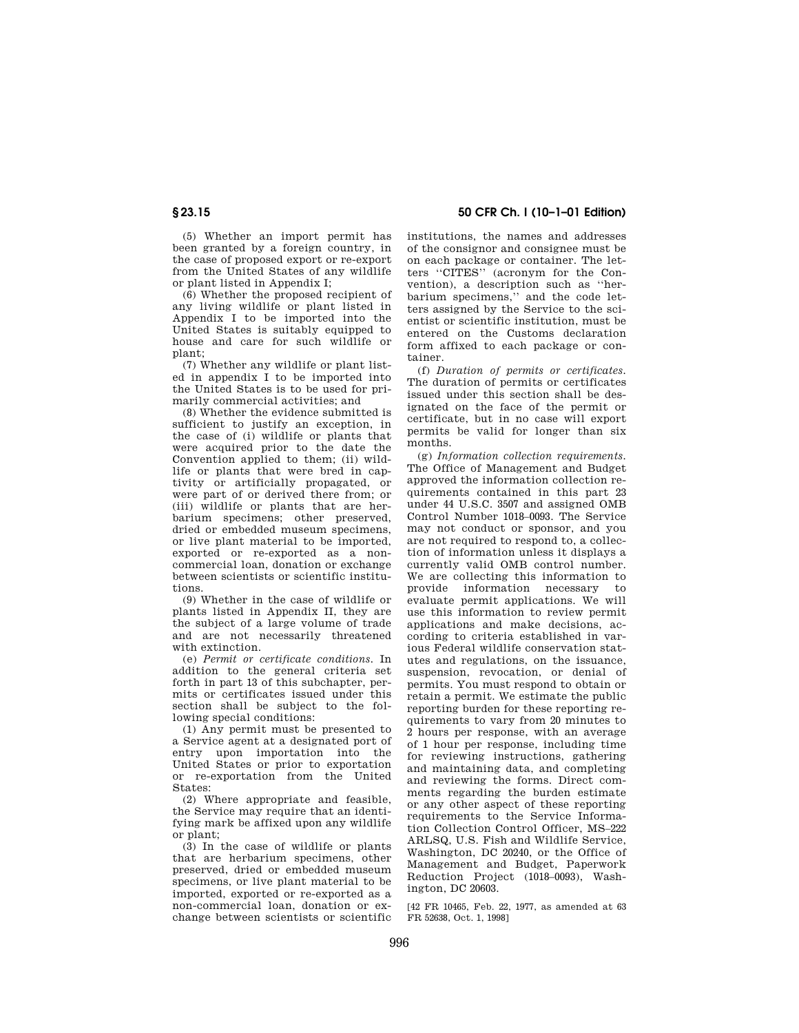(5) Whether an import permit has been granted by a foreign country, in the case of proposed export or re-export from the United States of any wildlife or plant listed in Appendix I;

(6) Whether the proposed recipient of any living wildlife or plant listed in Appendix I to be imported into the United States is suitably equipped to house and care for such wildlife or plant;

(7) Whether any wildlife or plant listed in appendix I to be imported into the United States is to be used for primarily commercial activities; and

(8) Whether the evidence submitted is sufficient to justify an exception, in the case of (i) wildlife or plants that were acquired prior to the date the Convention applied to them; (ii) wildlife or plants that were bred in captivity or artificially propagated, or were part of or derived there from; or (iii) wildlife or plants that are herbarium specimens; other preserved, dried or embedded museum specimens, or live plant material to be imported, exported or re-exported as a noncommercial loan, donation or exchange between scientists or scientific institutions.

(9) Whether in the case of wildlife or plants listed in Appendix II, they are the subject of a large volume of trade and are not necessarily threatened with extinction.

(e) *Permit or certificate conditions.* In addition to the general criteria set forth in part 13 of this subchapter, permits or certificates issued under this section shall be subject to the following special conditions:

(1) Any permit must be presented to a Service agent at a designated port of entry upon importation into the United States or prior to exportation or re-exportation from the United States:

(2) Where appropriate and feasible, the Service may require that an identifying mark be affixed upon any wildlife or plant;

(3) In the case of wildlife or plants that are herbarium specimens, other preserved, dried or embedded museum specimens, or live plant material to be imported, exported or re-exported as a non-commercial loan, donation or exchange between scientists or scientific

**§ 23.15 50 CFR Ch. I (10–1–01 Edition)**

institutions, the names and addresses of the consignor and consignee must be on each package or container. The letters ''CITES'' (acronym for the Convention), a description such as ''herbarium specimens,'' and the code letters assigned by the Service to the scientist or scientific institution, must be entered on the Customs declaration form affixed to each package or container.

(f) *Duration of permits or certificates.* The duration of permits or certificates issued under this section shall be designated on the face of the permit or certificate, but in no case will export permits be valid for longer than six months.

(g) *Information collection requirements.* The Office of Management and Budget approved the information collection requirements contained in this part 23 under 44 U.S.C. 3507 and assigned OMB Control Number 1018–0093. The Service may not conduct or sponsor, and you are not required to respond to, a collection of information unless it displays a currently valid OMB control number. We are collecting this information to provide information necessary to evaluate permit applications. We will use this information to review permit applications and make decisions, according to criteria established in various Federal wildlife conservation statutes and regulations, on the issuance, suspension, revocation, or denial of permits. You must respond to obtain or retain a permit. We estimate the public reporting burden for these reporting requirements to vary from 20 minutes to 2 hours per response, with an average of 1 hour per response, including time for reviewing instructions, gathering and maintaining data, and completing and reviewing the forms. Direct comments regarding the burden estimate or any other aspect of these reporting requirements to the Service Information Collection Control Officer, MS–222 ARLSQ, U.S. Fish and Wildlife Service, Washington, DC 20240, or the Office of Management and Budget, Paperwork Reduction Project (1018–0093), Washington, DC 20603.

[42 FR 10465, Feb. 22, 1977, as amended at 63 FR 52638, Oct. 1, 1998]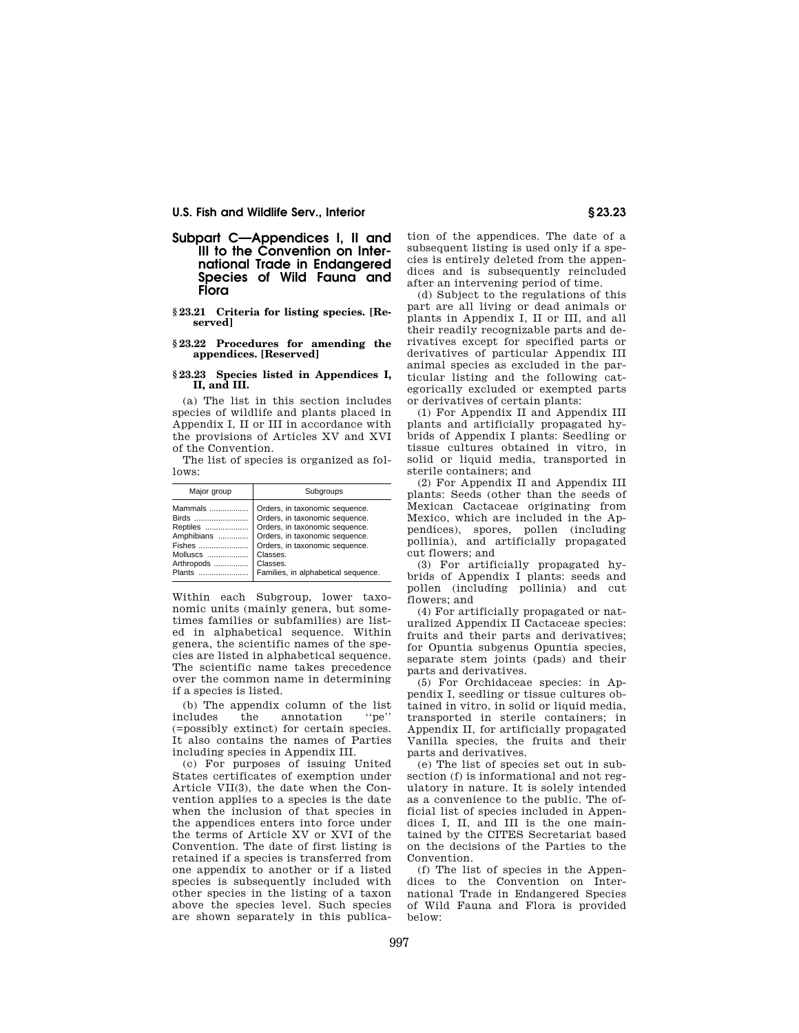# **Subpart C—Appendices I, II and III to the Convention on International Trade in Endangered Species of Wild Fauna and Flora**

**§ 23.21 Criteria for listing species. [Reserved]**

## **§ 23.22 Procedures for amending the appendices. [Reserved]**

## **§ 23.23 Species listed in Appendices I, II, and III.**

(a) The list in this section includes species of wildlife and plants placed in Appendix I, II or III in accordance with the provisions of Articles XV and XVI of the Convention.

The list of species is organized as follows:

| Major group     | Subgroups                           |
|-----------------|-------------------------------------|
| Mammals         | Orders, in taxonomic sequence.      |
| Birds           | Orders, in taxonomic sequence.      |
| Reptiles        | Orders, in taxonomic sequence.      |
| Amphibians      | Orders, in taxonomic sequence.      |
| Fishes          | Orders, in taxonomic sequence.      |
| <b>Molluscs</b> | Classes.                            |
| Arthropods      | Classes.                            |
| Plants          | Families, in alphabetical sequence. |

Within each Subgroup, lower taxonomic units (mainly genera, but sometimes families or subfamilies) are listed in alphabetical sequence. Within genera, the scientific names of the species are listed in alphabetical sequence. The scientific name takes precedence over the common name in determining if a species is listed.

(b) The appendix column of the list includes the annotation ''pe'' (=possibly extinct) for certain species. It also contains the names of Parties including species in Appendix III.

(c) For purposes of issuing United States certificates of exemption under Article VII(3), the date when the Convention applies to a species is the date when the inclusion of that species in the appendices enters into force under the terms of Article XV or XVI of the Convention. The date of first listing is retained if a species is transferred from one appendix to another or if a listed species is subsequently included with other species in the listing of a taxon above the species level. Such species are shown separately in this publication of the appendices. The date of a subsequent listing is used only if a species is entirely deleted from the appendices and is subsequently reincluded after an intervening period of time.

(d) Subject to the regulations of this part are all living or dead animals or plants in Appendix I, II or III, and all their readily recognizable parts and derivatives except for specified parts or derivatives of particular Appendix III animal species as excluded in the particular listing and the following categorically excluded or exempted parts or derivatives of certain plants:

(1) For Appendix II and Appendix III plants and artificially propagated hybrids of Appendix I plants: Seedling or tissue cultures obtained in vitro, in solid or liquid media, transported in sterile containers; and

(2) For Appendix II and Appendix III plants: Seeds (other than the seeds of Mexican Cactaceae originating from Mexico, which are included in the Appendices), spores, pollen (including pollinia), and artificially propagated cut flowers; and

(3) For artificially propagated hybrids of Appendix I plants: seeds and pollen (including pollinia) and cut flowers; and

(4) For artificially propagated or naturalized Appendix II Cactaceae species: fruits and their parts and derivatives; for Opuntia subgenus Opuntia species, separate stem joints (pads) and their parts and derivatives.

(5) For Orchidaceae species: in Appendix I, seedling or tissue cultures obtained in vitro, in solid or liquid media, transported in sterile containers; in Appendix II, for artificially propagated Vanilla species, the fruits and their parts and derivatives.

(e) The list of species set out in subsection (f) is informational and not regulatory in nature. It is solely intended as a convenience to the public. The official list of species included in Appendices I, II, and III is the one maintained by the CITES Secretariat based on the decisions of the Parties to the Convention.

(f) The list of species in the Appendices to the Convention on International Trade in Endangered Species of Wild Fauna and Flora is provided below: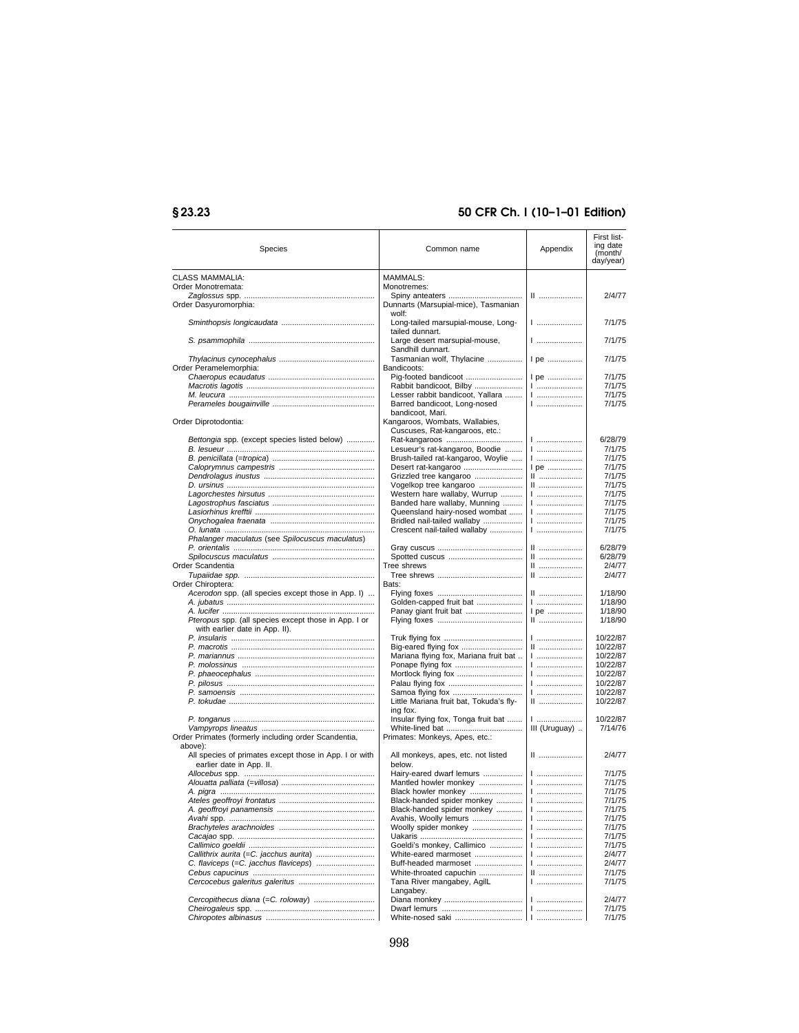| Species                                                         | Common name                                                         | Appendix      | First list-<br>ing date<br>(month/<br>day/year) |
|-----------------------------------------------------------------|---------------------------------------------------------------------|---------------|-------------------------------------------------|
| <b>CLASS MAMMALIA:</b>                                          | MAMMALS:                                                            |               |                                                 |
| Order Monotremata:                                              | Monotremes:                                                         |               |                                                 |
| Order Dasyuromorphia:                                           | Dunnarts (Marsupial-mice), Tasmanian                                |               | 2/4/77                                          |
|                                                                 | wolf:<br>Long-tailed marsupial-mouse, Long-                         |               | 7/1/75                                          |
|                                                                 | tailed dunnart.<br>Large desert marsupial-mouse,                    | 1             | 7/1/75                                          |
|                                                                 | Sandhill dunnart.                                                   |               |                                                 |
|                                                                 | Tasmanian wolf, Thylacine                                           | I pe          | 7/1/75                                          |
| Order Peramelemorphia:                                          | Bandicoots:<br>Pig-footed bandicoot                                 | I pe          | 7/1/75                                          |
|                                                                 | Rabbit bandicoot, Bilby                                             | 1             | 7/1/75                                          |
|                                                                 | Lesser rabbit bandicoot, Yallara                                    | 1             | 7/1/75                                          |
|                                                                 | Barred bandicoot, Long-nosed<br>bandicoot, Mari.                    |               | 7/1/75                                          |
| Order Diprotodontia:                                            | Kangaroos, Wombats, Wallabies,                                      |               |                                                 |
|                                                                 | Cuscuses, Rat-kangaroos, etc.:                                      |               |                                                 |
| Bettongia spp. (except species listed below)                    |                                                                     | 1             | 6/28/79                                         |
|                                                                 | Lesueur's rat-kangaroo, Boodie<br>Brush-tailed rat-kangaroo, Woylie | 1             | 7/1/75<br>7/1/75                                |
|                                                                 | Desert rat-kangaroo                                                 | I pe          | 7/1/75                                          |
|                                                                 | Grizzled tree kangaroo                                              | II            | 7/1/75                                          |
|                                                                 | Vogelkop tree kangaroo                                              | II            | 7/1/75                                          |
|                                                                 | Western hare wallaby, Wurrup                                        |               | 7/1/75                                          |
|                                                                 | Banded hare wallaby, Munning                                        |               | 7/1/75                                          |
|                                                                 | Queensland hairy-nosed wombat                                       | 1             | 7/1/75                                          |
|                                                                 | Bridled nail-tailed wallaby<br>Crescent nail-tailed wallaby         | 1             | 7/1/75<br>7/1/75                                |
| Phalanger maculatus (see Spilocuscus maculatus)                 |                                                                     |               |                                                 |
|                                                                 |                                                                     |               | 6/28/79                                         |
|                                                                 |                                                                     | II            | 6/28/79                                         |
| Order Scandentia                                                | Tree shrews                                                         | II            | 2/4/77                                          |
|                                                                 |                                                                     | II            | 2/4/77                                          |
| Order Chiroptera:                                               | Bats:                                                               |               |                                                 |
| Acerodon spp. (all species except those in App. I)              |                                                                     |               | 1/18/90<br>1/18/90                              |
|                                                                 | Golden-capped fruit bat<br>Panay giant fruit bat                    | 1<br>I pe     | 1/18/90                                         |
| Pteropus spp. (all species except those in App. I or            |                                                                     | II            | 1/18/90                                         |
| with earlier date in App. II).                                  |                                                                     |               | 10/22/87                                        |
|                                                                 | Big-eared flying fox                                                | II            | 10/22/87                                        |
|                                                                 | Mariana flying fox, Mariana fruit bat                               | 1             | 10/22/87                                        |
|                                                                 | Ponape flying fox                                                   | 1             | 10/22/87                                        |
|                                                                 | Mortlock flying fox                                                 |               | 10/22/87                                        |
|                                                                 |                                                                     | 1             | 10/22/87                                        |
|                                                                 | Samoa flying fox                                                    | 1             | 10/22/87                                        |
|                                                                 | Little Mariana fruit bat, Tokuda's fly-<br>ing fox.                 | II            | 10/22/87                                        |
|                                                                 | Insular flying fox, Tonga fruit bat                                 | 1             | 10/22/87                                        |
|                                                                 |                                                                     | III (Uruguay) | 7/14/76                                         |
| Order Primates (formerly including order Scandentia,<br>above): | Primates: Monkeys, Apes, etc.:                                      |               |                                                 |
| All species of primates except those in App. I or with          | All monkeys, apes, etc. not listed                                  | II            | 2/4/77                                          |
| earlier date in App. II.                                        | below.                                                              |               |                                                 |
|                                                                 | Hairy-eared dwarf lemurs<br>Mantled howler monkey                   | 1<br>1        | 7/1/75                                          |
|                                                                 | Black howler monkey                                                 |               | 7/1/75<br>7/1/75                                |
|                                                                 | Black-handed spider monkey                                          |               | 7/1/75                                          |
|                                                                 | Black-handed spider monkey                                          | 1             | 7/1/75                                          |
|                                                                 | Avahis, Woolly lemurs                                               | 1             | 7/1/75                                          |
|                                                                 | Woolly spider monkey                                                |               | 7/1/75                                          |
|                                                                 |                                                                     |               | 7/1/75                                          |
|                                                                 | Goeldi's monkey, Callimico                                          |               | 7/1/75                                          |
| Callithrix aurita (=C. jacchus aurita)                          | White-eared marmoset                                                |               | 2/4/77                                          |
| C. flaviceps (=C. jacchus flaviceps)                            | Buff-headed marmoset                                                |               | 2/4/77                                          |
|                                                                 | White-throated capuchin                                             | II            | 7/1/75                                          |
|                                                                 | Tana River mangabey, AgilL<br>Langabey.                             |               | 7/1/75                                          |
|                                                                 |                                                                     | 1             | 2/4/77                                          |
|                                                                 |                                                                     | 1             | 7/1/75                                          |
|                                                                 |                                                                     |               | 7/1/75                                          |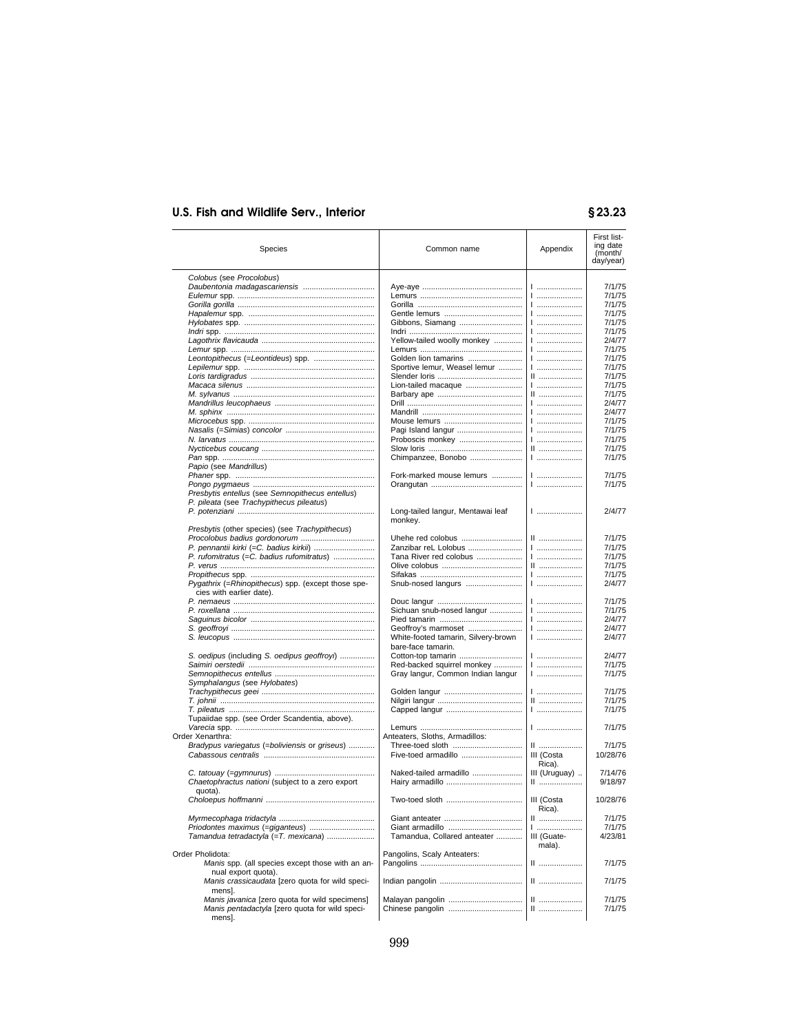| Species                                                  | Common name                         | Appendix      | First list-<br>ing date<br>(month/<br>day/year) |
|----------------------------------------------------------|-------------------------------------|---------------|-------------------------------------------------|
| Colobus (see Procolobus)                                 |                                     |               |                                                 |
|                                                          |                                     | 1             | 7/1/75                                          |
|                                                          |                                     | 1             | 7/1/75                                          |
|                                                          |                                     | 1             | 7/1/75                                          |
|                                                          |                                     | 1             | 7/1/75                                          |
|                                                          | Gibbons, Siamang                    | 1             | 7/1/75                                          |
|                                                          |                                     | 1             | 7/1/75                                          |
|                                                          | Yellow-tailed woolly monkey         | 1             | 2/4/77                                          |
|                                                          |                                     | $\mathsf{L}$  | 7/1/75                                          |
|                                                          | Golden lion tamarins                |               | 7/1/75                                          |
|                                                          | Sportive lemur, Weasel lemur        | 1             | 7/1/75                                          |
|                                                          |                                     | II            | 7/1/75                                          |
|                                                          | Lion-tailed macaque                 |               | 7/1/75                                          |
|                                                          |                                     |               | 7/1/75                                          |
|                                                          |                                     | 1             | 2/4/77                                          |
|                                                          |                                     |               | 2/4/77                                          |
|                                                          |                                     | 1             | 7/1/75                                          |
|                                                          | Pagi Island langur                  | 1             | 7/1/75                                          |
|                                                          | Proboscis monkey                    | $\mathsf{L}$  | 7/1/75                                          |
|                                                          |                                     | II            | 7/1/75                                          |
|                                                          | Chimpanzee, Bonobo                  | 1             | 7/1/75                                          |
| Papio (see Mandrillus)                                   |                                     |               |                                                 |
|                                                          |                                     |               |                                                 |
|                                                          | Fork-marked mouse lemurs            | 1             | 7/1/75                                          |
|                                                          |                                     | $\mathsf{L}$  | 7/1/75                                          |
| Presbytis entellus (see Semnopithecus entellus)          |                                     |               |                                                 |
| P. pileata (see Trachypithecus pileatus)                 |                                     |               |                                                 |
|                                                          | Long-tailed langur, Mentawai leaf   | 1             | 2/4/77                                          |
|                                                          | monkey.                             |               |                                                 |
| Presbytis (other species) (see Trachypithecus)           |                                     |               |                                                 |
|                                                          | Uhehe red colobus                   |               | 7/1/75                                          |
| P. pennantii kirki (=C. badius kirkii)                   | Zanzibar reL Lolobus                | 1             | 7/1/75                                          |
| P. rufomitratus (=C. badius rufomitratus)                | Tana River red colobus              |               | 7/1/75                                          |
|                                                          |                                     | II            | 7/1/75                                          |
|                                                          |                                     | $\mathsf{L}$  | 7/1/75                                          |
| Pygathrix (=Rhinopithecus) spp. (except those spe-       | Snub-nosed langurs                  | 1             | 2/4/77                                          |
| cies with earlier date).                                 |                                     |               |                                                 |
|                                                          |                                     | $\mathsf{L}$  | 7/1/75                                          |
|                                                          | Sichuan snub-nosed langur           | 1             | 7/1/75                                          |
|                                                          |                                     |               | 2/4/77                                          |
|                                                          | Geoffroy's marmoset                 | 1             | 2/4/77                                          |
|                                                          | White-footed tamarin, Silvery-brown |               | 2/4/77                                          |
|                                                          | bare-face tamarin.                  |               |                                                 |
| S. oedipus (including S. oedipus geoffroyi)              | Cotton-top tamarin                  | 1             | 2/4/77                                          |
|                                                          | Red-backed squirrel monkey          | 1             | 7/1/75                                          |
|                                                          | Gray langur, Common Indian langur   | 1             | 7/1/75                                          |
| Symphalangus (see Hylobates)                             |                                     |               |                                                 |
|                                                          |                                     | <u>  </u>     | 7/1/75                                          |
|                                                          |                                     | II            | 7/1/75                                          |
|                                                          |                                     | 1             | 7/1/75                                          |
| Tupaiidae spp. (see Order Scandentia, above).            |                                     |               |                                                 |
|                                                          |                                     | 1             | 7/1/75                                          |
| Order Xenarthra:                                         | Anteaters, Sloths, Armadillos:      |               |                                                 |
|                                                          | Three-toed sloth                    |               |                                                 |
| Bradypus variegatus (=boliviensis or griseus)            |                                     | II            | 7/1/75                                          |
|                                                          | Five-toed armadillo                 | III (Costa    | 10/28/76                                        |
|                                                          |                                     | Rica).        |                                                 |
|                                                          | Naked-tailed armadillo              | III (Uruguay) | 7/14/76                                         |
| Chaetophractus nationi (subject to a zero export         |                                     | II            | 9/18/97                                         |
| quota).                                                  |                                     |               |                                                 |
|                                                          | Two-toed sloth                      | III (Costa    | 10/28/76                                        |
|                                                          |                                     | Rica).        |                                                 |
|                                                          |                                     | II            | 7/1/75                                          |
| Priodontes maximus (=giganteus)                          |                                     | 1             | 7/1/75                                          |
| Tamandua tetradactyla (=T. mexicana)                     | Tamandua, Collared anteater         | III (Guate-   | 4/23/81                                         |
|                                                          |                                     | mala).        |                                                 |
| Order Pholidota:                                         | Pangolins, Scaly Anteaters:         |               |                                                 |
| Manis spp. (all species except those with an an-         |                                     |               | 7/1/75                                          |
| nual export quota).                                      |                                     |               |                                                 |
| Manis crassicaudata [zero quota for wild speci-          |                                     | II            | 7/1/75                                          |
| mens].                                                   |                                     |               |                                                 |
| Manis javanica [zero quota for wild specimens]           |                                     | II            |                                                 |
| Manis pentadactyla [zero quota for wild speci-<br>mens]. | Malayan pangolin                    | II            | 7/1/75<br>7/1/75                                |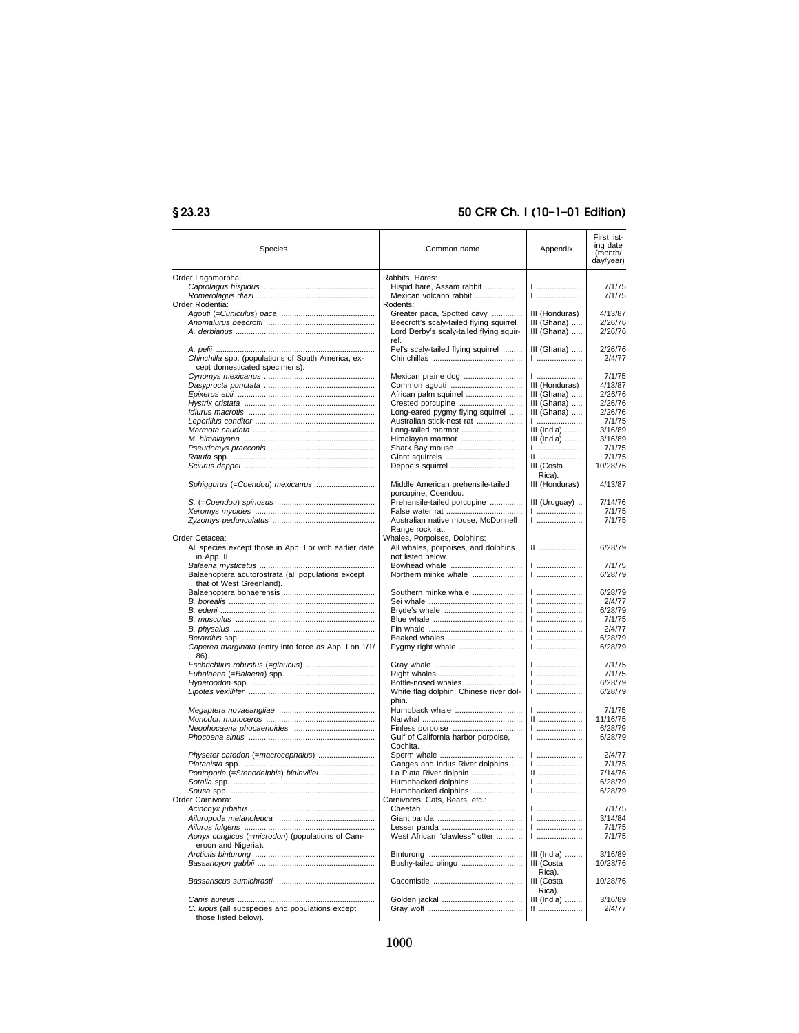| Species                                                                 | Common name                                              | Appendix                      | First list-<br>ing date<br>(month/<br>day/year) |
|-------------------------------------------------------------------------|----------------------------------------------------------|-------------------------------|-------------------------------------------------|
| Order Lagomorpha:                                                       | Rabbits, Hares:                                          |                               |                                                 |
|                                                                         | Hispid hare, Assam rabbit                                | 1                             | 7/1/75                                          |
|                                                                         | Mexican volcano rabbit                                   | 1                             | 7/1/75                                          |
| Order Rodentia:                                                         | Rodents:                                                 |                               |                                                 |
|                                                                         | Greater paca, Spotted cavy                               | III (Honduras)                | 4/13/87                                         |
|                                                                         | Beecroft's scaly-tailed flying squirrel                  | III (Ghana)                   | 2/26/76                                         |
|                                                                         | Lord Derby's scaly-tailed flying squir-                  | III (Ghana)                   | 2/26/76                                         |
|                                                                         | rel.                                                     |                               |                                                 |
| Chinchilla spp. (populations of South America, ex-                      | Pel's scaly-tailed flying squirrel                       | III (Ghana)<br>1              | 2/26/76<br>2/4/77                               |
| cept domesticated specimens).                                           |                                                          |                               |                                                 |
|                                                                         | Mexican prairie dog                                      |                               | 7/1/75<br>4/13/87                               |
|                                                                         | Common agouti                                            | III (Honduras)<br>III (Ghana) |                                                 |
|                                                                         | African palm squirrel                                    |                               | 2/26/76                                         |
|                                                                         | Crested porcupine                                        | III (Ghana)                   | 2/26/76                                         |
|                                                                         | Long-eared pygmy flying squirrel                         | III (Ghana)                   | 2/26/76                                         |
|                                                                         | Australian stick-nest rat                                | 1                             | 7/1/75                                          |
|                                                                         | Long-tailed marmot                                       | $III$ (India)                 | 3/16/89                                         |
|                                                                         | Himalayan marmot                                         | $III$ (India)                 | 3/16/89                                         |
|                                                                         | Shark Bay mouse                                          | 1                             | 7/1/75                                          |
|                                                                         |                                                          | II                            | 7/1/75                                          |
|                                                                         | Deppe's squirrel                                         | III (Costa<br>Rica).          | 10/28/76                                        |
| Sphiggurus (=Coendou) mexicanus                                         | Middle American prehensile-tailed<br>porcupine, Coendou. | III (Honduras)                | 4/13/87                                         |
|                                                                         | Prehensile-tailed porcupine                              | III (Uruguay)                 | 7/14/76                                         |
|                                                                         |                                                          |                               | 7/1/75                                          |
|                                                                         | Australian native mouse, McDonnell                       | 1                             | 7/1/75                                          |
|                                                                         | Range rock rat.                                          |                               |                                                 |
| Order Cetacea:                                                          | Whales, Porpoises, Dolphins:                             |                               |                                                 |
| All species except those in App. I or with earlier date                 | All whales, porpoises, and dolphins                      |                               | 6/28/79                                         |
| in App. II.                                                             | not listed below.                                        |                               |                                                 |
|                                                                         | Bowhead whale                                            | 1                             | 7/1/75                                          |
| Balaenoptera acutorostrata (all populations except                      | Northern minke whale                                     |                               | 6/28/79                                         |
| that of West Greenland).                                                |                                                          |                               |                                                 |
|                                                                         | Southern minke whale                                     |                               | 6/28/79                                         |
|                                                                         |                                                          | 1                             | 2/4/77                                          |
|                                                                         |                                                          | 1                             | 6/28/79                                         |
|                                                                         |                                                          |                               | 7/1/75                                          |
|                                                                         |                                                          |                               | 2/4/77                                          |
|                                                                         | Beaked whales                                            | 1                             | 6/28/79                                         |
| Caperea marginata (entry into force as App. I on 1/1/<br>86).           | Pygmy right whale                                        | 1                             | 6/28/79                                         |
|                                                                         |                                                          | $\ $                          | 7/1/75                                          |
|                                                                         |                                                          | 1                             | 7/1/75                                          |
|                                                                         | Bottle-nosed whales                                      | 1                             | 6/28/79                                         |
|                                                                         | White flag dolphin, Chinese river dol-                   | 1                             | 6/28/79                                         |
|                                                                         | phin.                                                    |                               |                                                 |
|                                                                         | Humpback whale                                           |                               | 7/1/75                                          |
|                                                                         |                                                          | II                            | 11/16/75                                        |
|                                                                         | Finless porpoise                                         | 1                             | 6/28/79                                         |
|                                                                         | Gulf of California harbor porpoise,<br>Cochita.          |                               | 6/28/79                                         |
| Physeter catodon (=macrocephalus)                                       |                                                          |                               | 2/4/77                                          |
|                                                                         | Ganges and Indus River dolphins                          | 1                             | 7/1/75                                          |
| Pontoporia (=Stenodelphis) blainvillei                                  | La Plata River dolphin                                   | II                            | 7/14/76                                         |
|                                                                         | Humpbacked dolphins                                      |                               | 6/28/79                                         |
|                                                                         | Humpbacked dolphins                                      |                               | 6/28/79                                         |
|                                                                         |                                                          |                               |                                                 |
| Order Carnivora:                                                        | Carnivores: Cats, Bears, etc.:                           |                               | 7/1/75                                          |
|                                                                         |                                                          |                               |                                                 |
|                                                                         |                                                          | 1                             | 3/14/84                                         |
|                                                                         |                                                          | 1                             | 7/1/75                                          |
| Aonyx congicus (=microdon) (populations of Cam-                         | West African "clawless" otter                            |                               | 7/1/75                                          |
| eroon and Nigeria).                                                     |                                                          |                               |                                                 |
|                                                                         |                                                          | $III$ (India)                 | 3/16/89                                         |
|                                                                         | Bushy-tailed olingo                                      | III (Costa                    | 10/28/76                                        |
|                                                                         |                                                          | Rica).                        |                                                 |
|                                                                         |                                                          | III (Costa<br>Rica).          | 10/28/76                                        |
|                                                                         |                                                          | $III$ (India)                 | 3/16/89                                         |
| C. lupus (all subspecies and populations except<br>those listed below). |                                                          | II                            | 2/4/77                                          |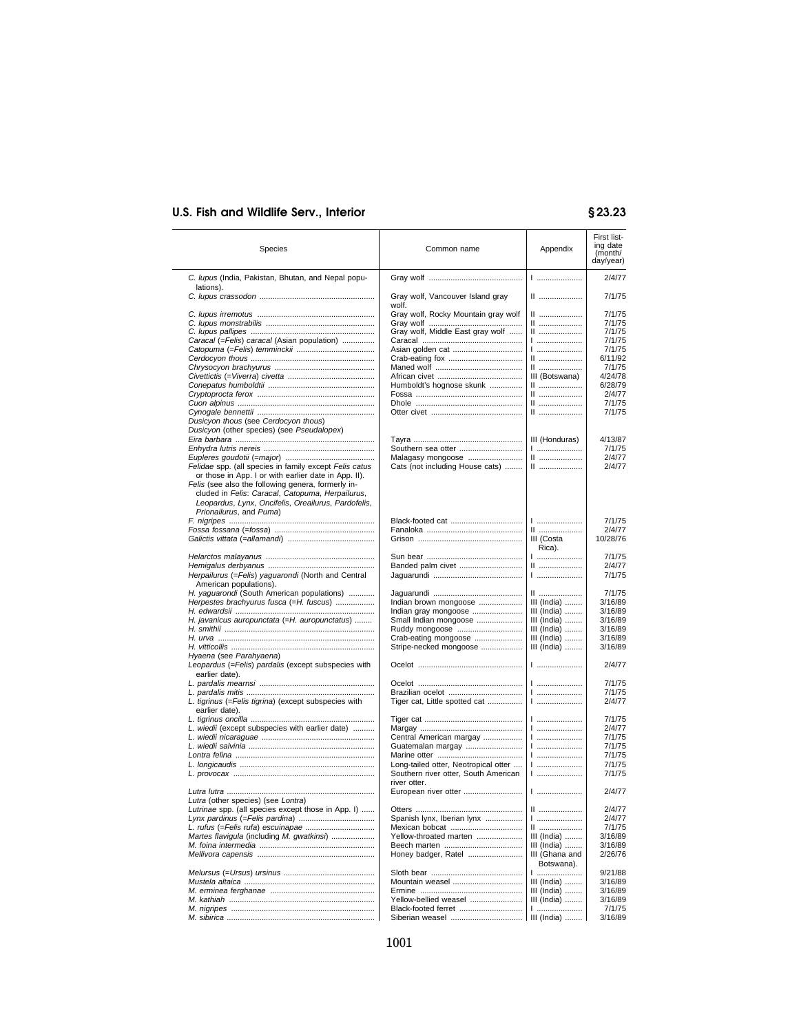| Species                                                                                                                                                                                                                                                                         | Common name                                          | Appendix                     | First list-<br>ing date<br>(month/<br>day/year) |
|---------------------------------------------------------------------------------------------------------------------------------------------------------------------------------------------------------------------------------------------------------------------------------|------------------------------------------------------|------------------------------|-------------------------------------------------|
| C. lupus (India, Pakistan, Bhutan, and Nepal popu-                                                                                                                                                                                                                              |                                                      |                              | 2/4/77                                          |
| lations).                                                                                                                                                                                                                                                                       | Gray wolf, Vancouver Island gray                     | II                           | 7/1/75                                          |
|                                                                                                                                                                                                                                                                                 | wolf.<br>Gray wolf, Rocky Mountain gray wolf         | II                           | 7/1/75                                          |
|                                                                                                                                                                                                                                                                                 |                                                      | $\ $                         | 7/1/75                                          |
| Caracal (=Felis) caracal (Asian population)                                                                                                                                                                                                                                     | Gray wolf, Middle East gray wolf                     | II<br>1                      | 7/1/75<br>7/1/75                                |
|                                                                                                                                                                                                                                                                                 | Asian golden cat                                     |                              | 7/1/75                                          |
|                                                                                                                                                                                                                                                                                 |                                                      | II                           | 6/11/92                                         |
|                                                                                                                                                                                                                                                                                 |                                                      | <u>   </u>                   | 7/1/75                                          |
|                                                                                                                                                                                                                                                                                 |                                                      | III (Botswana)               | 4/24/78                                         |
|                                                                                                                                                                                                                                                                                 | Humboldt's hognose skunk                             | II                           | 6/28/79                                         |
|                                                                                                                                                                                                                                                                                 |                                                      | II                           | 2/4/77                                          |
|                                                                                                                                                                                                                                                                                 |                                                      | II                           | 7/1/75                                          |
| Dusicyon thous (see Cerdocyon thous)<br>Dusicyon (other species) (see Pseudalopex)                                                                                                                                                                                              |                                                      | II<br>III (Honduras)         | 7/1/75<br>4/13/87                               |
|                                                                                                                                                                                                                                                                                 | Southern sea otter                                   | 1                            | 7/1/75                                          |
|                                                                                                                                                                                                                                                                                 | Malagasy mongoose                                    | II                           | 2/4/77                                          |
| Felidae spp. (all species in family except Felis catus<br>or those in App. I or with earlier date in App. II).<br>Felis (see also the following genera, formerly in-<br>cluded in Felis: Caracal, Catopuma, Herpailurus,<br>Leopardus, Lynx, Oncifelis, Oreailurus, Pardofelis, | Cats (not including House cats)                      | II                           | 2/4/77                                          |
| Prionailurus, and Puma)                                                                                                                                                                                                                                                         |                                                      |                              | 7/1/75                                          |
|                                                                                                                                                                                                                                                                                 |                                                      | II                           | 2/4/77                                          |
|                                                                                                                                                                                                                                                                                 |                                                      | III (Costa<br>Rica).         | 10/28/76                                        |
|                                                                                                                                                                                                                                                                                 |                                                      |                              | 7/1/75                                          |
| Herpailurus (=Felis) yaguarondi (North and Central<br>American populations).                                                                                                                                                                                                    | Banded palm civet                                    | II<br>1                      | 2/4/77<br>7/1/75                                |
| H. yaguarondi (South American populations)                                                                                                                                                                                                                                      |                                                      | II                           | 7/1/75                                          |
| Herpestes brachyurus fusca (=H. fuscus)                                                                                                                                                                                                                                         | Indian brown mongoose                                | III (India)                  | 3/16/89                                         |
|                                                                                                                                                                                                                                                                                 | Indian gray mongoose                                 | $III$ (India)                | 3/16/89                                         |
| H. javanicus auropunctata (=H. auropunctatus)                                                                                                                                                                                                                                   | Small Indian mongoose                                | III (India)                  | 3/16/89                                         |
|                                                                                                                                                                                                                                                                                 | Ruddy mongoose                                       | $III$ (India)                | 3/16/89                                         |
|                                                                                                                                                                                                                                                                                 | Crab-eating mongoose                                 | III (India)                  | 3/16/89                                         |
| Hyaena (see Parahyaena)<br>Leopardus (=Felis) pardalis (except subspecies with                                                                                                                                                                                                  | Stripe-necked mongoose                               | $III$ (India)<br>1           | 3/16/89<br>2/4/77                               |
| earlier date).                                                                                                                                                                                                                                                                  |                                                      |                              |                                                 |
|                                                                                                                                                                                                                                                                                 |                                                      | 1                            | 7/1/75                                          |
|                                                                                                                                                                                                                                                                                 |                                                      | 1                            | 7/1/75                                          |
| L. tigrinus (=Felis tigrina) (except subspecies with<br>earlier date).                                                                                                                                                                                                          | Tiger cat, Little spotted cat                        | 1                            | 2/4/77                                          |
|                                                                                                                                                                                                                                                                                 |                                                      | 1<br>1                       | 7/1/75<br>2/4/77                                |
| L. wiedii (except subspecies with earlier date)                                                                                                                                                                                                                                 | Central American margay                              | 1                            | 7/1/75                                          |
|                                                                                                                                                                                                                                                                                 | Guatemalan margay                                    | 1                            | 7/1/75                                          |
|                                                                                                                                                                                                                                                                                 |                                                      |                              | 7/1/75                                          |
|                                                                                                                                                                                                                                                                                 | Long-tailed otter, Neotropical otter                 | 1                            | 7/1/75                                          |
|                                                                                                                                                                                                                                                                                 | Southern river otter, South American<br>river otter. | 1                            | 7/1/75                                          |
| Lutra (other species) (see Lontra)                                                                                                                                                                                                                                              | European river otter                                 |                              | 2/4/77                                          |
| Lutrinae spp. (all species except those in App. I).                                                                                                                                                                                                                             | <b>Otters</b>                                        | Ш.                           | 2/4/77                                          |
|                                                                                                                                                                                                                                                                                 | Spanish lynx, Iberian lynx                           | 1                            | 2/4/77                                          |
| Martes flavigula (including M. gwatkinsi)                                                                                                                                                                                                                                       | Mexican bobcat<br>Yellow-throated marten             | II<br>III (India)            | 7/1/75<br>3/16/89                               |
|                                                                                                                                                                                                                                                                                 |                                                      | $III$ (India)                | 3/16/89                                         |
|                                                                                                                                                                                                                                                                                 | Honey badger, Ratel                                  | III (Ghana and<br>Botswana). | 2/26/76                                         |
|                                                                                                                                                                                                                                                                                 |                                                      | 1                            | 9/21/88                                         |
|                                                                                                                                                                                                                                                                                 | Mountain weasel                                      | $III$ (India)                | 3/16/89                                         |
|                                                                                                                                                                                                                                                                                 |                                                      | $III$ (India)                | 3/16/89                                         |
|                                                                                                                                                                                                                                                                                 | Yellow-bellied weasel                                | $III$ (India)                | 3/16/89                                         |
|                                                                                                                                                                                                                                                                                 |                                                      | 1                            | 7/1/75                                          |
|                                                                                                                                                                                                                                                                                 |                                                      |                              | 3/16/89                                         |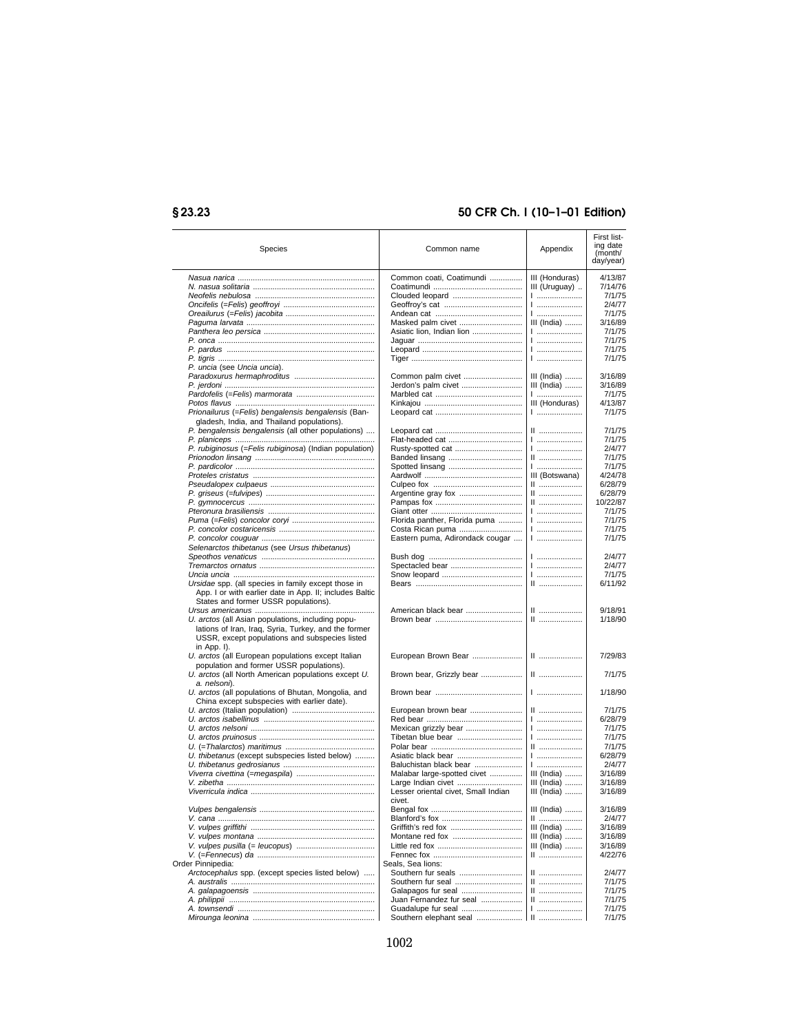| Species                                                                                                                                                | Common name                         | Appendix       | First list-<br>ing date<br>(month/<br>day/year) |
|--------------------------------------------------------------------------------------------------------------------------------------------------------|-------------------------------------|----------------|-------------------------------------------------|
|                                                                                                                                                        | Common coati, Coatimundi            | III (Honduras) | 4/13/87                                         |
|                                                                                                                                                        |                                     | III (Uruguay)  | 7/14/76                                         |
|                                                                                                                                                        | Clouded leopard                     |                | 7/1/75                                          |
|                                                                                                                                                        |                                     | 1              | 2/4/77                                          |
|                                                                                                                                                        |                                     |                | 7/1/75                                          |
|                                                                                                                                                        | Masked palm civet                   | $III$ (India)  | 3/16/89                                         |
|                                                                                                                                                        | Asiatic lion, Indian lion           | 1              | 7/1/75                                          |
|                                                                                                                                                        |                                     | 1              | 7/1/75                                          |
|                                                                                                                                                        |                                     | 1              | 7/1/75                                          |
|                                                                                                                                                        |                                     | 1              | 7/1/75                                          |
| P. uncia (see Uncia uncia).                                                                                                                            |                                     |                |                                                 |
|                                                                                                                                                        | Common palm civet                   | III (India)    | 3/16/89                                         |
|                                                                                                                                                        | Jerdon's palm civet                 | $III$ (India)  | 3/16/89                                         |
|                                                                                                                                                        |                                     | 1              | 7/1/75                                          |
|                                                                                                                                                        |                                     | III (Honduras) | 4/13/87                                         |
| Prionailurus (=Felis) bengalensis bengalensis (Ban-                                                                                                    |                                     | 1              | 7/1/75                                          |
| gladesh, India, and Thailand populations).                                                                                                             |                                     |                |                                                 |
| P. bengalensis bengalensis (all other populations)                                                                                                     |                                     | II             | 7/1/75                                          |
|                                                                                                                                                        |                                     | 1              | 7/1/75                                          |
| P. rubiginosus (=Felis rubiginosa) (Indian population)                                                                                                 |                                     |                | 2/4/77                                          |
|                                                                                                                                                        |                                     | II             | 7/1/75                                          |
|                                                                                                                                                        | Spotted linsang                     | 1              | 7/1/75                                          |
|                                                                                                                                                        |                                     | III (Botswana) | 4/24/78                                         |
|                                                                                                                                                        |                                     | II             | 6/28/79                                         |
|                                                                                                                                                        | Argentine gray fox                  | $\ $           | 6/28/79                                         |
|                                                                                                                                                        |                                     | II             | 10/22/87                                        |
|                                                                                                                                                        |                                     | 1              | 7/1/75                                          |
|                                                                                                                                                        | Florida panther, Florida puma       | 1              | 7/1/75                                          |
|                                                                                                                                                        | Costa Rican puma                    | 1              | 7/1/75                                          |
|                                                                                                                                                        | Eastern puma, Adirondack cougar     | 1              | 7/1/75                                          |
| Selenarctos thibetanus (see Ursus thibetanus)                                                                                                          |                                     |                |                                                 |
|                                                                                                                                                        |                                     | 1              | 2/4/77                                          |
|                                                                                                                                                        | Spectacled bear                     |                | 2/4/77                                          |
|                                                                                                                                                        |                                     | 1              | 7/1/75                                          |
|                                                                                                                                                        |                                     |                | 6/11/92                                         |
| Ursidae spp. (all species in family except those in<br>App. I or with earlier date in App. II; includes Baltic<br>States and former USSR populations). |                                     |                |                                                 |
|                                                                                                                                                        | American black bear                 | II             | 9/18/91                                         |
| U. arctos (all Asian populations, including popu-                                                                                                      |                                     | II             | 1/18/90                                         |
| lations of Iran, Iraq, Syria, Turkey, and the former<br>USSR, except populations and subspecies listed                                                 |                                     |                |                                                 |
| in App. $I$ ).<br>U. arctos (all European populations except Italian                                                                                   | European Brown Bear                 | $\ $           | 7/29/83                                         |
| population and former USSR populations).<br>U. arctos (all North American populations except U.<br>a. nelsoni).                                        | Brown bear, Grizzly bear            | II             | 7/1/75                                          |
| U. arctos (all populations of Bhutan, Mongolia, and<br>China except subspecies with earlier date).                                                     |                                     | 1              | 1/18/90                                         |
|                                                                                                                                                        | European brown bear                 | II             | 7/1/75                                          |
|                                                                                                                                                        |                                     | 1              | 6/28/79                                         |
|                                                                                                                                                        | Mexican grizzly bear                |                | 7/1/75                                          |
|                                                                                                                                                        | Tibetan blue bear                   | 1              | 7/1/75                                          |
|                                                                                                                                                        |                                     | II             | 7/1/75                                          |
| U. thibetanus (except subspecies listed below)                                                                                                         | Asiatic black bear                  |                | 6/28/79                                         |
|                                                                                                                                                        | Baluchistan black bear              |                | 2/4/77                                          |
|                                                                                                                                                        | Malabar large-spotted civet         | $III$ (India)  | 3/16/89                                         |
|                                                                                                                                                        |                                     | $III$ (India)  | 3/16/89                                         |
|                                                                                                                                                        | Lesser oriental civet, Small Indian | III (India)    | 3/16/89                                         |
|                                                                                                                                                        | civet.                              |                |                                                 |
|                                                                                                                                                        |                                     |                | 3/16/89                                         |
|                                                                                                                                                        |                                     | II             | 2/4/77                                          |
|                                                                                                                                                        |                                     |                |                                                 |
|                                                                                                                                                        |                                     | $III$ (India)  | 3/16/89                                         |
|                                                                                                                                                        |                                     | III (India)    | 3/16/89                                         |
|                                                                                                                                                        |                                     | III (India)    | 3/16/89                                         |
|                                                                                                                                                        |                                     |                | 4/22/76                                         |
| Order Pinnipedia:                                                                                                                                      | Seals, Sea lions:                   |                |                                                 |
| Arctocephalus spp. (except species listed below)                                                                                                       | Southern fur seals                  | II             | 2/4/77                                          |
|                                                                                                                                                        | Southern fur seal                   |                | 7/1/75                                          |
|                                                                                                                                                        |                                     | <u>   </u>     | 7/1/75                                          |
|                                                                                                                                                        | Juan Fernandez fur seal             | 11             | 7/1/75                                          |
|                                                                                                                                                        | Guadalupe fur seal                  |                | 7/1/75                                          |
|                                                                                                                                                        |                                     |                | 7/1/75                                          |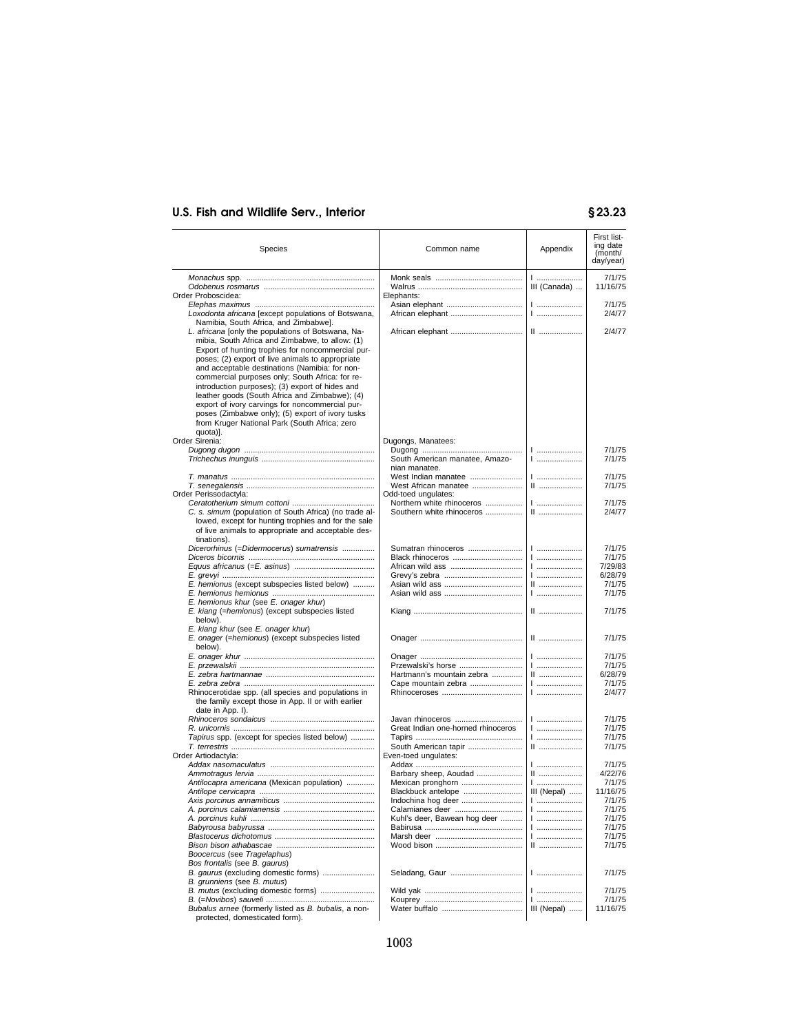| Species                                                                                                                                                                                                                                                                                                                                                                                                                                                                 | Common name                                 | Appendix     | First list-<br>ing date<br>(month/<br>day/year) |
|-------------------------------------------------------------------------------------------------------------------------------------------------------------------------------------------------------------------------------------------------------------------------------------------------------------------------------------------------------------------------------------------------------------------------------------------------------------------------|---------------------------------------------|--------------|-------------------------------------------------|
|                                                                                                                                                                                                                                                                                                                                                                                                                                                                         |                                             | 1            | 7/1/75                                          |
|                                                                                                                                                                                                                                                                                                                                                                                                                                                                         |                                             | III (Canada) | 11/16/75                                        |
| Order Proboscidea:                                                                                                                                                                                                                                                                                                                                                                                                                                                      | Elephants:                                  |              |                                                 |
|                                                                                                                                                                                                                                                                                                                                                                                                                                                                         |                                             | 1            | 7/1/75                                          |
| Loxodonta africana [except populations of Botswana,                                                                                                                                                                                                                                                                                                                                                                                                                     | African elephant                            |              | 2/4/77                                          |
| Namibia, South Africa, and Zimbabwe].                                                                                                                                                                                                                                                                                                                                                                                                                                   |                                             |              |                                                 |
| L. africana [only the populations of Botswana, Na-                                                                                                                                                                                                                                                                                                                                                                                                                      | African elephant                            | II           | 2/4/77                                          |
| mibia, South Africa and Zimbabwe, to allow: (1)                                                                                                                                                                                                                                                                                                                                                                                                                         |                                             |              |                                                 |
| Export of hunting trophies for noncommercial pur-<br>poses; (2) export of live animals to appropriate<br>and acceptable destinations (Namibia: for non-<br>commercial purposes only; South Africa: for re-<br>introduction purposes); (3) export of hides and<br>leather goods (South Africa and Zimbabwe); (4)<br>export of ivory carvings for noncommercial pur-<br>poses (Zimbabwe only); (5) export of ivory tusks<br>from Kruger National Park (South Africa; zero |                                             |              |                                                 |
|                                                                                                                                                                                                                                                                                                                                                                                                                                                                         |                                             |              |                                                 |
| quota)].<br>Order Sirenia:                                                                                                                                                                                                                                                                                                                                                                                                                                              | Dugongs, Manatees:                          |              |                                                 |
|                                                                                                                                                                                                                                                                                                                                                                                                                                                                         |                                             | 1            | 7/1/75                                          |
|                                                                                                                                                                                                                                                                                                                                                                                                                                                                         | South American manatee, Amazo-              | 1            | 7/1/75                                          |
|                                                                                                                                                                                                                                                                                                                                                                                                                                                                         | nian manatee.                               |              |                                                 |
|                                                                                                                                                                                                                                                                                                                                                                                                                                                                         | West Indian manatee<br>West African manatee | 1            | 7/1/75                                          |
| Order Perissodactyla:                                                                                                                                                                                                                                                                                                                                                                                                                                                   | Odd-toed ungulates:                         |              | 7/1/75                                          |
|                                                                                                                                                                                                                                                                                                                                                                                                                                                                         | Northern white rhinoceros                   |              | 7/1/75                                          |
| C. s. simum (population of South Africa) (no trade al-                                                                                                                                                                                                                                                                                                                                                                                                                  | Southern white rhinoceros                   | II           | 2/4/77                                          |
| lowed, except for hunting trophies and for the sale<br>of live animals to appropriate and acceptable des-<br>tinations).                                                                                                                                                                                                                                                                                                                                                |                                             |              |                                                 |
| Dicerorhinus (=Didermocerus) sumatrensis                                                                                                                                                                                                                                                                                                                                                                                                                                | Sumatran rhinoceros                         | $1$          | 7/1/75                                          |
|                                                                                                                                                                                                                                                                                                                                                                                                                                                                         | Black rhinoceros                            | $\ $         | 7/1/75                                          |
|                                                                                                                                                                                                                                                                                                                                                                                                                                                                         | African wild ass                            | 1<br>$1$     | 7/29/83<br>6/28/79                              |
| E. hemionus (except subspecies listed below)                                                                                                                                                                                                                                                                                                                                                                                                                            |                                             | 11           | 7/1/75                                          |
|                                                                                                                                                                                                                                                                                                                                                                                                                                                                         |                                             |              | 7/1/75                                          |
| E. hemionus khur (see E. onager khur)                                                                                                                                                                                                                                                                                                                                                                                                                                   |                                             |              |                                                 |
| E. kiang (=hemionus) (except subspecies listed<br>below).                                                                                                                                                                                                                                                                                                                                                                                                               |                                             | II           | 7/1/75                                          |
| E. kiang khur (see E. onager khur)<br>E. onager (=hemionus) (except subspecies listed<br>below).                                                                                                                                                                                                                                                                                                                                                                        |                                             | II           | 7/1/75                                          |
|                                                                                                                                                                                                                                                                                                                                                                                                                                                                         |                                             |              | 7/1/75                                          |
|                                                                                                                                                                                                                                                                                                                                                                                                                                                                         | Przewalski's horse                          |              | 7/1/75                                          |
|                                                                                                                                                                                                                                                                                                                                                                                                                                                                         | Hartmann's mountain zebra                   | II<br>1      | 6/28/79<br>7/1/75                               |
| Rhinocerotidae spp. (all species and populations in                                                                                                                                                                                                                                                                                                                                                                                                                     | Cape mountain zebra                         | 1            | 2/4/77                                          |
| the family except those in App. II or with earlier<br>date in App. I).                                                                                                                                                                                                                                                                                                                                                                                                  |                                             |              |                                                 |
|                                                                                                                                                                                                                                                                                                                                                                                                                                                                         | Javan rhinoceros                            | 1            | 7/1/75                                          |
|                                                                                                                                                                                                                                                                                                                                                                                                                                                                         | Great Indian one-horned rhinoceros          | 1            | 7/1/75                                          |
| Tapirus spp. (except for species listed below)                                                                                                                                                                                                                                                                                                                                                                                                                          | South American tapir                        |              | 7/1/75<br>7/1/75                                |
| Order Artiodactyla:                                                                                                                                                                                                                                                                                                                                                                                                                                                     | Even-toed ungulates:                        |              |                                                 |
|                                                                                                                                                                                                                                                                                                                                                                                                                                                                         |                                             | 1            | 7/1/75                                          |
|                                                                                                                                                                                                                                                                                                                                                                                                                                                                         | Barbary sheep, Aoudad                       | II           | 4/22/76                                         |
| Antilocapra americana (Mexican population)                                                                                                                                                                                                                                                                                                                                                                                                                              | Mexican pronghorn                           |              | 7/1/75                                          |
|                                                                                                                                                                                                                                                                                                                                                                                                                                                                         | Blackbuck antelope                          | III (Nepal)  | 11/16/75                                        |
|                                                                                                                                                                                                                                                                                                                                                                                                                                                                         |                                             | 1            | 7/1/75                                          |
|                                                                                                                                                                                                                                                                                                                                                                                                                                                                         | Calamianes deer                             | 1            | 7/1/75                                          |
|                                                                                                                                                                                                                                                                                                                                                                                                                                                                         | Kuhl's deer, Bawean hog deer                |              | 7/1/75                                          |
|                                                                                                                                                                                                                                                                                                                                                                                                                                                                         |                                             |              | 7/1/75                                          |
|                                                                                                                                                                                                                                                                                                                                                                                                                                                                         |                                             | 11           | 7/1/75<br>7/1/75                                |
| Boocercus (see Tragelaphus)                                                                                                                                                                                                                                                                                                                                                                                                                                             |                                             |              |                                                 |
| Bos frontalis (see B. gaurus)                                                                                                                                                                                                                                                                                                                                                                                                                                           |                                             |              |                                                 |
| B. gaurus (excluding domestic forms)                                                                                                                                                                                                                                                                                                                                                                                                                                    | Seladang, Gaur                              | 1            | 7/1/75                                          |
| B. grunniens (see B. mutus)                                                                                                                                                                                                                                                                                                                                                                                                                                             |                                             |              |                                                 |
|                                                                                                                                                                                                                                                                                                                                                                                                                                                                         |                                             | 1            | 7/1/75                                          |
|                                                                                                                                                                                                                                                                                                                                                                                                                                                                         |                                             | 1            | 7/1/75                                          |
| Bubalus arnee (formerly listed as B. bubalis, a non-<br>protected, domesticated form).                                                                                                                                                                                                                                                                                                                                                                                  |                                             | III (Nepal)  | 11/16/75                                        |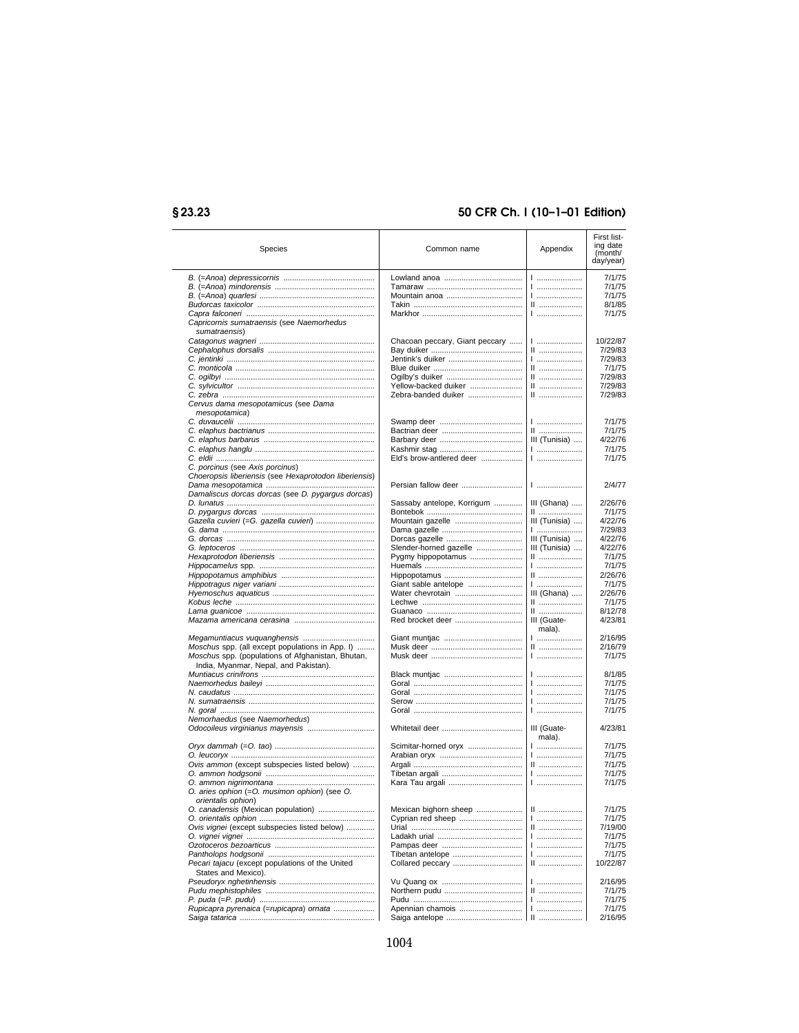# $$23.23$

# 50 CFR Ch. I (10-1-01 Edition)

| Species                                                                                                  | Common name                    | Appendix              | First list-<br>ing date<br>(month/<br>day/year) |
|----------------------------------------------------------------------------------------------------------|--------------------------------|-----------------------|-------------------------------------------------|
|                                                                                                          |                                | 1                     | 7/1/75                                          |
|                                                                                                          |                                | 1                     | 7/1/75                                          |
|                                                                                                          |                                | 1                     | 7/1/75                                          |
|                                                                                                          |                                | II                    | 8/1/85                                          |
|                                                                                                          |                                |                       | 7/1/75                                          |
| Capricornis sumatraensis (see Naemorhedus                                                                |                                |                       |                                                 |
| sumatraensis)                                                                                            |                                |                       |                                                 |
|                                                                                                          | Chacoan peccary, Giant peccary | 1                     | 10/22/87                                        |
|                                                                                                          |                                | II<br>1               | 7/29/83<br>7/29/83                              |
|                                                                                                          |                                | II                    | 7/1/75                                          |
|                                                                                                          |                                | $\ $                  | 7/29/83                                         |
|                                                                                                          | Yellow-backed duiker           | II                    | 7/29/83                                         |
|                                                                                                          | Zebra-banded duiker            | II                    | 7/29/83                                         |
| Cervus dama mesopotamicus (see Dama<br>mesopotamica)                                                     |                                |                       |                                                 |
|                                                                                                          |                                | 1                     | 7/1/75                                          |
|                                                                                                          |                                | II                    | 7/1/75                                          |
|                                                                                                          |                                | III (Tunisia)         | 4/22/76                                         |
|                                                                                                          |                                | 1                     | 7/1/75                                          |
|                                                                                                          | Eld's brow-antlered deer       | 1                     | 7/1/75                                          |
| C. porcinus (see Axis porcinus)                                                                          |                                |                       |                                                 |
| Choeropsis liberiensis (see Hexaprotodon liberiensis)                                                    |                                |                       | 2/4/77                                          |
|                                                                                                          | Persian fallow deer            | 1                     |                                                 |
| Damaliscus dorcas dorcas (see D. pygargus dorcas)                                                        | Sassaby antelope, Korrigum     | III (Ghana)           | 2/26/76                                         |
|                                                                                                          |                                | II                    | 7/1/75                                          |
| Gazella cuvieri (=G. gazella cuvieri)                                                                    | Mountain gazelle               | III (Tunisia)         | 4/22/76                                         |
|                                                                                                          |                                |                       | 7/29/83                                         |
|                                                                                                          |                                | III (Tunisia)         | 4/22/76                                         |
|                                                                                                          | Slender-horned gazelle         | III (Tunisia)         | 4/22/76                                         |
|                                                                                                          | Pygmy hippopotamus             | II                    | 7/1/75                                          |
|                                                                                                          |                                | 1                     | 7/1/75                                          |
|                                                                                                          |                                | II                    | 2/26/76                                         |
|                                                                                                          | Giant sable antelope           | 1                     | 7/1/75                                          |
|                                                                                                          | Water chevrotain               | III (Ghana)           | 2/26/76                                         |
|                                                                                                          |                                | II                    | 7/1/75                                          |
|                                                                                                          | Red brocket deer               | II<br>III (Guate-     | 8/12/78<br>4/23/81                              |
|                                                                                                          |                                | mala).<br>1           | 2/16/95                                         |
| Moschus spp. (all except populations in App. I)                                                          |                                | II                    | 2/16/79                                         |
| Moschus spp. (populations of Afghanistan, Bhutan,<br>India, Myanmar, Nepal, and Pakistan).               |                                | 1                     | 7/1/75                                          |
|                                                                                                          |                                | 1                     | 8/1/85                                          |
|                                                                                                          |                                | $\mathsf{L}$          | 7/1/75                                          |
|                                                                                                          |                                | 1                     | 7/1/75                                          |
|                                                                                                          |                                | 1<br>1                | 7/1/75<br>7/1/75                                |
| Nemorhaedus (see Naemorhedus)                                                                            |                                |                       |                                                 |
|                                                                                                          |                                | III (Guate-<br>mala). | 4/23/81                                         |
|                                                                                                          | Scimitar-horned oryx           | 1                     | 7/1/75                                          |
|                                                                                                          |                                | 1                     | 7/1/75                                          |
| Ovis ammon (except subspecies listed below)                                                              |                                | II                    | 7/1/75                                          |
|                                                                                                          |                                | 1                     | 7/1/75                                          |
|                                                                                                          | Kara Tau argali                | 1                     | 7/1/75                                          |
| O. aries ophion (=0. musimon ophion) (see O.<br>orientalis ophion)<br>O. canadensis (Mexican population) |                                |                       | 7/1/75                                          |
|                                                                                                          | Cyprian red sheep              | 1                     | 7/1/75                                          |
| Ovis vignei (except subspecies listed below)                                                             |                                | II                    | 7/19/00                                         |
|                                                                                                          |                                | $\mathsf{L}$          | 7/1/75                                          |
|                                                                                                          |                                | 1                     | 7/1/75                                          |
|                                                                                                          | Tibetan antelope               | 1                     | 7/1/75                                          |
| Pecari tajacu (except populations of the United<br>States and Mexico).                                   | Collared peccary               | II                    | 10/22/87                                        |
|                                                                                                          |                                | 1                     | 2/16/95                                         |
|                                                                                                          |                                | II                    | 7/1/75                                          |
|                                                                                                          |                                |                       | 7/1/75                                          |
| Rupicapra pyrenaica (=rupicapra) ornata                                                                  | Apennian chamois               |                       | 7/1/75                                          |
|                                                                                                          |                                |                       | 2/16/95                                         |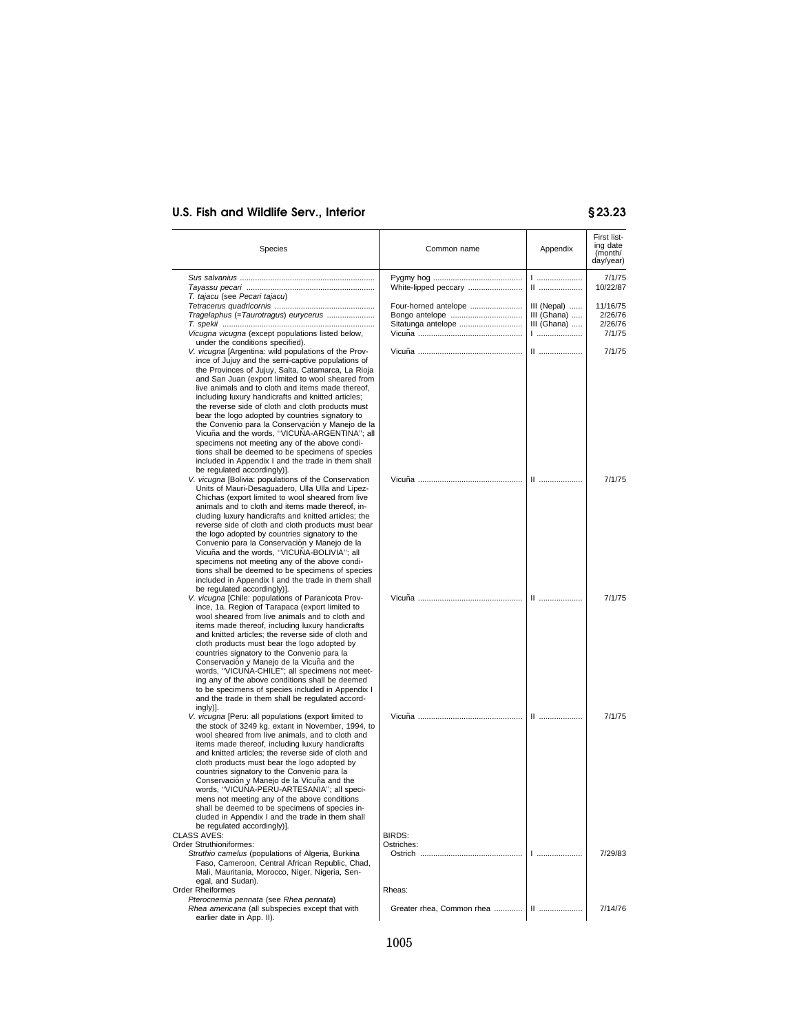| Species                                                                                                                                                                                                                                                                                                                                                                                                                                                                                                                                                                                                                                                                                                 | Common name               | Appendix     | First list-<br>ing date<br>(month/<br>day/year) |
|---------------------------------------------------------------------------------------------------------------------------------------------------------------------------------------------------------------------------------------------------------------------------------------------------------------------------------------------------------------------------------------------------------------------------------------------------------------------------------------------------------------------------------------------------------------------------------------------------------------------------------------------------------------------------------------------------------|---------------------------|--------------|-------------------------------------------------|
|                                                                                                                                                                                                                                                                                                                                                                                                                                                                                                                                                                                                                                                                                                         |                           | 1            | 7/1/75                                          |
|                                                                                                                                                                                                                                                                                                                                                                                                                                                                                                                                                                                                                                                                                                         | White-lipped peccary      | II           | 10/22/87                                        |
| T. tajacu (see Pecari tajacu)                                                                                                                                                                                                                                                                                                                                                                                                                                                                                                                                                                                                                                                                           |                           |              |                                                 |
|                                                                                                                                                                                                                                                                                                                                                                                                                                                                                                                                                                                                                                                                                                         | Four-horned antelope      | III (Nepal)  | 11/16/75                                        |
| Tragelaphus (=Taurotragus) eurycerus                                                                                                                                                                                                                                                                                                                                                                                                                                                                                                                                                                                                                                                                    |                           | III (Ghana)  | 2/26/76                                         |
|                                                                                                                                                                                                                                                                                                                                                                                                                                                                                                                                                                                                                                                                                                         | Sitatunga antelope        | III (Ghana)  | 2/26/76                                         |
| Vicugna vicugna (except populations listed below,<br>under the conditions specified).                                                                                                                                                                                                                                                                                                                                                                                                                                                                                                                                                                                                                   |                           | 1            | 7/1/75                                          |
| V. vicugna [Argentina: wild populations of the Prov-<br>ince of Jujuy and the semi-captive populations of<br>the Provinces of Jujuy, Salta, Catamarca, La Rioja<br>and San Juan (export limited to wool sheared from<br>live animals and to cloth and items made thereof,<br>including luxury handicrafts and knitted articles;<br>the reverse side of cloth and cloth products must<br>bear the logo adopted by countries signatory to<br>the Convenio para la Conservación y Manejo de la<br>Vicuña and the words, "VICUNA-ARGENTINA"; all<br>specimens not meeting any of the above condi-<br>tions shall be deemed to be specimens of species<br>included in Appendix I and the trade in them shall |                           | II           | 7/1/75                                          |
| be regulated accordingly)].                                                                                                                                                                                                                                                                                                                                                                                                                                                                                                                                                                                                                                                                             |                           |              |                                                 |
| V. vicugna [Bolivia: populations of the Conservation<br>Units of Mauri-Desaguadero, Ulla Ulla and Lipez-<br>Chichas (export limited to wool sheared from live<br>animals and to cloth and items made thereof, in-<br>cluding luxury handicrafts and knitted articles; the<br>reverse side of cloth and cloth products must bear<br>the logo adopted by countries signatory to the<br>Convenio para la Conservación y Manejo de la<br>Vicuña and the words, "VICUNA-BOLIVIA"; all<br>specimens not meeting any of the above condi-<br>tions shall be deemed to be specimens of species<br>included in Appendix I and the trade in them shall                                                             |                           | II           | 7/1/75                                          |
| be regulated accordingly)].                                                                                                                                                                                                                                                                                                                                                                                                                                                                                                                                                                                                                                                                             |                           |              | 7/1/75                                          |
| V. vicugna [Chile: populations of Paranicota Prov-<br>ince, 1a. Region of Tarapaca (export limited to<br>wool sheared from live animals and to cloth and<br>items made thereof, including luxury handicrafts<br>and knitted articles; the reverse side of cloth and<br>cloth products must bear the logo adopted by<br>countries signatory to the Convenio para la<br>Conservación y Manejo de la Vicuña and the<br>words, "VICUNA-CHILE"; all specimens not meet-<br>ing any of the above conditions shall be deemed<br>to be specimens of species included in Appendix I<br>and the trade in them shall be regulated accord-<br>ingly)].                                                              |                           | II           |                                                 |
| V. vicugna [Peru: all populations (export limited to<br>the stock of 3249 kg. extant in November, 1994, to<br>wool sheared from live animals, and to cloth and<br>items made thereof, including luxury handicrafts<br>and knitted articles; the reverse side of cloth and<br>cloth products must bear the logo adopted by<br>countries signatory to the Convenio para la<br>Conservación y Manejo de la Vicuña and the<br>words, "VICUNA-PERU-ARTESANIA"; all speci-<br>mens not meeting any of the above conditions<br>shall be deemed to be specimens of species in-<br>cluded in Appendix I and the trade in them shall<br>be regulated accordingly)].                                               |                           | II           | 7/1/75                                          |
| <b>CLASS AVES:</b><br>Order Struthioniformes:<br>Struthio camelus (populations of Algeria, Burkina<br>Faso, Cameroon, Central African Republic, Chad,<br>Mali, Mauritania, Morocco, Niger, Nigeria, Sen-<br>egal, and Sudan).                                                                                                                                                                                                                                                                                                                                                                                                                                                                           | BIRDS:<br>Ostriches:      | $\mathsf{L}$ | 7/29/83                                         |
| <b>Order Rheiformes</b>                                                                                                                                                                                                                                                                                                                                                                                                                                                                                                                                                                                                                                                                                 | Rheas:                    |              |                                                 |
| Pterocnemia pennata (see Rhea pennata)<br>Rhea americana (all subspecies except that with<br>earlier date in App. II).                                                                                                                                                                                                                                                                                                                                                                                                                                                                                                                                                                                  | Greater rhea, Common rhea | II           | 7/14/76                                         |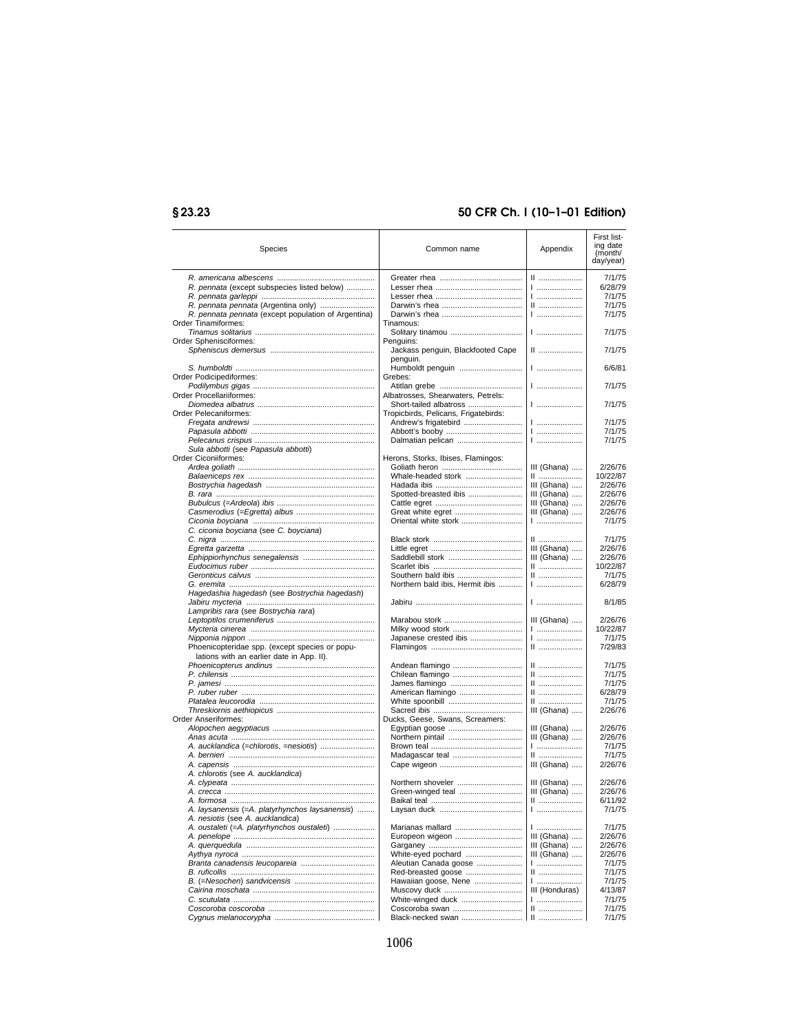| Species                                             | Common name                          | Appendix       | First list-<br>ing date<br>(month/<br>day/year) |
|-----------------------------------------------------|--------------------------------------|----------------|-------------------------------------------------|
|                                                     |                                      | II             | 7/1/75                                          |
| R. pennata (except subspecies listed below)         |                                      | 1              | 6/28/79                                         |
|                                                     |                                      | 1              | 7/1/75                                          |
| R. pennata pennata (Argentina only)                 |                                      | II             | 7/1/75                                          |
| R. pennata pennata (except population of Argentina) |                                      | 1              | 7/1/75                                          |
| Order Tinamiformes:                                 | Tinamous:                            |                |                                                 |
|                                                     | Solitary tinamou                     | 1              | 7/1/75                                          |
| Order Sphenisciformes:                              | Penguins:                            |                |                                                 |
|                                                     |                                      |                |                                                 |
|                                                     | Jackass penguin, Blackfooted Cape    | II             | 7/1/75                                          |
|                                                     | penguin.                             |                |                                                 |
|                                                     | Humboldt penguin                     |                | 6/6/81                                          |
| Order Podicipediformes:                             | Grebes:                              |                |                                                 |
|                                                     |                                      | 1              | 7/1/75                                          |
| Order Procellariiformes:                            | Albatrosses, Shearwaters, Petrels:   |                |                                                 |
|                                                     | Short-tailed albatross               |                | 7/1/75                                          |
| Order Pelecaniformes:                               | Tropicbirds, Pelicans, Frigatebirds: |                |                                                 |
|                                                     | Andrew's frigatebird                 | 1              | 7/1/75                                          |
|                                                     |                                      | $\mathsf{L}$   | 7/1/75                                          |
|                                                     | Dalmatian pelican                    | 1              | 7/1/75                                          |
| Sula abbotti (see Papasula abbotti)                 |                                      |                |                                                 |
| Order Ciconiiformes:                                | Herons, Storks, Ibises, Flamingos:   |                |                                                 |
|                                                     |                                      | III (Ghana)    | 2/26/76                                         |
|                                                     | Whale-headed stork                   | II             | 10/22/87                                        |
|                                                     |                                      | III (Ghana)    | 2/26/76                                         |
|                                                     | Spotted-breasted ibis                | III (Ghana)    | 2/26/76                                         |
|                                                     |                                      | III (Ghana)    | 2/26/76                                         |
|                                                     |                                      | III (Ghana)    | 2/26/76                                         |
|                                                     |                                      | 1              | 7/1/75                                          |
| C. ciconia boyciana (see C. boyciana)               |                                      |                |                                                 |
|                                                     |                                      | II             | 7/1/75                                          |
|                                                     |                                      | III (Ghana)    | 2/26/76                                         |
|                                                     |                                      | III (Ghana)    | 2/26/76                                         |
|                                                     |                                      |                | 10/22/87                                        |
|                                                     | Southern bald ibis                   | II             | 7/1/75                                          |
|                                                     | Northern bald ibis, Hermit ibis      |                | 6/28/79                                         |
| Hagedashia hagedash (see Bostrychia hagedash)       |                                      |                |                                                 |
|                                                     |                                      | $\ $           | 8/1/85                                          |
| Lampribis rara (see Bostrychia rara)                |                                      |                |                                                 |
|                                                     |                                      | III (Ghana)    | 2/26/76                                         |
|                                                     | Milky wood stork                     | 1              | 10/22/87                                        |
|                                                     | Japanese crested ibis                | 1              | 7/1/75                                          |
| Phoenicopteridae spp. (except species or popu-      |                                      | II             | 7/29/83                                         |
| lations with an earlier date in App. II).           |                                      |                |                                                 |
|                                                     | Andean flamingo                      | II             | 7/1/75                                          |
|                                                     | Chilean flamingo                     | II             | 7/1/75                                          |
|                                                     | James flamingo                       | II             | 7/1/75                                          |
|                                                     | American flamingo                    | II             | 6/28/79                                         |
|                                                     |                                      | II             | 7/1/75                                          |
|                                                     |                                      | III (Ghana)    | 2/26/76                                         |
| Order Anseriformes:                                 | Ducks, Geese, Swans, Screamers:      |                |                                                 |
|                                                     |                                      | III (Ghana)    | 2/26/76                                         |
|                                                     | Northern pintail                     | III (Ghana)    | 2/26/76                                         |
|                                                     |                                      | 1              | 7/1/75                                          |
|                                                     | Madagascar teal                      | II             | 7/1/75                                          |
|                                                     |                                      | III (Ghana)    | 2/26/76                                         |
| A. chlorotis (see A. aucklandica)                   |                                      |                |                                                 |
|                                                     | Northern shoveler                    | III (Ghana)    | 2/26/76                                         |
|                                                     |                                      | III (Ghana)    | 2/26/76                                         |
|                                                     |                                      | II             | 6/11/92                                         |
| A. laysanensis (=A. platyrhynchos laysanensis)      |                                      |                | 7/1/75                                          |
| A. nesiotis (see A. aucklandica)                    |                                      |                |                                                 |
| A. oustaleti (=A. platyrhynchos oustaleti)          | Marianas mallard                     | 1              | 7/1/75                                          |
|                                                     | Europeon wigeon                      | III (Ghana)    | 2/26/76                                         |
|                                                     |                                      | III (Ghana)    | 2/26/76                                         |
|                                                     | White-eyed pochard                   | III (Ghana)    | 2/26/76                                         |
|                                                     | Aleutian Canada goose                | 1              | 7/1/75                                          |
|                                                     | Red-breasted goose                   |                | 7/1/75                                          |
|                                                     | Hawaiian goose, Nene                 | 1              | 7/1/75                                          |
|                                                     |                                      | III (Honduras) | 4/13/87                                         |
|                                                     | White-winged duck                    | 1              | 7/1/75                                          |
|                                                     | Coscoroba swan                       | II             | 7/1/75                                          |
|                                                     |                                      |                | 7/1/75                                          |
|                                                     |                                      |                |                                                 |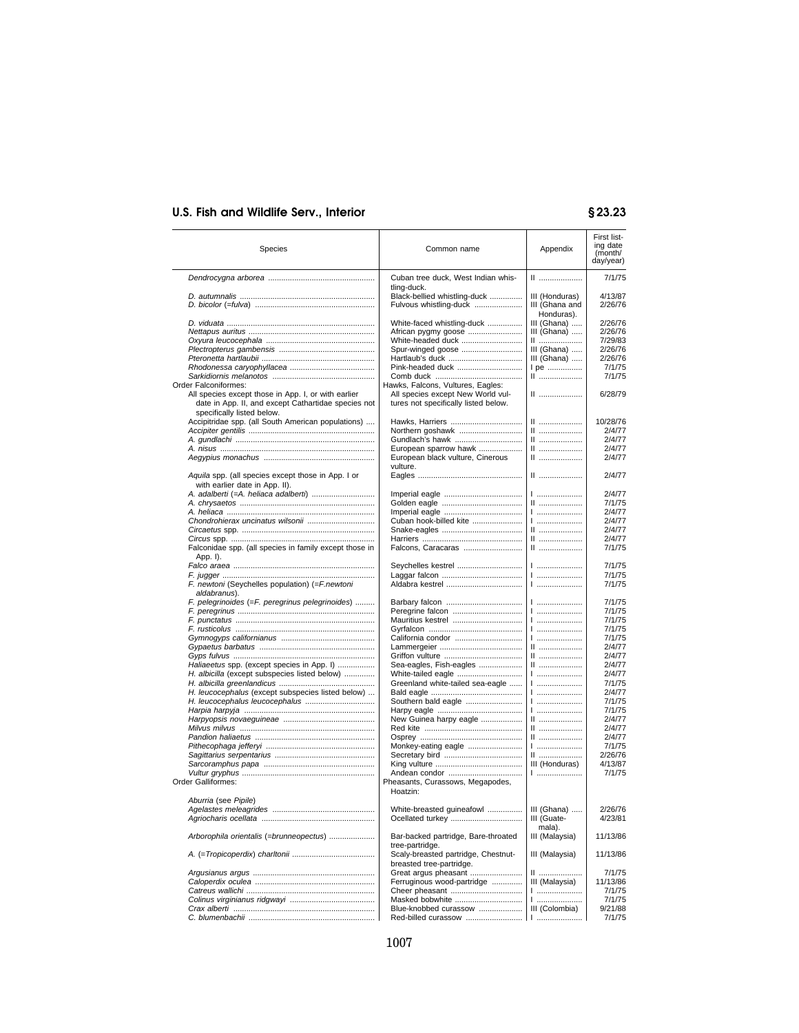| Species                                                                                                                                  | Common name                                                               | Appendix                         | First list-<br>ing date<br>(month/<br>day/year) |
|------------------------------------------------------------------------------------------------------------------------------------------|---------------------------------------------------------------------------|----------------------------------|-------------------------------------------------|
|                                                                                                                                          | Cuban tree duck, West Indian whis-<br>tling-duck.                         | II                               | 7/1/75                                          |
|                                                                                                                                          | Black-bellied whistling-duck<br>Fulvous whistling-duck                    | III (Honduras)<br>III (Ghana and | 4/13/87<br>2/26/76                              |
|                                                                                                                                          | White-faced whistling-duck                                                | Honduras).<br>III (Ghana)        | 2/26/76                                         |
|                                                                                                                                          | African pygmy goose                                                       | III (Ghana)                      | 2/26/76                                         |
|                                                                                                                                          | White-headed duck                                                         | II                               | 7/29/83                                         |
|                                                                                                                                          | Spur-winged goose                                                         | III (Ghana)                      | 2/26/76                                         |
|                                                                                                                                          | Hartlaub's duck                                                           | III (Ghana)                      | 2/26/76                                         |
|                                                                                                                                          | Pink-headed duck                                                          | I pe<br>II                       | 7/1/75<br>7/1/75                                |
| Order Falconiformes:                                                                                                                     | Hawks, Falcons, Vultures, Eagles:                                         |                                  |                                                 |
| All species except those in App. I, or with earlier<br>date in App. II, and except Cathartidae species not<br>specifically listed below. | All species except New World vul-<br>tures not specifically listed below. |                                  | 6/28/79                                         |
| Accipitridae spp. (all South American populations)                                                                                       | Hawks, Harriers                                                           | II                               | 10/28/76                                        |
|                                                                                                                                          | Northern goshawk                                                          | $\mathsf{II}$                    | 2/4/77                                          |
|                                                                                                                                          | Gundlach's hawk                                                           | II                               | 2/4/77                                          |
|                                                                                                                                          | European sparrow hawk                                                     | II<br>II                         | 2/4/77                                          |
|                                                                                                                                          | European black vulture, Cinerous<br>vulture.                              |                                  | 2/4/77                                          |
| Aquila spp. (all species except those in App. I or<br>with earlier date in App. II).                                                     |                                                                           |                                  | 2/4/77                                          |
|                                                                                                                                          |                                                                           | 1                                | 2/4/77                                          |
|                                                                                                                                          |                                                                           | II                               | 7/1/75                                          |
|                                                                                                                                          | Cuban hook-billed kite                                                    | 1                                | 2/4/77<br>2/4/77                                |
|                                                                                                                                          |                                                                           | II                               | 2/4/77                                          |
|                                                                                                                                          |                                                                           | II                               | 2/4/77                                          |
| Falconidae spp. (all species in family except those in<br>App. I).                                                                       | Falcons, Caracaras                                                        |                                  | 7/1/75                                          |
|                                                                                                                                          | Seychelles kestrel                                                        |                                  | 7/1/75                                          |
|                                                                                                                                          |                                                                           |                                  | 7/1/75                                          |
| F. newtoni (Seychelles population) (=F.newtoni<br>aldabranus).<br>F. pelegrinoides (=F. peregrinus pelegrinoides)                        |                                                                           | 1                                | 7/1/75<br>7/1/75                                |
|                                                                                                                                          | Peregrine falcon                                                          | 1                                | 7/1/75                                          |
|                                                                                                                                          | Mauritius kestrel                                                         |                                  | 7/1/75                                          |
|                                                                                                                                          |                                                                           | 1                                | 7/1/75                                          |
|                                                                                                                                          | California condor                                                         | 1                                | 7/1/75                                          |
|                                                                                                                                          |                                                                           | II<br>II                         | 2/4/77<br>2/4/77                                |
| Haliaeetus spp. (except species in App. I)                                                                                               | Sea-eagles, Fish-eagles                                                   | <u>   </u>                       | 2/4/77                                          |
| H. albicilla (except subspecies listed below)                                                                                            | White-tailed eagle                                                        | 1                                | 2/4/77                                          |
|                                                                                                                                          | Greenland white-tailed sea-eagle                                          |                                  | 7/1/75                                          |
| H. leucocephalus (except subspecies listed below)                                                                                        |                                                                           | 1                                | 2/4/77                                          |
|                                                                                                                                          | Southern bald eagle                                                       | 1                                | 7/1/75                                          |
|                                                                                                                                          | New Guinea harpy eagle                                                    | II                               | 7/1/75<br>2/4/77                                |
|                                                                                                                                          |                                                                           | II                               | 2/4/77                                          |
|                                                                                                                                          |                                                                           | II                               | 2/4/77                                          |
|                                                                                                                                          | Monkey-eating eagle                                                       | 1                                | 7/1/75                                          |
|                                                                                                                                          |                                                                           | II                               | 2/26/76                                         |
|                                                                                                                                          |                                                                           | III (Honduras)                   | 4/13/87<br>7/1/75                               |
| Order Galliformes:                                                                                                                       | Pheasants, Curassows, Megapodes,<br>Hoatzin:                              | 1                                |                                                 |
| Aburria (see Pipile)                                                                                                                     |                                                                           |                                  |                                                 |
| Agelastes meleagrides                                                                                                                    | White-breasted quineafowl                                                 | III (Ghana)                      | 2/26/76                                         |
|                                                                                                                                          | Ocellated turkey                                                          | III (Guate-<br>mala).            | 4/23/81                                         |
| Arborophila orientalis (=brunneopectus)                                                                                                  | Bar-backed partridge, Bare-throated<br>tree-partridge.                    | III (Malaysia)                   | 11/13/86                                        |
|                                                                                                                                          | Scaly-breasted partridge, Chestnut-<br>breasted tree-partridge.           | III (Malaysia)                   | 11/13/86                                        |
|                                                                                                                                          | Great argus pheasant<br>Ferruginous wood-partridge                        | II<br>III (Malaysia)             | 7/1/75<br>11/13/86                              |
|                                                                                                                                          | Cheer pheasant                                                            | 1                                | 7/1/75                                          |
|                                                                                                                                          | Masked bobwhite                                                           | 1                                | 7/1/75                                          |
|                                                                                                                                          | Blue-knobbed curassow                                                     | III (Colombia)                   | 9/21/88                                         |
|                                                                                                                                          |                                                                           |                                  | 7/1/75                                          |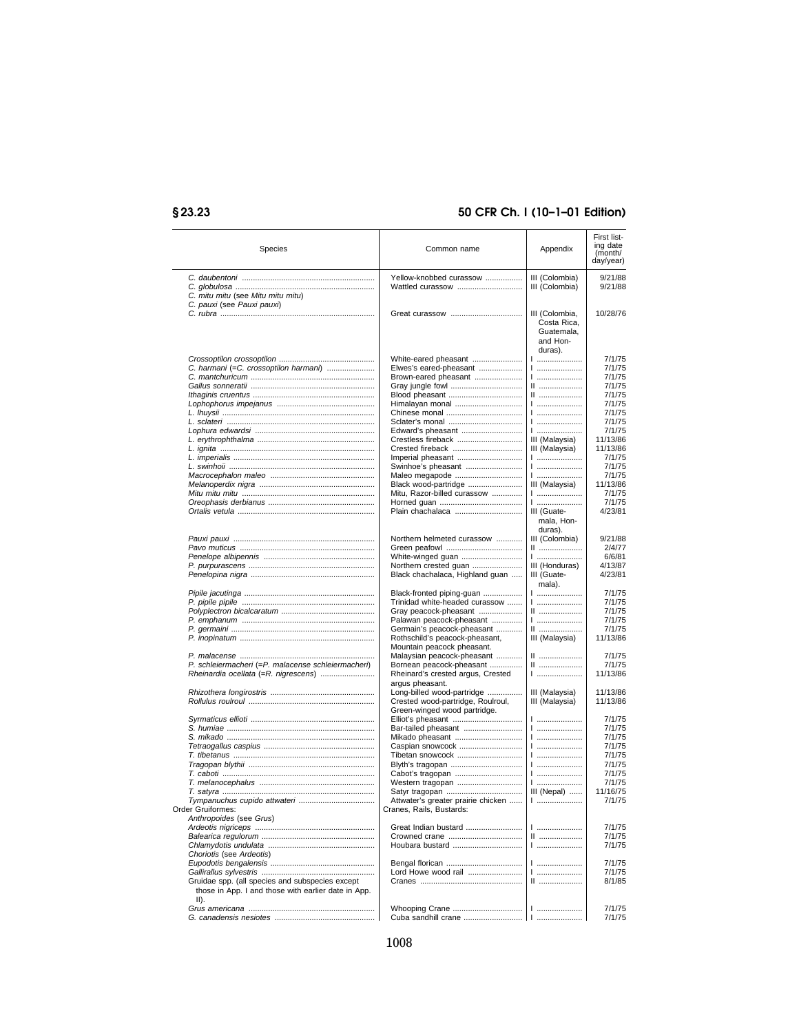| Species                                                                                                | Common name                        | Appendix                                                           | First list-<br>ing date<br>(month/<br>day/year) |
|--------------------------------------------------------------------------------------------------------|------------------------------------|--------------------------------------------------------------------|-------------------------------------------------|
|                                                                                                        | Yellow-knobbed curassow            | III (Colombia)                                                     | 9/21/88                                         |
|                                                                                                        | Wattled curassow                   | III (Colombia)                                                     | 9/21/88                                         |
|                                                                                                        |                                    |                                                                    |                                                 |
| C. mitu mitu (see Mitu mitu mitu)                                                                      |                                    |                                                                    |                                                 |
| C. pauxi (see Pauxi pauxi)                                                                             |                                    |                                                                    |                                                 |
|                                                                                                        |                                    | III (Colombia,<br>Costa Rica,<br>Guatemala,<br>and Hon-<br>duras). | 10/28/76                                        |
|                                                                                                        | White-eared pheasant               | 1                                                                  | 7/1/75                                          |
| C. harmani (=C. crossoptilon harmani)                                                                  | Elwes's eared-pheasant             | 1                                                                  | 7/1/75                                          |
|                                                                                                        | Brown-eared pheasant               | 1                                                                  | 7/1/75                                          |
|                                                                                                        |                                    | II                                                                 | 7/1/75                                          |
|                                                                                                        |                                    |                                                                    |                                                 |
|                                                                                                        | Blood pheasant                     | II                                                                 | 7/1/75                                          |
|                                                                                                        | Himalayan monal                    | 1                                                                  | 7/1/75                                          |
|                                                                                                        |                                    |                                                                    | 7/1/75                                          |
|                                                                                                        |                                    | 1                                                                  | 7/1/75                                          |
|                                                                                                        | Edward's pheasant                  | 1                                                                  | 7/1/75                                          |
|                                                                                                        | Crestless fireback                 | III (Malaysia)                                                     | 11/13/86                                        |
|                                                                                                        | Crested fireback                   | III (Malaysia)                                                     | 11/13/86                                        |
|                                                                                                        | Imperial pheasant                  | 1                                                                  | 7/1/75                                          |
|                                                                                                        | Swinhoe's pheasant                 | 1                                                                  | 7/1/75                                          |
|                                                                                                        | Maleo megapode                     | 1                                                                  | 7/1/75                                          |
|                                                                                                        | Black wood-partridge               | III (Malaysia)                                                     | 11/13/86                                        |
|                                                                                                        | Mitu, Razor-billed curassow        | 1                                                                  | 7/1/75                                          |
|                                                                                                        |                                    | 1                                                                  | 7/1/75                                          |
|                                                                                                        | Plain chachalaca                   | III (Guate-                                                        | 4/23/81                                         |
|                                                                                                        |                                    | mala, Hon-<br>duras).                                              |                                                 |
|                                                                                                        | Northern helmeted curassow         | III (Colombia)                                                     | 9/21/88                                         |
|                                                                                                        |                                    | II                                                                 | 2/4/77                                          |
|                                                                                                        | White-winged guan                  |                                                                    | 6/6/81                                          |
|                                                                                                        | Northern crested guan              | III (Honduras)                                                     | 4/13/87                                         |
|                                                                                                        | Black chachalaca, Highland quan    | III (Guate-<br>mala).                                              | 4/23/81                                         |
|                                                                                                        | Black-fronted piping-guan          | 1                                                                  | 7/1/75                                          |
|                                                                                                        | Trinidad white-headed curassow     | 1                                                                  | 7/1/75                                          |
|                                                                                                        | Gray peacock-pheasant              | II                                                                 | 7/1/75                                          |
|                                                                                                        | Palawan peacock-pheasant           | 1                                                                  | 7/1/75                                          |
|                                                                                                        | Germain's peacock-pheasant         | II                                                                 | 7/1/75                                          |
|                                                                                                        | Rothschild's peacock-pheasant,     | III (Malaysia)                                                     | 11/13/86                                        |
|                                                                                                        |                                    |                                                                    |                                                 |
|                                                                                                        | Mountain peacock pheasant.         |                                                                    |                                                 |
|                                                                                                        | Malaysian peacock-pheasant         | II                                                                 | 7/1/75                                          |
| P. schleiermacheri (=P. malacense schleiermacheri)                                                     | Bornean peacock-pheasant           | II                                                                 | 7/1/75                                          |
| Rheinardia ocellata (=R. nigrescens)                                                                   | Rheinard's crested argus, Crested  | 1                                                                  | 11/13/86                                        |
|                                                                                                        | argus pheasant.                    |                                                                    |                                                 |
|                                                                                                        | Long-billed wood-partridge         | III (Malaysia)                                                     | 11/13/86                                        |
|                                                                                                        | Crested wood-partridge, Roulroul,  | III (Malaysia)                                                     | 11/13/86                                        |
|                                                                                                        | Green-winged wood partridge.       |                                                                    |                                                 |
|                                                                                                        |                                    | 1                                                                  | 7/1/75                                          |
|                                                                                                        | Bar-tailed pheasant                | 1                                                                  | 7/1/75                                          |
|                                                                                                        | Mikado pheasant                    | 1                                                                  | 7/1/75                                          |
|                                                                                                        | Caspian snowcock                   |                                                                    | 7/1/75                                          |
|                                                                                                        | Tibetan snowcock                   | 1                                                                  | 7/1/75                                          |
|                                                                                                        |                                    | 1                                                                  | 7/1/75                                          |
|                                                                                                        | Cabot's tragopan                   |                                                                    | 7/1/75                                          |
|                                                                                                        | Western tragopan                   | 1                                                                  | 7/1/75                                          |
|                                                                                                        |                                    |                                                                    | 11/16/75                                        |
|                                                                                                        |                                    | $III$ (Nepal)                                                      |                                                 |
|                                                                                                        | Attwater's greater prairie chicken |                                                                    | 7/1/75                                          |
| Order Gruiformes:                                                                                      | Cranes, Rails, Bustards:           |                                                                    |                                                 |
| Anthropoides (see Grus)                                                                                |                                    |                                                                    |                                                 |
|                                                                                                        | Great Indian bustard               | 1                                                                  | 7/1/75                                          |
|                                                                                                        | Crowned crane                      | II                                                                 | 7/1/75                                          |
|                                                                                                        |                                    |                                                                    | 7/1/75                                          |
| Choriotis (see Ardeotis)                                                                               |                                    |                                                                    |                                                 |
|                                                                                                        |                                    |                                                                    | 7/1/75                                          |
|                                                                                                        | Lord Howe wood rail                | 1                                                                  | 7/1/75                                          |
| Gruidae spp. (all species and subspecies except<br>those in App. I and those with earlier date in App. |                                    |                                                                    | 8/1/85                                          |
| $\parallel$ ).                                                                                         |                                    |                                                                    |                                                 |
|                                                                                                        |                                    |                                                                    | 7/1/75                                          |
|                                                                                                        |                                    |                                                                    | 7/1/75                                          |
|                                                                                                        |                                    |                                                                    |                                                 |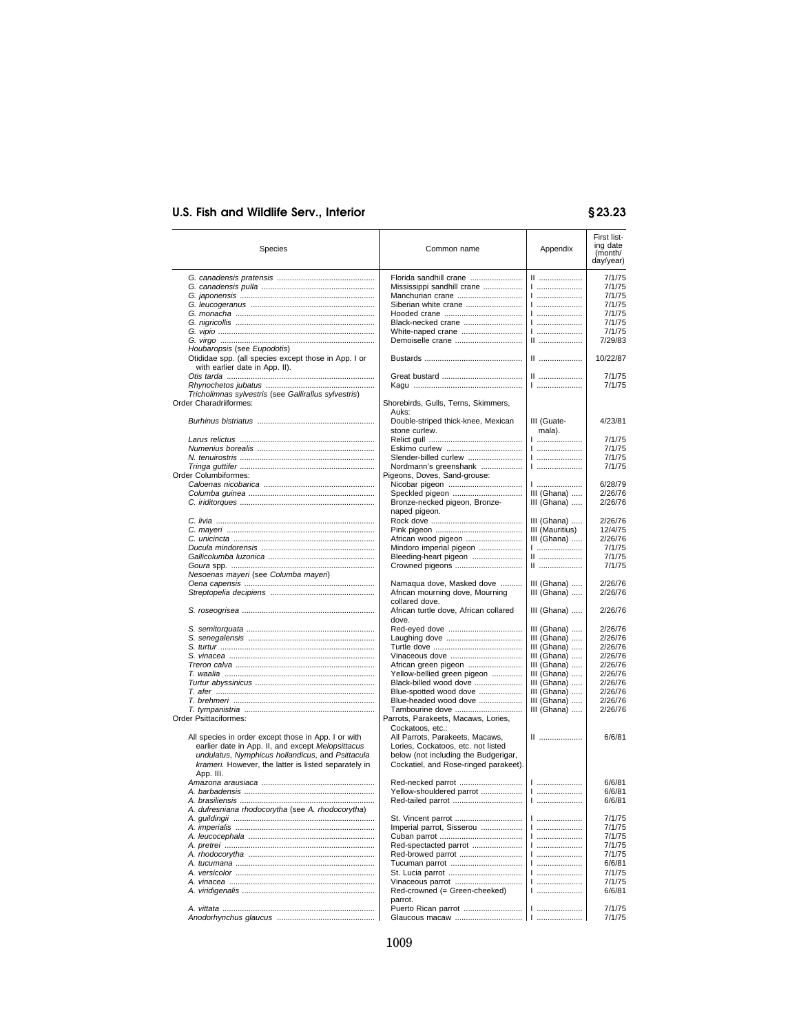| Species                                              | Common name                           | Appendix        | First list-<br>ing date<br>(month/<br>day/year) |
|------------------------------------------------------|---------------------------------------|-----------------|-------------------------------------------------|
|                                                      | Florida sandhill crane                | II              | 7/1/75                                          |
|                                                      | Mississippi sandhill crane            | 1               | 7/1/75                                          |
|                                                      | Manchurian crane                      |                 | 7/1/75                                          |
|                                                      | Siberian white crane                  | 1               | 7/1/75                                          |
|                                                      |                                       |                 | 7/1/75                                          |
|                                                      |                                       | $\ $            |                                                 |
|                                                      | Black-necked crane                    |                 | 7/1/75                                          |
|                                                      | White-naped crane                     |                 | 7/1/75                                          |
|                                                      | Demoiselle crane                      | 11              | 7/29/83                                         |
| Houbaropsis (see Eupodotis)                          |                                       |                 |                                                 |
| Otididae spp. (all species except those in App. I or |                                       | II              | 10/22/87                                        |
| with earlier date in App. II).                       |                                       |                 |                                                 |
|                                                      |                                       |                 |                                                 |
|                                                      |                                       | $\ $            | 7/1/75                                          |
|                                                      |                                       | 1               | 7/1/75                                          |
| Tricholimnas sylvestris (see Gallirallus sylvestris) |                                       |                 |                                                 |
| Order Charadriiformes:                               | Shorebirds, Gulls, Terns, Skimmers,   |                 |                                                 |
|                                                      | Auks:                                 |                 |                                                 |
|                                                      | Double-striped thick-knee, Mexican    | III (Guate-     | 4/23/81                                         |
|                                                      |                                       |                 |                                                 |
|                                                      | stone curlew.                         | mala).          |                                                 |
|                                                      |                                       | 1               | 7/1/75                                          |
|                                                      |                                       |                 | 7/1/75                                          |
|                                                      | Slender-billed curlew                 | 1               | 7/1/75                                          |
|                                                      | Nordmann's greenshank                 | $\mathsf{L}$    | 7/1/75                                          |
|                                                      |                                       |                 |                                                 |
| Order Columbiformes:                                 | Pigeons, Doves, Sand-grouse:          |                 |                                                 |
|                                                      | Nicobar pigeon                        | 1               | 6/28/79                                         |
|                                                      | Speckled pigeon                       | III (Ghana)     | 2/26/76                                         |
|                                                      | Bronze-necked pigeon, Bronze-         | III (Ghana)     | 2/26/76                                         |
|                                                      | naped pigeon.                         |                 |                                                 |
|                                                      |                                       | III (Ghana)     | 2/26/76                                         |
|                                                      |                                       |                 |                                                 |
|                                                      |                                       | III (Mauritius) | 12/4/75                                         |
|                                                      | African wood pigeon                   | III (Ghana)     | 2/26/76                                         |
|                                                      | Mindoro imperial pigeon               | 1               | 7/1/75                                          |
|                                                      | Bleeding-heart pigeon                 | II              | 7/1/75                                          |
|                                                      | Crowned pigeons                       | <u>   </u>      | 7/1/75                                          |
|                                                      |                                       |                 |                                                 |
| Nesoenas mayeri (see Columba mayeri)                 |                                       |                 |                                                 |
|                                                      | Namaqua dove, Masked dove             | III (Ghana)     | 2/26/76                                         |
|                                                      | African mourning dove, Mourning       | III (Ghana)     | 2/26/76                                         |
|                                                      | collared dove.                        |                 |                                                 |
|                                                      | African turtle dove, African collared | III (Ghana)     | 2/26/76                                         |
|                                                      | dove.                                 |                 |                                                 |
|                                                      |                                       | III (Ghana)     | 2/26/76                                         |
|                                                      |                                       |                 |                                                 |
|                                                      |                                       | III (Ghana)     | 2/26/76                                         |
|                                                      |                                       | III (Ghana)     | 2/26/76                                         |
|                                                      | Vinaceous dove                        | III (Ghana)     | 2/26/76                                         |
|                                                      | African green pigeon                  | III (Ghana)     | 2/26/76                                         |
|                                                      | Yellow-bellied green pigeon           | III (Ghana)     | 2/26/76                                         |
|                                                      | Black-billed wood dove                | III (Ghana)     | 2/26/76                                         |
|                                                      |                                       |                 |                                                 |
|                                                      | Blue-spotted wood dove                | III (Ghana)     | 2/26/76                                         |
|                                                      | Blue-headed wood dove                 | III (Ghana)     | 2/26/76                                         |
|                                                      | Tambourine dove                       | III (Ghana)     | 2/26/76                                         |
| Order Psittaciformes:                                | Parrots, Parakeets, Macaws, Lories,   |                 |                                                 |
|                                                      | Cockatoos, etc.:                      |                 |                                                 |
| All species in order except those in App. I or with  | All Parrots, Parakeets, Macaws,       |                 | 6/6/81                                          |
|                                                      |                                       |                 |                                                 |
| earlier date in App. II, and except Melopsittacus    | Lories, Cockatoos, etc. not listed    |                 |                                                 |
| undulatus, Nymphicus hollandicus, and Psittacula     | below (not including the Budgerigar,  |                 |                                                 |
| krameri. However, the latter is listed separately in | Cockatiel, and Rose-ringed parakeet). |                 |                                                 |
| App. III.                                            |                                       |                 |                                                 |
|                                                      |                                       | 1               | 6/6/81                                          |
|                                                      |                                       |                 | 6/6/81                                          |
|                                                      | Yellow-shouldered parrot              | 1               |                                                 |
|                                                      | Red-tailed parrot                     | 1               | 6/6/81                                          |
| A. dufresniana rhodocorytha (see A. rhodocorytha)    |                                       |                 |                                                 |
|                                                      | St. Vincent parrot                    | 1               | 7/1/75                                          |
|                                                      | Imperial parrot, Sisserou             |                 | 7/1/75                                          |
|                                                      |                                       | 1               | 7/1/75                                          |
|                                                      |                                       |                 | 7/1/75                                          |
|                                                      | Red-spectacted parrot                 | 1               |                                                 |
|                                                      | Red-browed parrot                     |                 | 7/1/75                                          |
|                                                      | Tucuman parrot                        | 1               | 6/6/81                                          |
|                                                      |                                       | 1               | 7/1/75                                          |
|                                                      | Vinaceous parrot                      |                 | 7/1/75                                          |
|                                                      |                                       |                 |                                                 |
|                                                      | Red-crowned (= Green-cheeked)         | 1               | 6/6/81                                          |
|                                                      | parrot.                               |                 |                                                 |
|                                                      | Puerto Rican parrot                   | 1               | 7/1/75                                          |
|                                                      |                                       |                 | 7/1/75                                          |
|                                                      |                                       |                 |                                                 |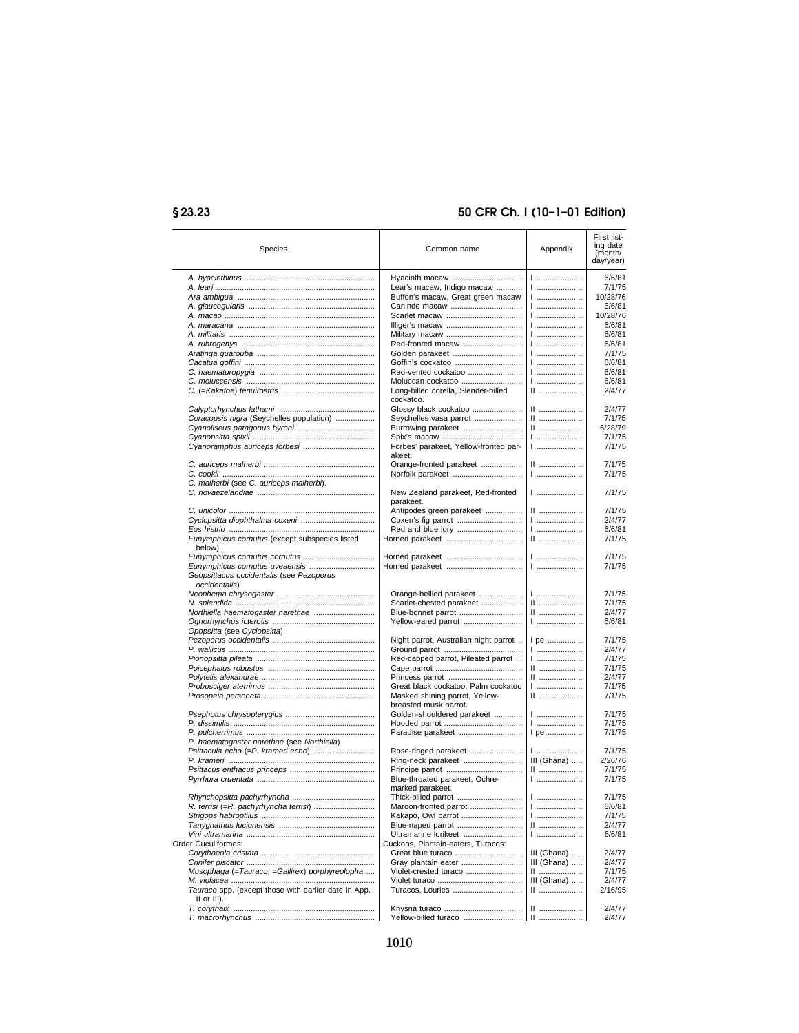| Species                                                             | Common name                                             | Appendix                   | First list-<br>ing date<br>(month/<br>day/year) |
|---------------------------------------------------------------------|---------------------------------------------------------|----------------------------|-------------------------------------------------|
|                                                                     | Hyacinth macaw                                          | 1                          | 6/6/81                                          |
|                                                                     | Lear's macaw, Indigo macaw                              | $\mathsf{L}$               | 7/1/75                                          |
|                                                                     | Buffon's macaw, Great green macaw                       | 1                          | 10/28/76                                        |
|                                                                     |                                                         |                            | 6/6/81                                          |
|                                                                     |                                                         |                            | 10/28/76                                        |
|                                                                     |                                                         |                            | 6/6/81                                          |
|                                                                     |                                                         | 1                          | 6/6/81                                          |
|                                                                     | Red-fronted macaw                                       | 1                          | 6/6/81                                          |
|                                                                     | Golden parakeet                                         | 1                          | 7/1/75                                          |
|                                                                     | Goffin's cockatoo                                       | 1                          | 6/6/81                                          |
|                                                                     | Red-vented cockatoo                                     | 1                          | 6/6/81                                          |
|                                                                     | Moluccan cockatoo                                       | $\mathsf{L}$               | 6/6/81                                          |
|                                                                     | Long-billed corella, Slender-billed<br>cockatoo.        | II                         | 2/4/77                                          |
|                                                                     | Glossy black cockatoo                                   | II                         | 2/4/77                                          |
| Coracopsis nigra (Seychelles population)                            | Seychelles vasa parrot                                  | II<br>II                   | 7/1/75<br>6/28/79                               |
|                                                                     | Burrowing parakeet                                      | 1                          | 7/1/75                                          |
|                                                                     | Forbes' parakeet, Yellow-fronted par-                   | 1                          | 7/1/75                                          |
|                                                                     | akeet.                                                  |                            |                                                 |
|                                                                     | Orange-fronted parakeet                                 | II                         | 7/1/75                                          |
|                                                                     | Norfolk parakeet                                        | 1                          | 7/1/75                                          |
| C. malherbi (see C. auriceps malherbi).                             |                                                         |                            |                                                 |
|                                                                     | New Zealand parakeet, Red-fronted<br>parakeet.          |                            | 7/1/75                                          |
|                                                                     | Antipodes green parakeet                                | II                         | 7/1/75                                          |
|                                                                     |                                                         | 1                          | 2/4/77                                          |
|                                                                     | Red and blue lory                                       | 1                          | 6/6/81                                          |
| Eunymphicus cornutus (except subspecies listed<br>below).           |                                                         |                            | 7/1/75                                          |
|                                                                     |                                                         | 1                          | 7/1/75                                          |
| Geopsittacus occidentalis (see Pezoporus<br>occidentalis)           |                                                         |                            | 7/1/75                                          |
|                                                                     | Orange-bellied parakeet                                 |                            | 7/1/75                                          |
|                                                                     | Scarlet-chested parakeet                                | II                         | 7/1/75                                          |
|                                                                     | Blue-bonnet parrot                                      | <u>   </u>                 | 2/4/77                                          |
| Opopsitta (see Cyclopsitta)                                         | Yellow-eared parrot                                     | 1                          | 6/6/81                                          |
|                                                                     | Night parrot, Australian night parrot                   | I pe                       | 7/1/75                                          |
|                                                                     |                                                         | 1                          | 2/4/77                                          |
|                                                                     | Red-capped parrot, Pileated parrot                      | 1                          | 7/1/75                                          |
|                                                                     |                                                         | II                         | 7/1/75                                          |
|                                                                     |                                                         | II                         | 2/4/77                                          |
|                                                                     | Great black cockatoo, Palm cockatoo                     | 1<br>II                    | 7/1/75<br>7/1/75                                |
|                                                                     | Masked shining parrot, Yellow-<br>breasted musk parrot. |                            |                                                 |
|                                                                     | Golden-shouldered parakeet                              | 1                          | 7/1/75                                          |
|                                                                     |                                                         | 1                          | 7/1/75                                          |
|                                                                     | Paradise parakeet                                       | I pe                       | 7/1/75                                          |
| P. haematogaster narethae (see Northiella)                          |                                                         |                            |                                                 |
|                                                                     | Rose-ringed parakeet                                    | 1                          | 7/1/75                                          |
|                                                                     | Ring-neck parakeet                                      | III (Ghana)                | 2/26/76                                         |
|                                                                     |                                                         | II                         | 7/1/75                                          |
|                                                                     | Blue-throated parakeet, Ochre-<br>marked parakeet.      | 1                          | 7/1/75                                          |
|                                                                     |                                                         | 1                          | 7/1/75                                          |
|                                                                     | Maroon-fronted parrot                                   | 1                          | 6/6/81                                          |
|                                                                     | Kakapo, Owl parrot                                      | 1                          | 7/1/75                                          |
|                                                                     | Blue-naped parrot                                       |                            | 2/4/77                                          |
|                                                                     | Ultramarine lorikeet                                    | 1                          | 6/6/81                                          |
| Order Cuculiformes:                                                 | Cuckoos, Plantain-eaters, Turacos:                      |                            |                                                 |
|                                                                     | Great blue turaco<br>Gray plantain eater                | III (Ghana)<br>III (Ghana) | 2/4/77<br>2/4/77                                |
| Musophaga (=Tauraco, =Gallirex) porphyreolopha                      | Violet-crested turaco                                   | II                         | 7/1/75                                          |
|                                                                     |                                                         | III (Ghana)                | 2/4/77                                          |
| Tauraco spp. (except those with earlier date in App.<br>II or III). | Turacos, Louries                                        | II                         | 2/16/95                                         |
|                                                                     |                                                         | 11                         | 2/4/77                                          |
|                                                                     |                                                         |                            | 2/4/77                                          |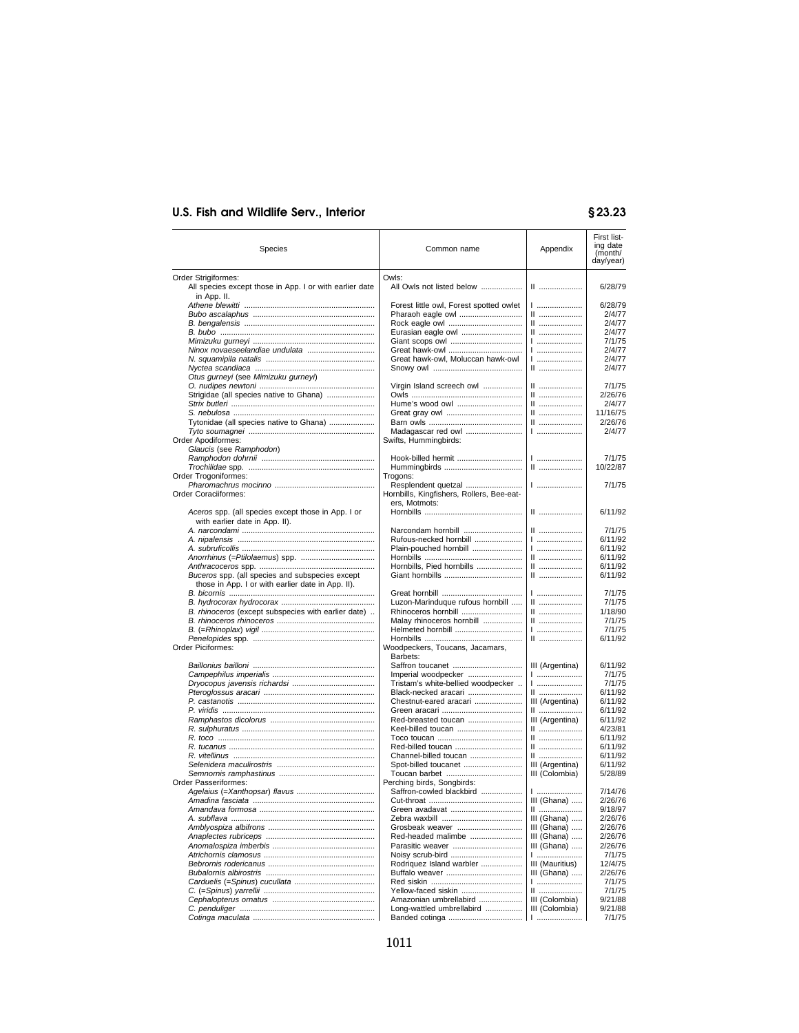| Species                                                                | Common name                                    | Appendix              | First list-<br>ing date<br>(month/<br>day/year) |
|------------------------------------------------------------------------|------------------------------------------------|-----------------------|-------------------------------------------------|
| Order Strigiformes:                                                    | Owls:                                          |                       |                                                 |
| All species except those in App. I or with earlier date<br>in App. II. | All Owls not listed below                      | 11                    | 6/28/79                                         |
|                                                                        | Forest little owl, Forest spotted owlet        | 1                     | 6/28/79                                         |
|                                                                        |                                                | II                    | 2/4/77                                          |
|                                                                        |                                                |                       | 2/4/77                                          |
|                                                                        | Eurasian eagle owl                             | $\ $                  | 2/4/77                                          |
|                                                                        | Giant scops owl                                | 1                     | 7/1/75                                          |
|                                                                        | Great hawk-owl                                 | 1                     | 2/4/77                                          |
|                                                                        | Great hawk-owl, Moluccan hawk-owl              | 1                     | 2/4/77                                          |
|                                                                        |                                                | II                    | 2/4/77                                          |
| Otus gurneyi (see Mimizuku gurneyi)                                    |                                                |                       |                                                 |
|                                                                        | Virgin Island screech owl                      | II<br>$  $            | 7/1/75<br>2/26/76                               |
|                                                                        |                                                | II                    | 2/4/77                                          |
|                                                                        |                                                |                       | 11/16/75                                        |
| Tytonidae (all species native to Ghana)                                |                                                |                       | 2/26/76                                         |
|                                                                        | Madagascar red owl                             | 1                     | 2/4/77                                          |
| Order Apodiformes:                                                     | Swifts, Hummingbirds:                          |                       |                                                 |
| Glaucis (see Ramphodon)                                                |                                                |                       |                                                 |
|                                                                        | Hook-billed hermit                             | 1                     | 7/1/75                                          |
|                                                                        |                                                |                       | 10/22/87                                        |
| Order Trogoniformes:                                                   | Trogons:                                       |                       |                                                 |
|                                                                        | Resplendent quetzal                            | 1                     | 7/1/75                                          |
| Order Coraciiformes:                                                   | Hornbills, Kingfishers, Rollers, Bee-eat-      |                       |                                                 |
|                                                                        | ers, Motmots:                                  |                       |                                                 |
| Aceros spp. (all species except those in App. I or                     |                                                | II                    | 6/11/92                                         |
| with earlier date in App. II).                                         |                                                |                       |                                                 |
|                                                                        | Narcondam hornbill                             | $\ $                  | 7/1/75                                          |
|                                                                        | Rufous-necked hornbill                         |                       | 6/11/92                                         |
|                                                                        | Plain-pouched hornbill                         | 1                     | 6/11/92                                         |
|                                                                        |                                                | 11                    | 6/11/92                                         |
|                                                                        | Hornbills, Pied hornbills                      | II                    | 6/11/92                                         |
| Buceros spp. (all species and subspecies except                        |                                                | 11                    | 6/11/92                                         |
| those in App. I or with earlier date in App. II).                      |                                                | 1                     | 7/1/75                                          |
|                                                                        | Luzon-Marinduque rufous hornbill               | II                    | 7/1/75                                          |
| B. rhinoceros (except subspecies with earlier date)                    | Rhinoceros hornbill                            | II                    | 1/18/90                                         |
|                                                                        | Malay rhinoceros hornbill                      | 11                    | 7/1/75                                          |
|                                                                        | Helmeted hornbill                              |                       | 7/1/75                                          |
|                                                                        |                                                | 11                    | 6/11/92                                         |
| Order Piciformes:                                                      | Woodpeckers, Toucans, Jacamars,                |                       |                                                 |
|                                                                        | Barbets:                                       |                       |                                                 |
|                                                                        | Saffron toucanet                               | III (Argentina)       | 6/11/92                                         |
|                                                                        | Imperial woodpecker                            | 1                     | 7/1/75                                          |
|                                                                        | Tristam's white-bellied woodpecker             | 1                     | 7/1/75                                          |
|                                                                        | Black-necked aracari<br>Chestnut-eared aracari | II<br>III (Argentina) | 6/11/92<br>6/11/92                              |
|                                                                        |                                                | 11                    | 6/11/92                                         |
|                                                                        | Red-breasted toucan                            | III (Argentina)       | 6/11/92                                         |
|                                                                        | Keel-billed toucan                             | <u>   </u>            | 4/23/81                                         |
|                                                                        |                                                | 11                    | 6/11/92                                         |
|                                                                        |                                                | 11                    | 6/11/92                                         |
|                                                                        | Channel-billed toucan                          | II                    | 6/11/92                                         |
|                                                                        | Spot-billed toucanet                           | III (Argentina)       | 6/11/92                                         |
|                                                                        | Toucan barbet                                  | III (Colombia)        | 5/28/89                                         |
| Order Passeriformes:                                                   | Perching birds, Songbirds:                     |                       |                                                 |
|                                                                        | Saffron-cowled blackbird                       | 1                     | 7/14/76                                         |
|                                                                        |                                                | III (Ghana)           | 2/26/76                                         |
|                                                                        | Green avadavat                                 | 11                    | 9/18/97                                         |
|                                                                        |                                                | III (Ghana)           | 2/26/76                                         |
|                                                                        | Grosbeak weaver                                | III (Ghana)           | 2/26/76                                         |
|                                                                        | Red-headed malimbe                             | III (Ghana)           | 2/26/76                                         |
|                                                                        | Parasitic weaver                               | III (Ghana)           | 2/26/76                                         |
|                                                                        |                                                | 1                     | 7/1/75                                          |
|                                                                        | Rodriquez Island warbler                       | III (Mauritius)       | 12/4/75                                         |
|                                                                        |                                                | III (Ghana)           | 2/26/76                                         |
|                                                                        |                                                | 1                     | 7/1/75                                          |
|                                                                        | Yellow-faced siskin<br>Amazonian umbrellabird  | 11<br>III (Colombia)  | 7/1/75<br>9/21/88                               |
|                                                                        | Long-wattled umbrellabird                      | III (Colombia)        | 9/21/88                                         |
|                                                                        |                                                | 1                     | 7/1/75                                          |
|                                                                        |                                                |                       |                                                 |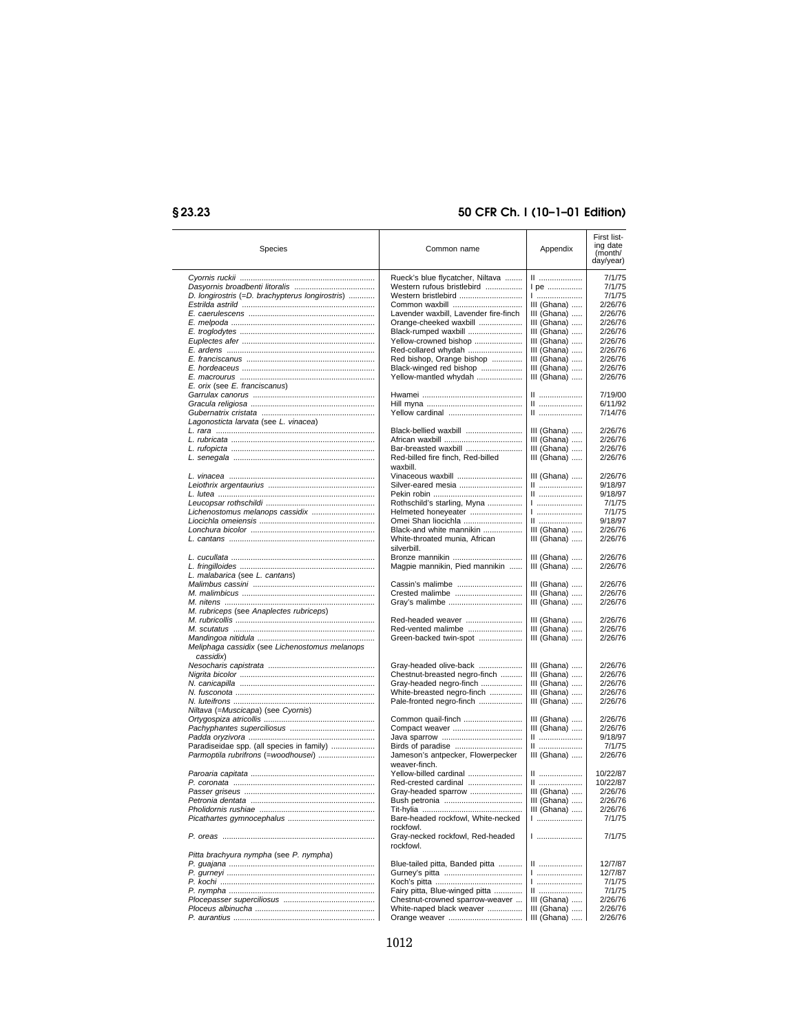| Species                                                                                                                    | Common name                                                 | Appendix                   | First list-<br>ing date<br>(month/<br>day/year) |
|----------------------------------------------------------------------------------------------------------------------------|-------------------------------------------------------------|----------------------------|-------------------------------------------------|
|                                                                                                                            | Rueck's blue flycatcher, Niltava                            | II                         | 7/1/75                                          |
|                                                                                                                            | Western rufous bristlebird                                  | I pe                       | 7/1/75                                          |
| D. longirostris (=D. brachypterus longirostris)                                                                            | Western bristlebird                                         | 1                          | 7/1/75                                          |
|                                                                                                                            | Common waxbill                                              | III (Ghana)                | 2/26/76                                         |
|                                                                                                                            | Lavender waxbill, Lavender fire-finch                       | III (Ghana)                | 2/26/76                                         |
|                                                                                                                            | Orange-cheeked waxbill                                      | III (Ghana)                | 2/26/76                                         |
|                                                                                                                            | Black-rumped waxbill                                        | III (Ghana)                | 2/26/76                                         |
|                                                                                                                            | Yellow-crowned bishop                                       | III (Ghana)                | 2/26/76                                         |
|                                                                                                                            | Red-collared whydah                                         | III (Ghana)                | 2/26/76                                         |
|                                                                                                                            | Red bishop, Orange bishop                                   | III (Ghana)                | 2/26/76                                         |
|                                                                                                                            | Black-winged red bishop                                     | III (Ghana)                | 2/26/76                                         |
|                                                                                                                            | Yellow-mantled whydah                                       | III (Ghana)                | 2/26/76                                         |
| E. orix (see E. franciscanus)                                                                                              |                                                             | II                         | 7/19/00                                         |
|                                                                                                                            |                                                             | II                         | 6/11/92                                         |
|                                                                                                                            | Yellow cardinal                                             | II                         | 7/14/76                                         |
| Lagonosticta larvata (see L. vinacea)                                                                                      |                                                             |                            |                                                 |
|                                                                                                                            | Black-bellied waxbill                                       | III (Ghana)                | 2/26/76                                         |
|                                                                                                                            |                                                             | III (Ghana)                | 2/26/76                                         |
|                                                                                                                            | Bar-breasted waxbill                                        | III (Ghana)                | 2/26/76                                         |
|                                                                                                                            | Red-billed fire finch, Red-billed                           | III (Ghana)                | 2/26/76                                         |
|                                                                                                                            | waxbill.                                                    |                            |                                                 |
|                                                                                                                            | Vinaceous waxbill                                           | III (Ghana)                | 2/26/76                                         |
|                                                                                                                            | Silver-eared mesia                                          | II                         | 9/18/97                                         |
|                                                                                                                            |                                                             | II                         | 9/18/97                                         |
|                                                                                                                            | Rothschild's starling, Myna                                 |                            | 7/1/75                                          |
| Lichenostomus melanops cassidix                                                                                            | Helmeted honeyeater                                         | 1                          | 7/1/75                                          |
|                                                                                                                            | Omei Shan liocichla                                         | II                         | 9/18/97                                         |
|                                                                                                                            | Black-and white mannikin                                    | III (Ghana)                | 2/26/76                                         |
|                                                                                                                            | White-throated munia. African                               | III (Ghana)                | 2/26/76                                         |
|                                                                                                                            | silverbill.                                                 |                            |                                                 |
|                                                                                                                            |                                                             | III (Ghana)                | 2/26/76                                         |
|                                                                                                                            | Magpie mannikin, Pied mannikin                              | III (Ghana)                | 2/26/76                                         |
| L. malabarica (see L. cantans)                                                                                             |                                                             |                            |                                                 |
|                                                                                                                            | Cassin's malimbe                                            | III (Ghana)                | 2/26/76                                         |
|                                                                                                                            | Crested malimbe                                             | III (Ghana)                | 2/26/76                                         |
|                                                                                                                            |                                                             | III (Ghana)                | 2/26/76                                         |
| M. rubriceps (see Anaplectes rubriceps)                                                                                    |                                                             |                            |                                                 |
|                                                                                                                            | Red-headed weaver                                           | III (Ghana)                | 2/26/76                                         |
|                                                                                                                            | Red-vented malimbe                                          | III (Ghana)                | 2/26/76                                         |
|                                                                                                                            | Green-backed twin-spot                                      | III (Ghana)                | 2/26/76                                         |
| Meliphaga cassidix (see Lichenostomus melanops<br>cassidix)                                                                |                                                             |                            |                                                 |
|                                                                                                                            | Gray-headed olive-back                                      | III (Ghana)                | 2/26/76                                         |
|                                                                                                                            | Chestnut-breasted negro-finch                               | III (Ghana)                | 2/26/76                                         |
|                                                                                                                            | Gray-headed negro-finch                                     | III (Ghana)                | 2/26/76                                         |
|                                                                                                                            | White-breasted negro-finch                                  | III (Ghana)                | 2/26/76                                         |
|                                                                                                                            | Pale-fronted negro-finch                                    | III (Ghana)                | 2/26/76                                         |
| Niltava (=Muscicapa) (see Cyornis)                                                                                         |                                                             |                            |                                                 |
|                                                                                                                            | Common quail-finch                                          | III (Ghana)                | 2/26/76                                         |
|                                                                                                                            |                                                             |                            |                                                 |
|                                                                                                                            |                                                             | III (Ghana)                | 2/26/76                                         |
|                                                                                                                            | Compact weaver                                              | II                         | 9/18/97                                         |
|                                                                                                                            |                                                             |                            |                                                 |
|                                                                                                                            | Birds of paradise<br>Jameson's antpecker, Flowerpecker      | III (Ghana)                |                                                 |
|                                                                                                                            | weaver-finch.                                               |                            | 7/1/75<br>2/26/76                               |
|                                                                                                                            | Yellow-billed cardinal                                      | II                         | 10/22/87                                        |
|                                                                                                                            | Red-crested cardinal                                        | II                         | 10/22/87                                        |
|                                                                                                                            | Gray-headed sparrow                                         | III (Ghana)                |                                                 |
|                                                                                                                            |                                                             | III (Ghana)                | 2/26/76<br>2/26/76                              |
|                                                                                                                            |                                                             | III (Ghana)                | 2/26/76                                         |
|                                                                                                                            | Bare-headed rockfowl, White-necked<br>rockfowl.             | 1                          | 7/1/75                                          |
|                                                                                                                            | Gray-necked rockfowl, Red-headed<br>rockfowl.               | 1                          |                                                 |
|                                                                                                                            |                                                             |                            | 7/1/75                                          |
|                                                                                                                            | Blue-tailed pitta, Banded pitta                             | II                         | 12/7/87                                         |
|                                                                                                                            |                                                             |                            | 12/7/87                                         |
| Paradiseidae spp. (all species in family)<br>Parmoptila rubrifrons (=woodhousei)<br>Pitta brachyura nympha (see P. nympha) |                                                             |                            | 7/1/75                                          |
|                                                                                                                            | Fairy pitta, Blue-winged pitta                              | II                         | 7/1/75                                          |
|                                                                                                                            | Chestnut-crowned sparrow-weaver<br>White-naped black weaver | III (Ghana)<br>III (Ghana) | 2/26/76<br>2/26/76                              |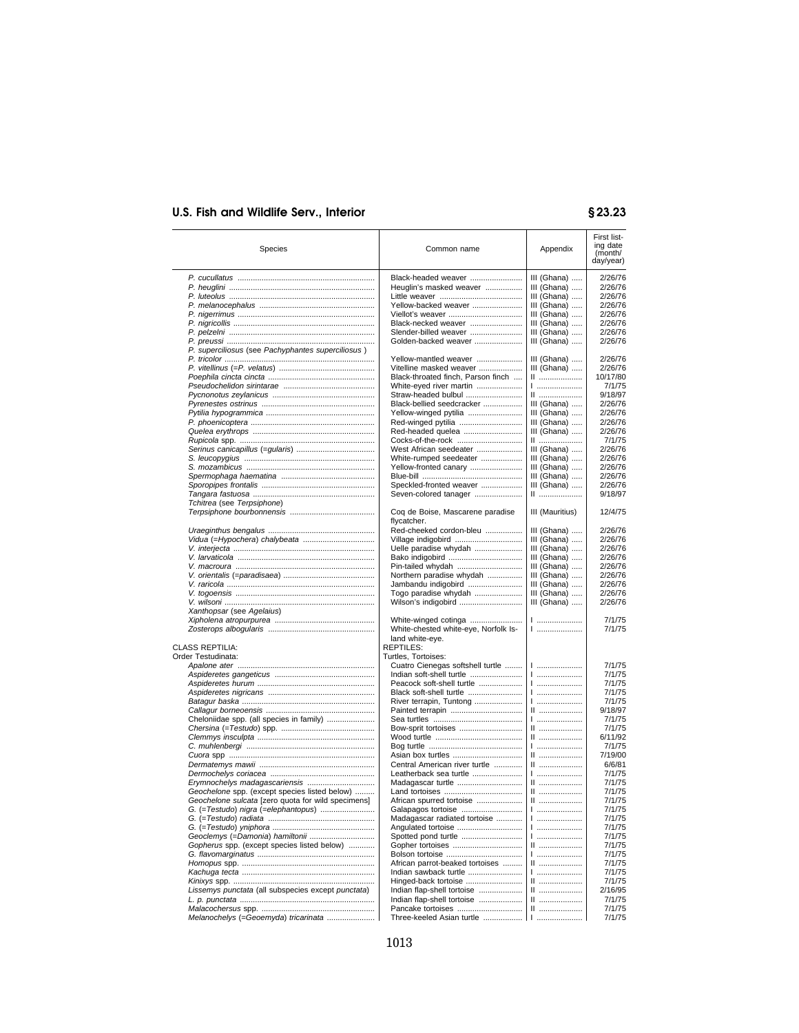| Species                                            | Common name                                     | Appendix        | First list-<br>ing date<br>(month/<br>day/year) |
|----------------------------------------------------|-------------------------------------------------|-----------------|-------------------------------------------------|
|                                                    | Black-headed weaver                             | III (Ghana)     | 2/26/76                                         |
|                                                    | Heuglin's masked weaver                         | III (Ghana)     | 2/26/76                                         |
|                                                    |                                                 | III (Ghana)     | 2/26/76                                         |
|                                                    | Yellow-backed weaver                            | III (Ghana)     | 2/26/76                                         |
|                                                    |                                                 | III (Ghana)     | 2/26/76                                         |
|                                                    | Black-necked weaver                             | III (Ghana)     | 2/26/76                                         |
|                                                    | Slender-billed weaver                           | III (Ghana)     | 2/26/76                                         |
|                                                    | Golden-backed weaver                            | III (Ghana)     | 2/26/76                                         |
| P. superciliosus (see Pachyphantes superciliosus)  |                                                 |                 |                                                 |
|                                                    | Yellow-mantled weaver                           | III (Ghana)     | 2/26/76                                         |
|                                                    | Vitelline masked weaver                         | III (Ghana)     | 2/26/76                                         |
|                                                    | Black-throated finch, Parson finch              | II              | 10/17/80                                        |
|                                                    | White-eyed river martin                         | 1               | 7/1/75                                          |
|                                                    | Straw-headed bulbul                             |                 | 9/18/97                                         |
|                                                    | Black-bellied seedcracker                       | III (Ghana)     | 2/26/76                                         |
|                                                    | Yellow-winged pytilia                           | III (Ghana)     | 2/26/76                                         |
|                                                    | Red-winged pytilia                              | III (Ghana)     | 2/26/76                                         |
|                                                    | Red-headed quelea                               | III (Ghana)     | 2/26/76                                         |
|                                                    | Cocks-of-the-rock                               | II              | 7/1/75                                          |
|                                                    | West African seedeater                          | III (Ghana)     | 2/26/76                                         |
|                                                    | White-rumped seedeater                          | III (Ghana)     | 2/26/76                                         |
|                                                    | Yellow-fronted canary                           | III (Ghana)     | 2/26/76                                         |
|                                                    |                                                 | III (Ghana)     | 2/26/76                                         |
|                                                    | Speckled-fronted weaver                         | III (Ghana)     | 2/26/76                                         |
|                                                    | Seven-colored tanager                           | II              | 9/18/97                                         |
| Tchitrea (see Terpsiphone)                         |                                                 |                 |                                                 |
|                                                    | Coq de Boise, Mascarene paradise<br>flycatcher. | III (Mauritius) | 12/4/75                                         |
|                                                    | Red-cheeked cordon-bleu                         | III (Ghana)     | 2/26/76                                         |
|                                                    |                                                 | III (Ghana)     | 2/26/76                                         |
|                                                    | Uelle paradise whydah                           | III (Ghana)     | 2/26/76                                         |
|                                                    |                                                 | III (Ghana)     | 2/26/76                                         |
|                                                    | Pin-tailed whydah                               | III (Ghana)     | 2/26/76                                         |
|                                                    | Northern paradise whydah                        | III (Ghana)     | 2/26/76                                         |
|                                                    | Jambandu indigobird                             | III (Ghana)     | 2/26/76                                         |
|                                                    | Togo paradise whydah                            | III (Ghana)     | 2/26/76                                         |
|                                                    | Wilson's indigobird                             | III (Ghana)     | 2/26/76                                         |
| Xanthopsar (see Agelaius)                          |                                                 |                 |                                                 |
|                                                    | White-winged cotinga                            | 1               | 7/1/75                                          |
|                                                    | White-chested white-eye, Norfolk Is-            | 1               | 7/1/75                                          |
|                                                    | land white-eye.                                 |                 |                                                 |
| <b>CLASS REPTILIA:</b>                             | REPTILES:                                       |                 |                                                 |
| Order Testudinata:                                 | Turtles, Tortoises:                             |                 |                                                 |
|                                                    | Cuatro Cienegas softshell turtle                |                 | 7/1/75                                          |
|                                                    | Indian soft-shell turtle                        |                 | 7/1/75                                          |
|                                                    | Peacock soft-shell turtle                       | 1               | 7/1/75                                          |
|                                                    | Black soft-shell turtle                         |                 | 7/1/75                                          |
|                                                    | River terrapin, Tuntong                         | 1               | 7/1/75                                          |
|                                                    | Painted terrapin                                | II              | 9/18/97                                         |
| Cheloniidae spp. (all species in family)           |                                                 | $\mathsf{L}$    | 7/1/75                                          |
|                                                    | Bow-sprit tortoises                             | II              | 7/1/75                                          |
|                                                    |                                                 | II              | 6/11/92                                         |
|                                                    |                                                 | 1               | 7/1/75                                          |
|                                                    | Asian box turtles                               | II              | 7/19/00                                         |
|                                                    | Central American river turtle                   |                 | 6/6/81                                          |
|                                                    | Leatherback sea turtle                          |                 | 7/1/75                                          |
|                                                    | Madagascar turtle                               | $\mathbf{II}$   | 7/1/75                                          |
| Geochelone spp. (except species listed below)      |                                                 | II              | 7/1/75                                          |
| Geochelone sulcata [zero quota for wild specimens] | African spurred tortoise                        | II              | 7/1/75                                          |
| G. (=Testudo) nigra (=elephantopus)                | Galapagos tortoise                              |                 | 7/1/75                                          |
|                                                    | Madagascar radiated tortoise                    | 1               | 7/1/75                                          |
|                                                    | Angulated tortoise                              | 1               | 7/1/75                                          |
| Geoclemys (=Damonia) hamiltonii                    | Spotted pond turtle                             | 1               | 7/1/75                                          |
| Gopherus spp. (except species listed below)        | Gopher tortoises                                | II              | 7/1/75                                          |
|                                                    |                                                 |                 | 7/1/75                                          |
|                                                    | African parrot-beaked tortoises                 | II              | 7/1/75                                          |
|                                                    | Indian sawback turtle                           | 1               | 7/1/75                                          |
|                                                    | Hinged-back tortoise                            |                 | 7/1/75                                          |
| Lissemys punctata (all subspecies except punctata) | Indian flap-shell tortoise                      | II              | 2/16/95                                         |
|                                                    | Indian flap-shell tortoise                      | II              | 7/1/75                                          |
|                                                    | Pancake tortoises                               | 11              | 7/1/75                                          |
| Melanochelys (=Geoemyda) tricarinata               |                                                 |                 | 7/1/75                                          |
|                                                    |                                                 |                 |                                                 |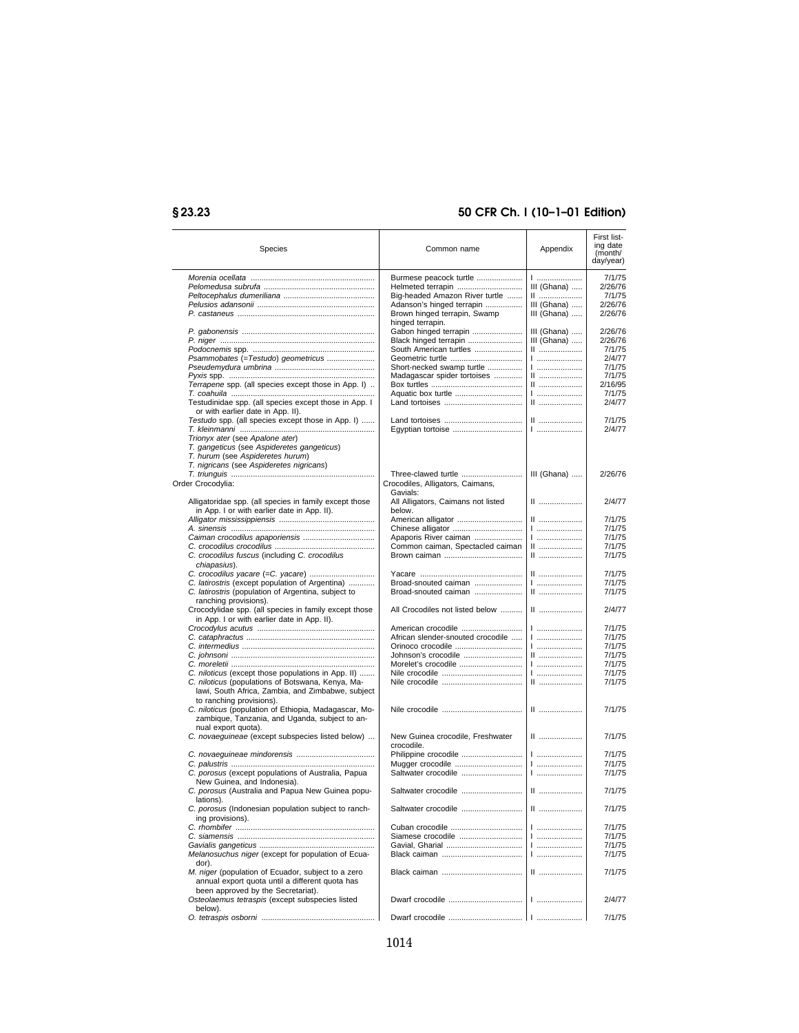| Species                                                                                                | Common name                        | Appendix    | First list-<br>ing date<br>(month/<br>day/year) |
|--------------------------------------------------------------------------------------------------------|------------------------------------|-------------|-------------------------------------------------|
|                                                                                                        | Burmese peacock turtle             |             | 7/1/75                                          |
|                                                                                                        | Helmeted terrapin                  | III (Ghana) | 2/26/76                                         |
|                                                                                                        | Big-headed Amazon River turtle     | II          | 7/1/75                                          |
|                                                                                                        | Adanson's hinged terrapin          | III (Ghana) | 2/26/76                                         |
|                                                                                                        | Brown hinged terrapin, Swamp       | III (Ghana) | 2/26/76                                         |
|                                                                                                        | hinged terrapin.                   |             |                                                 |
|                                                                                                        | Gabon hinged terrapin              | III (Ghana) | 2/26/76                                         |
|                                                                                                        | Black hinged terrapin              | III (Ghana) | 2/26/76                                         |
|                                                                                                        | South American turtles             | II          | 7/1/75                                          |
| Psammobates (=Testudo) geometricus                                                                     |                                    |             | 2/4/77                                          |
|                                                                                                        | Short-necked swamp turtle          |             | 7/1/75                                          |
|                                                                                                        | Madagascar spider tortoises        | <u>   </u>  | 7/1/75                                          |
| Terrapene spp. (all species except those in App. I)                                                    |                                    | II          | 2/16/95                                         |
|                                                                                                        | Aquatic box turtle                 | 1           | 7/1/75                                          |
| Testudinidae spp. (all species except those in App. I<br>or with earlier date in App. II).             |                                    | II          | 2/4/77                                          |
| Testudo spp. (all species except those in App. I)                                                      |                                    |             | 7/1/75                                          |
|                                                                                                        |                                    | 1           | 2/4/77                                          |
| Trionyx ater (see Apalone ater)                                                                        |                                    |             |                                                 |
| T. gangeticus (see Aspideretes gangeticus)                                                             |                                    |             |                                                 |
|                                                                                                        |                                    |             |                                                 |
| T. hurum (see Aspideretes hurum)                                                                       |                                    |             |                                                 |
| T. nigricans (see Aspideretes nigricans)                                                               |                                    |             |                                                 |
|                                                                                                        | Three-clawed turtle                | III (Ghana) | 2/26/76                                         |
| Order Crocodylia:                                                                                      | Crocodiles, Alligators, Caimans,   |             |                                                 |
|                                                                                                        | Gavials:                           |             |                                                 |
| Alligatoridae spp. (all species in family except those                                                 | All Alligators, Caimans not listed | $\ $        | 2/4/77                                          |
| in App. I or with earlier date in App. II).                                                            | below.                             |             |                                                 |
|                                                                                                        | American alligator                 | $  $        | 7/1/75                                          |
|                                                                                                        |                                    | 1           | 7/1/75                                          |
|                                                                                                        | Apaporis River caiman              |             | 7/1/75                                          |
|                                                                                                        | Common caiman, Spectacled caiman   |             | 7/1/75                                          |
| C. crocodilus fuscus (including C. crocodilus                                                          |                                    | II          | 7/1/75                                          |
| chiapasius).                                                                                           |                                    |             |                                                 |
|                                                                                                        |                                    |             | 7/1/75                                          |
| C. latirostris (except population of Argentina)                                                        | Broad-snouted caiman               | 1           | 7/1/75                                          |
| C. latirostris (population of Argentina, subject to<br>ranching provisions).                           | Broad-snouted caiman               | II          | 7/1/75                                          |
| Crocodylidae spp. (all species in family except those                                                  | All Crocodiles not listed below    | II          | 2/4/77                                          |
| in App. I or with earlier date in App. II).                                                            |                                    |             |                                                 |
|                                                                                                        | American crocodile                 |             | 7/1/75                                          |
|                                                                                                        | African slender-snouted crocodile  | 1           | 7/1/75                                          |
|                                                                                                        | Orinoco crocodile                  |             | 7/1/75                                          |
|                                                                                                        | Johnson's crocodile                | II          | 7/1/75                                          |
|                                                                                                        | Morelet's crocodile                | 1           | 7/1/75                                          |
|                                                                                                        |                                    |             | 7/1/75                                          |
| C. niloticus (except those populations in App. II)                                                     |                                    |             |                                                 |
| C. niloticus (populations of Botswana, Kenya, Ma-<br>lawi, South Africa, Zambia, and Zimbabwe, subject |                                    | II          | 7/1/75                                          |
| to ranching provisions).                                                                               |                                    |             |                                                 |
| C. niloticus (population of Ethiopia, Madagascar, Mo-                                                  |                                    | II          | 7/1/75                                          |
| zambique, Tanzania, and Uganda, subject to an-                                                         |                                    |             |                                                 |
| nual export quota).                                                                                    |                                    |             |                                                 |
| C. novaeguineae (except subspecies listed below)                                                       | New Guinea crocodile, Freshwater   | II          | 7/1/75                                          |
|                                                                                                        | crocodile.                         |             |                                                 |
|                                                                                                        | Philippine crocodile               |             | 7/1/75                                          |
|                                                                                                        | Mugger crocodile                   |             | 7/1/75                                          |
| C. porosus (except populations of Australia, Papua                                                     | Saltwater crocodile                |             | 7/1/75                                          |
| New Guinea, and Indonesia).                                                                            |                                    |             |                                                 |
| C. porosus (Australia and Papua New Guinea popu-                                                       | Saltwater crocodile                | II          | 7/1/75                                          |
| lations).                                                                                              |                                    |             |                                                 |
| C. porosus (Indonesian population subject to ranch-                                                    | Saltwater crocodile                | 11          | 7/1/75                                          |
| ing provisions).                                                                                       |                                    |             |                                                 |
|                                                                                                        | Cuban crocodile                    | 1           | 7/1/75                                          |
|                                                                                                        |                                    |             | 7/1/75                                          |
|                                                                                                        |                                    |             | 7/1/75                                          |
| Melanosuchus niger (except for population of Ecua-                                                     |                                    | 1           | 7/1/75                                          |
| dor).                                                                                                  |                                    |             |                                                 |
| M. niger (population of Ecuador, subject to a zero                                                     |                                    |             | 7/1/75                                          |
| annual export quota until a different quota has                                                        |                                    |             |                                                 |
| been approved by the Secretariat).                                                                     |                                    |             |                                                 |
| Osteolaemus tetraspis (except subspecies listed                                                        |                                    |             | 2/4/77                                          |
| below).                                                                                                |                                    |             |                                                 |
|                                                                                                        |                                    |             | 7/1/75                                          |
|                                                                                                        |                                    |             |                                                 |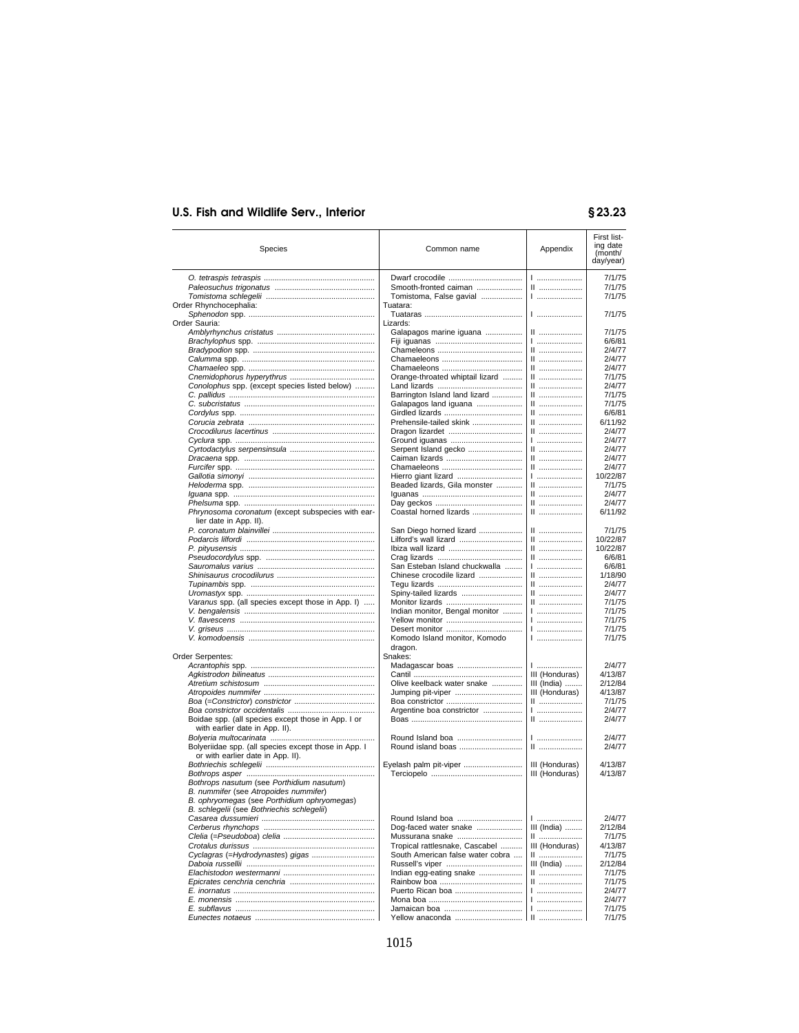| Species                                              | Common name                      | Appendix       | First list-<br>ing date<br>(month/<br>day/year) |
|------------------------------------------------------|----------------------------------|----------------|-------------------------------------------------|
|                                                      |                                  | 1              | 7/1/75                                          |
|                                                      | Smooth-fronted caiman            | II             | 7/1/75                                          |
|                                                      | Tomistoma, False gavial          |                | 7/1/75                                          |
| Order Rhynchocephalia:                               | Tuatara:                         |                |                                                 |
|                                                      |                                  |                | 7/1/75                                          |
| Order Sauria:                                        | Lizards:                         |                |                                                 |
|                                                      | Galapagos marine iguana          | II             | 7/1/75                                          |
|                                                      |                                  | $\mathsf{L}$   | 6/6/81                                          |
|                                                      |                                  | $\ $           | 2/4/77                                          |
|                                                      |                                  | II             | 2/4/77                                          |
|                                                      |                                  | II             | 2/4/77                                          |
|                                                      | Orange-throated whiptail lizard  |                | 7/1/75                                          |
|                                                      |                                  | II             | 2/4/77                                          |
| Conolophus spp. (except species listed below)        |                                  |                |                                                 |
|                                                      | Barrington Island land lizard    | II             | 7/1/75                                          |
|                                                      | Galapagos land iguana            |                | 7/1/75                                          |
|                                                      |                                  | II             | 6/6/81                                          |
|                                                      | Prehensile-tailed skink          | II             | 6/11/92                                         |
|                                                      | Dragon lizardet                  | $\mathbf{II}$  | 2/4/77                                          |
|                                                      |                                  | 1              | 2/4/77                                          |
|                                                      | Serpent Island gecko             | II             | 2/4/77                                          |
|                                                      |                                  | II             | 2/4/77                                          |
|                                                      |                                  | II             | 2/4/77                                          |
|                                                      | Hierro giant lizard              |                | 10/22/87                                        |
|                                                      | Beaded lizards, Gila monster     | II             | 7/1/75                                          |
|                                                      |                                  | II             | 2/4/77                                          |
|                                                      |                                  | II             | 2/4/77                                          |
| Phrynosoma coronatum (except subspecies with ear-    | Coastal horned lizards           | II             | 6/11/92                                         |
| lier date in App. II).                               |                                  |                |                                                 |
|                                                      | San Diego horned lizard          |                | 7/1/75                                          |
|                                                      | Lilford's wall lizard            |                | 10/22/87                                        |
|                                                      |                                  |                | 10/22/87                                        |
|                                                      |                                  |                | 6/6/81                                          |
|                                                      | San Esteban Island chuckwalla    |                | 6/6/81                                          |
|                                                      | Chinese crocodile lizard         | II             | 1/18/90                                         |
|                                                      |                                  | II             | 2/4/77                                          |
|                                                      | Spiny-tailed lizards             | $\ $           | 2/4/77                                          |
| Varanus spp. (all species except those in App. I)    |                                  | II             | 7/1/75                                          |
|                                                      | Indian monitor, Bengal monitor   |                | 7/1/75                                          |
|                                                      |                                  | 1              | 7/1/75                                          |
|                                                      |                                  | 1              | 7/1/75                                          |
|                                                      | Komodo Island monitor, Komodo    |                | 7/1/75                                          |
|                                                      |                                  |                |                                                 |
|                                                      | dragon.                          |                |                                                 |
| Order Serpentes:                                     | Snakes:<br>Madagascar boas       | 1              | 2/4/77                                          |
|                                                      |                                  |                |                                                 |
|                                                      |                                  | III (Honduras) | 4/13/87                                         |
|                                                      | Olive keelback water snake       | $III$ (India)  | 2/12/84                                         |
|                                                      | Jumping pit-viper                | III (Honduras) | 4/13/87                                         |
|                                                      |                                  | II             | 7/1/75                                          |
|                                                      | Argentine boa constrictor        | 1              | 2/4/77                                          |
| Boidae spp. (all species except those in App. I or   |                                  | II             | 2/4/77                                          |
| with earlier date in App. II).                       |                                  |                |                                                 |
|                                                      |                                  | 1              | 2/4/77                                          |
| Bolyeriidae spp. (all species except those in App. I |                                  | II             | 2/4/77                                          |
| or with earlier date in App. II).                    |                                  |                |                                                 |
|                                                      | Eyelash palm pit-viper           | III (Honduras) | 4/13/87                                         |
|                                                      |                                  | III (Honduras) | 4/13/87                                         |
| Bothrops nasutum (see Porthidium nasutum)            |                                  |                |                                                 |
| B. nummifer (see Atropoides nummifer)                |                                  |                |                                                 |
| B. ophryomegas (see Porthidium ophryomegas)          |                                  |                |                                                 |
| B. schlegelii (see Bothriechis schlegelii)           |                                  |                |                                                 |
|                                                      | Round Island boa                 | 1              | 2/4/77                                          |
|                                                      | Dog-faced water snake            | III (India)    | 2/12/84                                         |
|                                                      | Mussurana snake                  |                | 7/1/75                                          |
|                                                      | Tropical rattlesnake, Cascabel   | III (Honduras) | 4/13/87                                         |
|                                                      | South American false water cobra |                | 7/1/75                                          |
|                                                      |                                  | III (India)    | 2/12/84                                         |
|                                                      | Indian eqq-eating snake          | II             | 7/1/75                                          |
|                                                      |                                  | II             | 7/1/75                                          |
|                                                      |                                  |                | 2/4/77                                          |
|                                                      |                                  | 1              | 2/4/77                                          |
|                                                      |                                  |                |                                                 |
|                                                      |                                  |                | 7/1/75                                          |
|                                                      |                                  |                | 7/1/75                                          |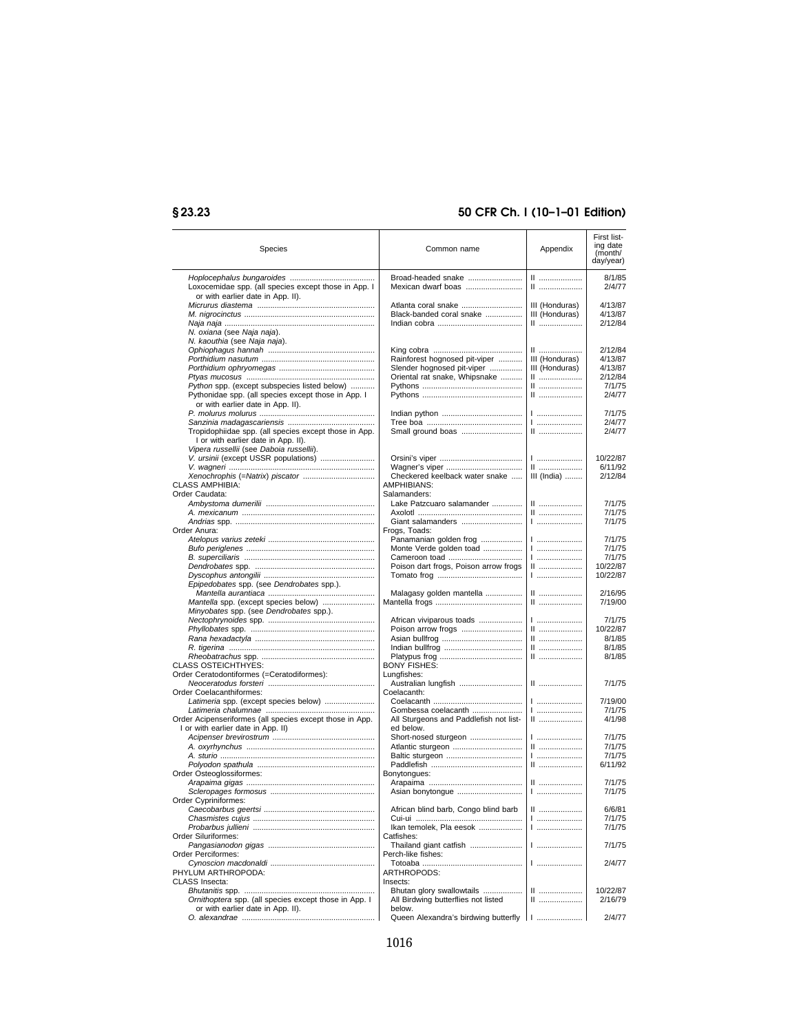| Species                                                                                   | Common name                                        | Appendix       | First list-<br>ing date<br>(month/<br>day/year) |
|-------------------------------------------------------------------------------------------|----------------------------------------------------|----------------|-------------------------------------------------|
|                                                                                           | Broad-headed snake                                 | II             | 8/1/85                                          |
| Loxocemidae spp. (all species except those in App. I<br>or with earlier date in App. II). | Mexican dwarf boas                                 | II             | 2/4/77                                          |
|                                                                                           | Atlanta coral snake                                | III (Honduras) | 4/13/87                                         |
|                                                                                           | Black-banded coral snake                           | III (Honduras) | 4/13/87                                         |
|                                                                                           |                                                    | II             | 2/12/84                                         |
| N. oxiana (see Naja naja).                                                                |                                                    |                |                                                 |
| N. kaouthia (see Naja naja).                                                              |                                                    | II             | 2/12/84                                         |
|                                                                                           | Rainforest hognosed pit-viper                      | III (Honduras) | 4/13/87                                         |
|                                                                                           | Slender hognosed pit-viper                         | III (Honduras) | 4/13/87                                         |
|                                                                                           | Oriental rat snake, Whipsnake                      |                | 2/12/84                                         |
| Python spp. (except subspecies listed below)                                              |                                                    | II             | 7/1/75                                          |
| Pythonidae spp. (all species except those in App. I<br>or with earlier date in App. II).  |                                                    | II             | 2/4/77                                          |
|                                                                                           |                                                    | 1              | 7/1/75                                          |
|                                                                                           |                                                    | 1              | 2/4/77                                          |
| Tropidophiidae spp. (all species except those in App.                                     | Small ground boas                                  | II             | 2/4/77                                          |
| I or with earlier date in App. II).                                                       |                                                    |                |                                                 |
| Vipera russellii (see Daboia russellii).                                                  |                                                    |                |                                                 |
|                                                                                           |                                                    | 1<br>II        | 10/22/87<br>6/11/92                             |
|                                                                                           | Checkered keelback water snake                     | $III$ (India)  | 2/12/84                                         |
| <b>CLASS AMPHIBIA:</b>                                                                    | AMPHIBIANS:                                        |                |                                                 |
| Order Caudata:                                                                            | Salamanders:                                       |                |                                                 |
|                                                                                           | Lake Patzcuaro salamander                          | II             | 7/1/75                                          |
|                                                                                           |                                                    |                | 7/1/75<br>7/1/75                                |
| Order Anura:                                                                              | Giant salamanders<br>Frogs, Toads:                 | 1              |                                                 |
|                                                                                           | Panamanian golden frog                             | 1              | 7/1/75                                          |
|                                                                                           | Monte Verde golden toad                            |                | 7/1/75                                          |
|                                                                                           | Cameroon toad                                      | 1              | 7/1/75                                          |
|                                                                                           | Poison dart frogs, Poison arrow frogs              | II             | 10/22/87                                        |
| Epipedobates spp. (see Dendrobates spp.).                                                 |                                                    | 1              | 10/22/87                                        |
|                                                                                           | Malagasy golden mantella                           | II             | 2/16/95                                         |
| Mantella spp. (except species below)                                                      |                                                    | II             | 7/19/00                                         |
| Minyobates spp. (see Dendrobates spp.).                                                   |                                                    |                |                                                 |
|                                                                                           | African viviparous toads                           | 1              | 7/1/75                                          |
|                                                                                           | Poison arrow frogs                                 | II<br>$\ $     | 10/22/87<br>8/1/85                              |
|                                                                                           |                                                    | II             | 8/1/85                                          |
|                                                                                           |                                                    | II             | 8/1/85                                          |
| <b>CLASS OSTEICHTHYES:</b>                                                                | <b>BONY FISHES:</b>                                |                |                                                 |
| Order Ceratodontiformes (=Ceratodiformes):                                                | Lungfishes:                                        |                |                                                 |
| Order Coelacanthiformes:                                                                  | Australian lungfish<br>Coelacanth:                 | $\ $           | 7/1/75                                          |
| Latimeria spp. (except species below)                                                     |                                                    |                | 7/19/00                                         |
|                                                                                           | Gombessa coelacanth                                | 1              | 7/1/75                                          |
| Order Acipenseriformes (all species except those in App.                                  | All Sturgeons and Paddlefish not list-             | II             | 4/1/98                                          |
| I or with earlier date in App. II)                                                        | ed below.                                          |                |                                                 |
|                                                                                           | Short-nosed sturgeon<br>Atlantic sturgeon          | 1<br>II        | 7/1/75<br>7/1/75                                |
|                                                                                           |                                                    | 1              | 7/1/75                                          |
|                                                                                           |                                                    | II             | 6/11/92                                         |
| Order Osteoglossiformes:                                                                  | Bonytongues:                                       |                |                                                 |
|                                                                                           |                                                    | II             | 7/1/75                                          |
| Order Cypriniformes:                                                                      | Asian bonytongue                                   | 1              | 7/1/75                                          |
|                                                                                           | African blind barb, Congo blind barb               | II             | 6/6/81                                          |
|                                                                                           |                                                    |                | 7/1/75                                          |
|                                                                                           | Ikan temolek, Pla eesok                            |                | 7/1/75                                          |
| Order Siluriformes:                                                                       | Catfishes:                                         |                |                                                 |
|                                                                                           |                                                    |                | 7/1/75                                          |
| Order Perciformes:                                                                        | Perch-like fishes:                                 | 1              | 2/4/77                                          |
| PHYLUM ARTHROPODA:                                                                        | ARTHROPODS:                                        |                |                                                 |
| CLASS Insecta:                                                                            | Insects:                                           |                |                                                 |
|                                                                                           | Bhutan glory swallowtails                          | II             | 10/22/87                                        |
| Ornithoptera spp. (all species except those in App. I                                     | All Birdwing butterflies not listed                | II             | 2/16/79                                         |
| or with earlier date in App. II).                                                         | below.<br>Queen Alexandra's birdwing butterfly   I |                | 2/4/77                                          |
|                                                                                           |                                                    |                |                                                 |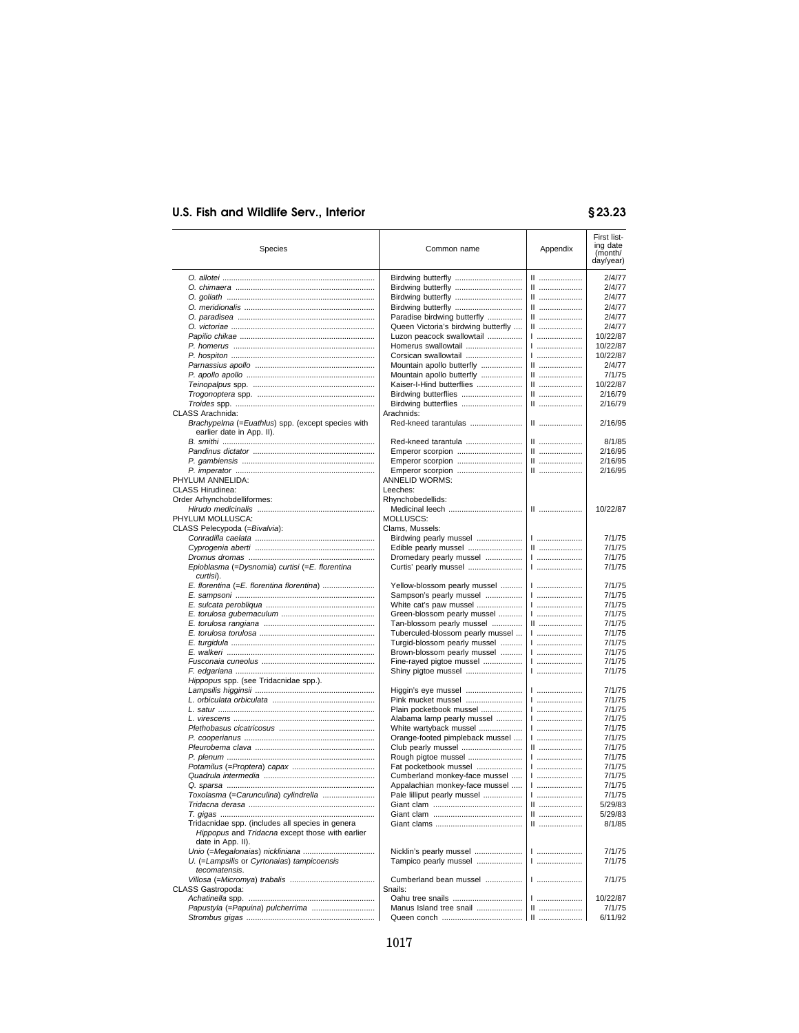| Species                                                                                             | Common name                                          | Appendix     | First list-<br>ing date<br>(month/<br>day/year) |
|-----------------------------------------------------------------------------------------------------|------------------------------------------------------|--------------|-------------------------------------------------|
|                                                                                                     | Birdwing butterfly                                   | II           | 2/4/77                                          |
|                                                                                                     | Birdwing butterfly                                   | II           | 2/4/77                                          |
|                                                                                                     | Birdwing butterfly                                   | II           | 2/4/77                                          |
|                                                                                                     | Birdwing butterfly                                   | II           | 2/4/77                                          |
|                                                                                                     | Paradise birdwing butterfly                          | II           | 2/4/77                                          |
|                                                                                                     | Queen Victoria's birdwing butterfly                  | II           | 2/4/77                                          |
|                                                                                                     | Luzon peacock swallowtail                            | 1            | 10/22/87                                        |
|                                                                                                     | Homerus swallowtail                                  | 1            | 10/22/87                                        |
|                                                                                                     | Corsican swallowtail                                 | 1            | 10/22/87                                        |
|                                                                                                     | Mountain apollo butterfly                            | II           | 2/4/77                                          |
|                                                                                                     | Mountain apollo butterfly                            |              | 7/1/75                                          |
|                                                                                                     | Kaiser-I-Hind butterflies                            | II           | 10/22/87                                        |
|                                                                                                     | Birdwing butterflies                                 |              | 2/16/79                                         |
|                                                                                                     | Birdwing butterflies                                 |              | 2/16/79                                         |
| CLASS Arachnida:                                                                                    | Arachnids:                                           |              |                                                 |
| Brachypelma (=Euathlus) spp. (except species with                                                   | Red-kneed tarantulas                                 | II           | 2/16/95                                         |
| earlier date in App. II).                                                                           |                                                      |              |                                                 |
|                                                                                                     | Red-kneed tarantula                                  | II           | 8/1/85                                          |
|                                                                                                     | Emperor scorpion                                     | II           | 2/16/95                                         |
|                                                                                                     | Emperor scorpion                                     | II           | 2/16/95                                         |
|                                                                                                     | Emperor scorpion                                     | II           | 2/16/95                                         |
| PHYLUM ANNELIDA:                                                                                    | <b>ANNELID WORMS:</b>                                |              |                                                 |
| <b>CLASS Hirudinea:</b>                                                                             | Leeches:                                             |              |                                                 |
| Order Arhynchobdelliformes:                                                                         | Rhynchobedellids:                                    |              |                                                 |
|                                                                                                     |                                                      | II           | 10/22/87                                        |
| PHYLUM MOLLUSCA:                                                                                    | MOLLUSCS:                                            |              |                                                 |
| CLASS Pelecypoda (=Bivalvia):                                                                       | Clams, Mussels:                                      |              |                                                 |
|                                                                                                     | Birdwing pearly mussel                               |              | 7/1/75                                          |
|                                                                                                     | Edible pearly mussel                                 | II           | 7/1/75                                          |
|                                                                                                     | Dromedary pearly mussel                              |              | 7/1/75                                          |
| Epioblasma (=Dysnomia) curtisi (=E. florentina<br>curtisi).                                         | Curtis' pearly mussel                                | 1            | 7/1/75                                          |
| E. florentina (=E. florentina florentina)                                                           | Yellow-blossom pearly mussel                         |              | 7/1/75                                          |
|                                                                                                     | Sampson's pearly mussel                              | 1            | 7/1/75                                          |
|                                                                                                     | White cat's paw mussel                               |              | 7/1/75                                          |
|                                                                                                     | Green-blossom pearly mussel                          | 1            | 7/1/75                                          |
|                                                                                                     | Tan-blossom pearly mussel                            | II           | 7/1/75                                          |
|                                                                                                     | Tuberculed-blossom pearly mussel                     | 1            | 7/1/75                                          |
|                                                                                                     | Turgid-blossom pearly mussel                         | 1            | 7/1/75                                          |
|                                                                                                     | Brown-blossom pearly mussel                          |              | 7/1/75                                          |
|                                                                                                     | Fine-rayed pigtoe mussel                             |              | 7/1/75                                          |
|                                                                                                     | Shiny pigtoe mussel                                  | 1            | 7/1/75                                          |
| Hippopus spp. (see Tridacnidae spp.).                                                               | Higgin's eye mussel                                  | 1            | 7/1/75                                          |
|                                                                                                     | Pink mucket mussel                                   | 1            | 7/1/75                                          |
|                                                                                                     | Plain pocketbook mussel                              | 1            | 7/1/75                                          |
|                                                                                                     |                                                      | $\mathsf{L}$ | 7/1/75                                          |
|                                                                                                     | Alabama lamp pearly mussel<br>White wartyback mussel |              | 7/1/75                                          |
|                                                                                                     |                                                      |              |                                                 |
|                                                                                                     | Orange-footed pimpleback mussel                      |              | 7/1/75                                          |
|                                                                                                     | Club pearly mussel                                   | $  $         | 7/1/75                                          |
|                                                                                                     | Rough pigtoe mussel                                  |              | 7/1/75                                          |
|                                                                                                     | Fat pocketbook mussel                                | 1            | 7/1/75                                          |
|                                                                                                     | Cumberland monkey-face mussel                        | 1            | 7/1/75                                          |
|                                                                                                     | Appalachian monkey-face mussel                       | 1            | 7/1/75                                          |
| Toxolasma (=Carunculina) cylindrella                                                                | Pale lilliput pearly mussel                          | 1            | 7/1/75                                          |
|                                                                                                     |                                                      | II           | 5/29/83                                         |
|                                                                                                     | Giant clam                                           | II           | 5/29/83                                         |
| Tridacnidae spp. (includes all species in genera<br>Hippopus and Tridacna except those with earlier |                                                      |              | 8/1/85                                          |
| date in App. II).                                                                                   |                                                      |              |                                                 |
|                                                                                                     | Nicklin's pearly mussel                              | 1            | 7/1/75                                          |
| U. (=Lampsilis or Cyrtonaias) tampicoensis                                                          | Tampico pearly mussel                                |              | 7/1/75                                          |
| tecomatensis.                                                                                       |                                                      |              |                                                 |
| CLASS Gastropoda:                                                                                   | Cumberland bean mussel<br>Snails:                    |              | 7/1/75                                          |
|                                                                                                     | Oahu tree snails                                     | 1            | 10/22/87                                        |
| Papustyla (=Papuina) pulcherrima                                                                    | Manus Island tree snail                              |              | 7/1/75                                          |
|                                                                                                     |                                                      |              | 6/11/92                                         |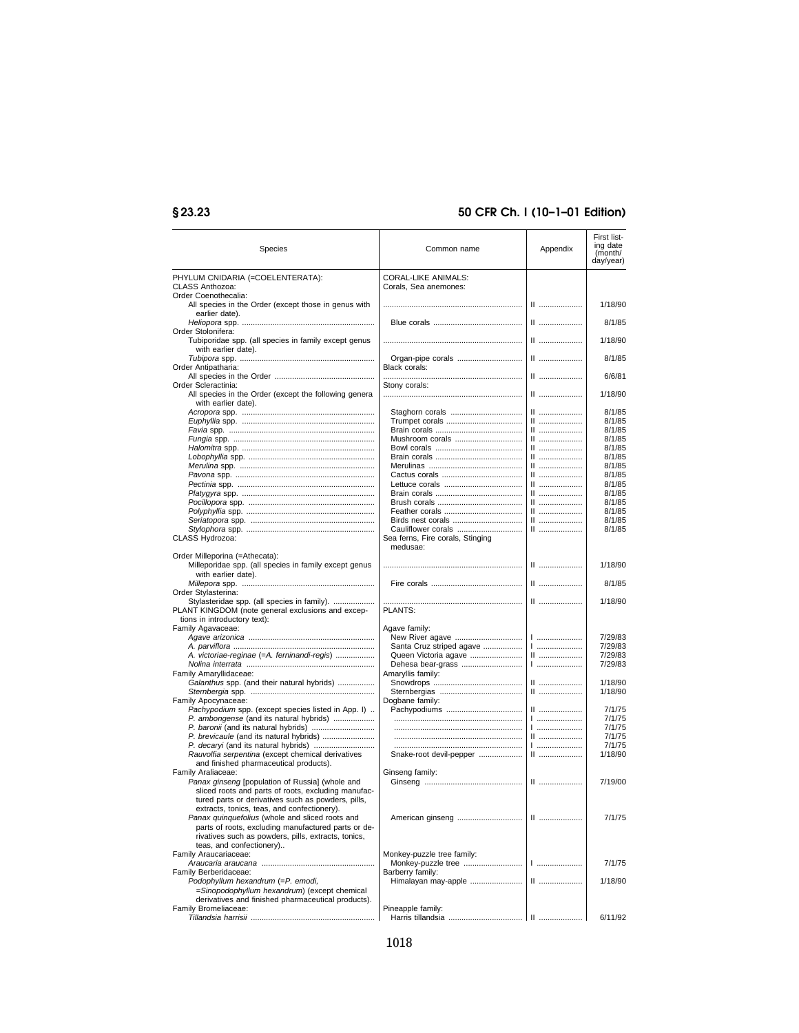| Species                                                                                                        | Common name                                            | Appendix      | First list-<br>ing date<br>(month/<br>day/year) |
|----------------------------------------------------------------------------------------------------------------|--------------------------------------------------------|---------------|-------------------------------------------------|
| PHYLUM CNIDARIA (=COELENTERATA):                                                                               | <b>CORAL-LIKE ANIMALS:</b>                             |               |                                                 |
| CLASS Anthozoa:                                                                                                | Corals, Sea anemones:                                  |               |                                                 |
| Order Coenothecalia:                                                                                           |                                                        |               |                                                 |
| All species in the Order (except those in genus with<br>earlier date).                                         |                                                        |               | 1/18/90                                         |
|                                                                                                                |                                                        |               | 8/1/85                                          |
| Order Stolonifera:                                                                                             |                                                        |               |                                                 |
| Tubiporidae spp. (all species in family except genus                                                           |                                                        |               | 1/18/90                                         |
| with earlier date).                                                                                            |                                                        |               |                                                 |
| Order Antipatharia:                                                                                            | Organ-pipe corals<br>Black corals:                     | II            | 8/1/85                                          |
|                                                                                                                |                                                        |               | 6/6/81                                          |
| Order Scleractinia:                                                                                            | Stony corals:                                          |               |                                                 |
| All species in the Order (except the following genera                                                          |                                                        | II            | 1/18/90                                         |
| with earlier date).                                                                                            | Staghorn corals                                        | II            | 8/1/85                                          |
|                                                                                                                |                                                        | II            | 8/1/85                                          |
|                                                                                                                |                                                        | $\mathbf{II}$ | 8/1/85                                          |
|                                                                                                                | Mushroom corals                                        | II            | 8/1/85                                          |
|                                                                                                                |                                                        | 11            | 8/1/85                                          |
|                                                                                                                |                                                        | II<br>II      | 8/1/85<br>8/1/85                                |
|                                                                                                                |                                                        | $\ $          | 8/1/85                                          |
|                                                                                                                |                                                        | II            | 8/1/85                                          |
|                                                                                                                |                                                        |               | 8/1/85                                          |
|                                                                                                                |                                                        | II            | 8/1/85                                          |
|                                                                                                                |                                                        |               | 8/1/85                                          |
|                                                                                                                |                                                        |               | 8/1/85                                          |
| CLASS Hydrozoa:                                                                                                | Cauliflower corals<br>Sea ferns, Fire corals, Stinging | II            | 8/1/85                                          |
|                                                                                                                | medusae:                                               |               |                                                 |
| Order Milleporina (=Athecata):<br>Milleporidae spp. (all species in family except genus<br>with earlier date). |                                                        |               | 1/18/90                                         |
|                                                                                                                |                                                        |               | 8/1/85                                          |
| Order Stylasterina:                                                                                            |                                                        |               |                                                 |
| Stylasteridae spp. (all species in family).                                                                    |                                                        | II            | 1/18/90                                         |
| PLANT KINGDOM (note general exclusions and excep-                                                              | PLANTS:                                                |               |                                                 |
| tions in introductory text):<br>Family Agavaceae:                                                              |                                                        |               |                                                 |
|                                                                                                                | Agave family:<br>New River agave                       | $\ $          | 7/29/83                                         |
|                                                                                                                | Santa Cruz striped agave                               | 1             | 7/29/83                                         |
| A. victoriae-reginae (=A. ferninandi-regis)                                                                    | Queen Victoria agave                                   | $\ $          | 7/29/83                                         |
|                                                                                                                | Dehesa bear-grass                                      | 1             | 7/29/83                                         |
| Family Amaryllidaceae:                                                                                         | Amaryllis family:                                      |               |                                                 |
| Galanthus spp. (and their natural hybrids)                                                                     |                                                        | $\ $<br>II    | 1/18/90<br>1/18/90                              |
| Family Apocynaceae:                                                                                            | Dogbane family:                                        |               |                                                 |
| Pachypodium spp. (except species listed in App. I)                                                             |                                                        | II            | 7/1/75                                          |
| P. ambongense (and its natural hybrids)                                                                        |                                                        | 1             | 7/1/75                                          |
|                                                                                                                |                                                        |               | 7/1/75                                          |
| P. brevicaule (and its natural hybrids)                                                                        |                                                        |               | 7/1/75<br>7/1/75                                |
| P. decaryi (and its natural hybrids)<br>Rauvolfia serpentina (except chemical derivatives                      | Snake-root devil-pepper                                | 1<br>II       | 1/18/90                                         |
| and finished pharmaceutical products).                                                                         |                                                        |               |                                                 |
| Family Araliaceae:                                                                                             | Ginseng family:                                        |               |                                                 |
| Panax ginseng [population of Russia] (whole and                                                                |                                                        | $\ $          | 7/19/00                                         |
| sliced roots and parts of roots, excluding manufac-                                                            |                                                        |               |                                                 |
| tured parts or derivatives such as powders, pills,                                                             |                                                        |               |                                                 |
| extracts, tonics, teas, and confectionery).<br>Panax quinquefolius (whole and sliced roots and                 | American ginseng                                       | 11            | 7/1/75                                          |
| parts of roots, excluding manufactured parts or de-                                                            |                                                        |               |                                                 |
| rivatives such as powders, pills, extracts, tonics,                                                            |                                                        |               |                                                 |
| teas, and confectionery)                                                                                       |                                                        |               |                                                 |
| Family Araucariaceae:                                                                                          | Monkey-puzzle tree family:                             |               |                                                 |
|                                                                                                                | Monkey-puzzle tree                                     | 1             | 7/1/75                                          |
| Family Berberidaceae:<br>Podophyllum hexandrum (=P. emodi,                                                     | Barberry family:<br>Himalayan may-apple                | 11            | 1/18/90                                         |
| =Sinopodophyllum hexandrum) (except chemical                                                                   |                                                        |               |                                                 |
| derivatives and finished pharmaceutical products).                                                             |                                                        |               |                                                 |
| Family Bromeliaceae:                                                                                           | Pineapple family:                                      |               |                                                 |
|                                                                                                                |                                                        |               | 6/11/92                                         |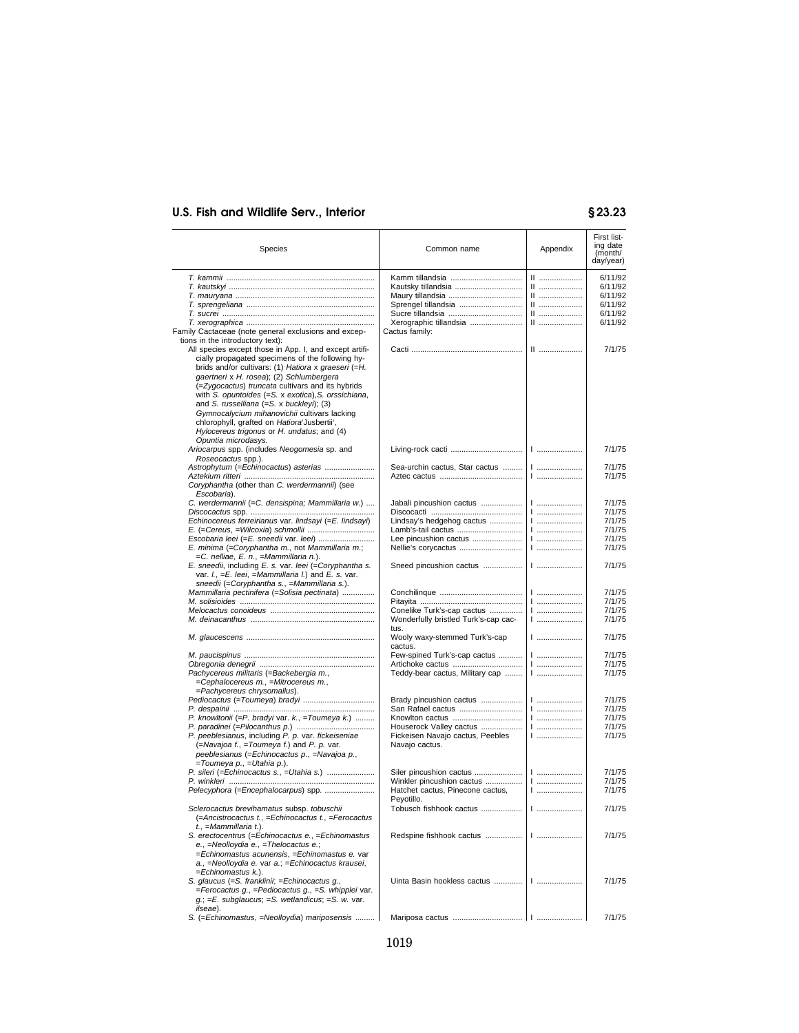| Species                                                                                                                                                                                                                     | Common name                                                                | Appendix     | First list-<br>ing date<br>(month/<br>day/year) |
|-----------------------------------------------------------------------------------------------------------------------------------------------------------------------------------------------------------------------------|----------------------------------------------------------------------------|--------------|-------------------------------------------------|
|                                                                                                                                                                                                                             | Kamm tillandsia                                                            | II           | 6/11/92                                         |
|                                                                                                                                                                                                                             | Kautsky tillandsia                                                         | II           | 6/11/92                                         |
|                                                                                                                                                                                                                             | Maury tillandsia                                                           | II           | 6/11/92                                         |
|                                                                                                                                                                                                                             | Sprengel tillandsia                                                        | $  $         | 6/11/92                                         |
|                                                                                                                                                                                                                             |                                                                            | II           | 6/11/92                                         |
|                                                                                                                                                                                                                             | Xerographic tillandsia                                                     | II           | 6/11/92                                         |
| Family Cactaceae (note general exclusions and excep-                                                                                                                                                                        | Cactus family:                                                             |              |                                                 |
| tions in the introductory text):                                                                                                                                                                                            |                                                                            |              |                                                 |
| All species except those in App. I, and except artifi-                                                                                                                                                                      |                                                                            | II           | 7/1/75                                          |
| cially propagated specimens of the following hy-<br>brids and/or cultivars: (1) Hatiora x graeseri (=H.<br>gaertneri x H. rosea); (2) Schlumbergera<br>(=Zygocactus) truncata cultivars and its hybrids                     |                                                                            |              |                                                 |
| with S. opuntoides (=S. x exotica), S. orssichiana,<br>and S. russelliana $(=S. x$ buckleyi); (3)<br>Gymnocalycium mihanovichii cultivars lacking                                                                           |                                                                            |              |                                                 |
| chlorophyll, grafted on Hatiora'Jusbertii',<br>Hylocereus trigonus or H. undatus; and (4)<br>Opuntia microdasys.                                                                                                            |                                                                            |              |                                                 |
| Ariocarpus spp. (includes Neogomesia sp. and<br>Roseocactus spp.).                                                                                                                                                          |                                                                            | 1            | 7/1/75                                          |
| Astrophytum (=Echinocactus) asterias                                                                                                                                                                                        | Sea-urchin cactus, Star cactus                                             | 1            | 7/1/75                                          |
| Coryphantha (other than C. werdermannii) (see<br>Escobaria).                                                                                                                                                                |                                                                            |              | 7/1/75                                          |
| C. werdermannii (=C. densispina; Mammillaria w.)                                                                                                                                                                            | Jabali pincushion cactus                                                   | 1            | 7/1/75                                          |
|                                                                                                                                                                                                                             |                                                                            | 1            | 7/1/75                                          |
| Echinocereus ferreirianus var. lindsayi (=E. lindsayi)                                                                                                                                                                      | Lindsay's hedgehog cactus                                                  | 1            | 7/1/75                                          |
|                                                                                                                                                                                                                             | Lamb's-tail cactus                                                         |              | 7/1/75                                          |
| Escobaria leei (=E. sneedii var. leei)                                                                                                                                                                                      | Lee pincushion cactus                                                      | 1            | 7/1/75                                          |
| E. minima (=Coryphantha m., not Mammillaria m.;                                                                                                                                                                             | Nellie's corycactus                                                        |              | 7/1/75                                          |
| =C. nelliae, E. n., =Mammillaria n.).<br>E. sneedii, including E. s. var. leei (=Coryphantha s.<br>var. I., = E. leei, = Mammillaria I.) and E. s. var.                                                                     | Sneed pincushion cactus                                                    | 1            | 7/1/75                                          |
| sneedii (=Coryphantha s., =Mammillaria s.).                                                                                                                                                                                 |                                                                            |              |                                                 |
| Mammillaria pectinifera (=Solisia pectinata)                                                                                                                                                                                |                                                                            | 1            | 7/1/75                                          |
|                                                                                                                                                                                                                             |                                                                            |              | 7/1/75                                          |
|                                                                                                                                                                                                                             | Conelike Turk's-cap cactus<br>Wonderfully bristled Turk's-cap cac-<br>tus. | 1            | 7/1/75<br>7/1/75                                |
|                                                                                                                                                                                                                             | Wooly waxy-stemmed Turk's-cap<br>cactus.                                   |              | 7/1/75                                          |
|                                                                                                                                                                                                                             | Few-spined Turk's-cap cactus                                               | 1            | 7/1/75                                          |
|                                                                                                                                                                                                                             | Artichoke cactus                                                           |              | 7/1/75                                          |
| Pachycereus militaris (=Backebergia m.,<br>=Cephalocereus m., =Mitrocereus m.,<br>=Pachycereus chrysomallus).                                                                                                               | Teddy-bear cactus, Military cap                                            | 1            | 7/1/75                                          |
|                                                                                                                                                                                                                             | Brady pincushion cactus                                                    | 1            | 7/1/75                                          |
|                                                                                                                                                                                                                             | San Rafael cactus                                                          | $\mathsf{L}$ | 7/1/75                                          |
| P. knowltonii (=P. bradyi var. k., =Toumeya k.)                                                                                                                                                                             | Knowlton cactus                                                            | 1            | 7/1/75                                          |
|                                                                                                                                                                                                                             | Houserock Valley cactus                                                    |              | 7/1/75                                          |
| P. peeblesianus, including P. p. var. fickeiseniae<br>$($ =Navajoa f., =Toumeya f.) and P. p. var.<br>peeblesianus (=Echinocactus p., =Navajoa p.,<br>=Toumeya p., =Utahia p.).                                             | Fickeisen Navajo cactus, Peebles<br>Navajo cactus.                         | 1            | 7/1/75                                          |
| P. sileri (=Echinocactus s., =Utahia s.)                                                                                                                                                                                    | Siler pincushion cactus                                                    | 1            | 7/1/75                                          |
|                                                                                                                                                                                                                             | Winkler pincushion cactus                                                  | 1            | 7/1/75                                          |
| Pelecyphora (=Encephalocarpus) spp.                                                                                                                                                                                         | Hatchet cactus, Pinecone cactus,<br>Peyotillo.                             |              | 7/1/75                                          |
| Sclerocactus brevihamatus subsp. tobuschii<br>(=Ancistrocactus t., =Echinocactus t., =Ferocactus<br>$t_{\cdot}$ , =Mammillaria $t_{\cdot}$ ).                                                                               | Tobusch fishhook cactus                                                    | 1            | 7/1/75                                          |
| S. erectocentrus (=Echinocactus e., =Echinomastus<br>e., =Neolloydia e., =Thelocactus e.;<br>=Echinomastus acunensis, =Echinomastus e. var<br>a., =Neolloydia e. var a.; =Echinocactus krausei,<br>$=$ Echinomastus $k$ .). | Redspine fishhook cactus                                                   | 1            | 7/1/75                                          |
| S. glaucus (=S. franklinii; =Echinocactus g.,<br>=Ferocactus q., =Pediocactus q., =S. whipplei var.<br>$g$ .; = E. subglaucus; = S. wetlandicus; = S. w. var.<br>ilseae).                                                   |                                                                            |              | 7/1/75                                          |
| S. (=Echinomastus, =Neolloydia) mariposensis                                                                                                                                                                                |                                                                            |              | 7/1/75                                          |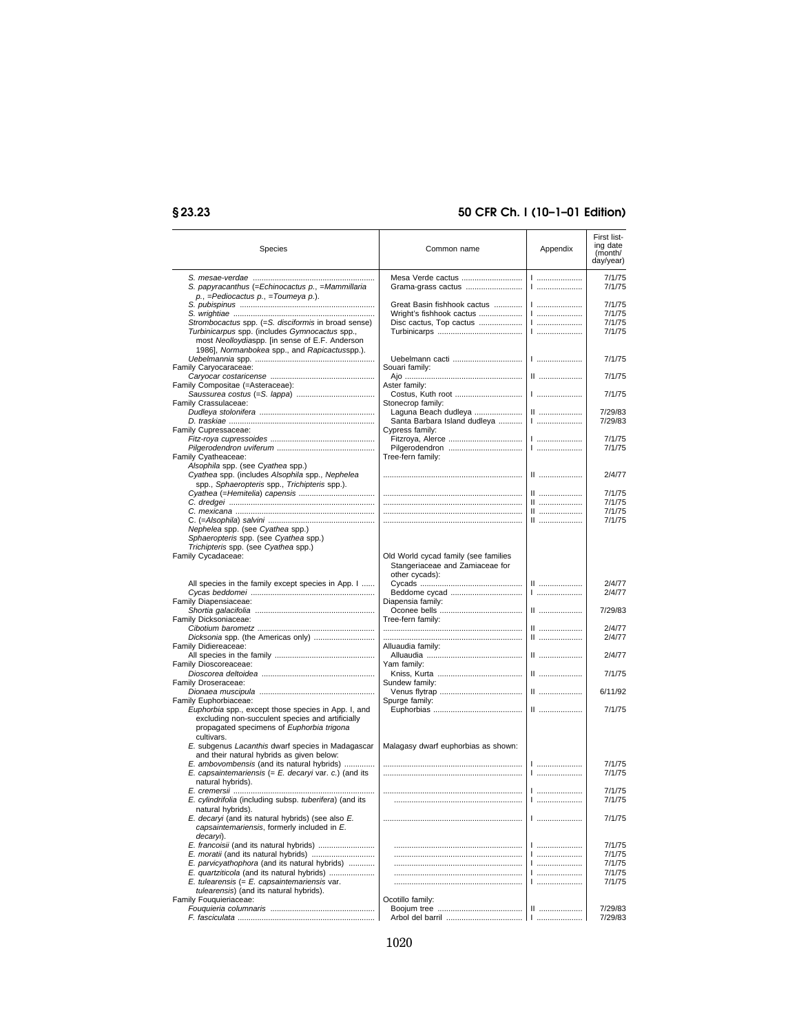| Species                                                                                                                                              | Common name                                                                               | Appendix | First list-<br>ing date<br>(month/<br>day/year) |
|------------------------------------------------------------------------------------------------------------------------------------------------------|-------------------------------------------------------------------------------------------|----------|-------------------------------------------------|
|                                                                                                                                                      |                                                                                           |          |                                                 |
| S. papyracanthus (=Echinocactus p., =Mammillaria<br>p., =Pediocactus p., =Toumeya p.).                                                               | Mesa Verde cactus<br>Grama-grass cactus                                                   | 1        | 7/1/75<br>7/1/75                                |
|                                                                                                                                                      | Great Basin fishhook cactus                                                               | $1$      | 7/1/75                                          |
|                                                                                                                                                      | Wright's fishhook cactus                                                                  | 1        | 7/1/75                                          |
| Strombocactus spp. (=S. disciformis in broad sense)                                                                                                  | Disc cactus, Top cactus                                                                   |          | 7/1/75                                          |
| Turbinicarpus spp. (includes Gymnocactus spp.,<br>most Neolloydiaspp. [in sense of E.F. Anderson<br>1986], Normanbokea spp., and Rapicactusspp.).    |                                                                                           | 1        | 7/1/75                                          |
| Family Caryocaraceae:                                                                                                                                | Uebelmann cacti<br>Souari family:                                                         |          | 7/1/75                                          |
|                                                                                                                                                      |                                                                                           |          | 7/1/75                                          |
| Family Compositae (=Asteraceae):                                                                                                                     | Aster family:                                                                             |          |                                                 |
|                                                                                                                                                      | Costus, Kuth root                                                                         | 1        | 7/1/75                                          |
| Family Crassulaceae:                                                                                                                                 | Stonecrop family:                                                                         |          |                                                 |
|                                                                                                                                                      | Laguna Beach dudleya                                                                      | 11       | 7/29/83                                         |
|                                                                                                                                                      | Santa Barbara Island dudleya<br>Cypress family:                                           | $1$      | 7/29/83                                         |
| Family Cupressaceae:                                                                                                                                 |                                                                                           | 1        | 7/1/75                                          |
|                                                                                                                                                      | Pilgerodendron                                                                            |          | 7/1/75                                          |
| Family Cyatheaceae:                                                                                                                                  | Tree-fern family:                                                                         |          |                                                 |
| Alsophila spp. (see Cyathea spp.)                                                                                                                    |                                                                                           |          |                                                 |
| Cyathea spp. (includes Alsophila spp., Nephelea                                                                                                      |                                                                                           | 11       | 2/4/77                                          |
| spp., Sphaeropteris spp., Trichipteris spp.).                                                                                                        |                                                                                           |          |                                                 |
|                                                                                                                                                      |                                                                                           | 11       | 7/1/75                                          |
|                                                                                                                                                      |                                                                                           | II       | 7/1/75                                          |
|                                                                                                                                                      |                                                                                           | 11       | 7/1/75                                          |
|                                                                                                                                                      |                                                                                           | 11       | 7/1/75                                          |
| Nephelea spp. (see Cyathea spp.)                                                                                                                     |                                                                                           |          |                                                 |
| Sphaeropteris spp. (see Cyathea spp.)                                                                                                                |                                                                                           |          |                                                 |
| Trichipteris spp. (see Cyathea spp.)                                                                                                                 |                                                                                           |          |                                                 |
| Family Cycadaceae:                                                                                                                                   | Old World cycad family (see families<br>Stangeriaceae and Zamiaceae for<br>other cycads): |          |                                                 |
| All species in the family except species in App. 1                                                                                                   |                                                                                           | 11       | 2/4/77                                          |
|                                                                                                                                                      | Beddome cycad                                                                             | 1        | 2/4/77                                          |
| Family Diapensiaceae:                                                                                                                                | Diapensia family:                                                                         |          |                                                 |
|                                                                                                                                                      |                                                                                           |          | 7/29/83                                         |
| Family Dicksoniaceae:                                                                                                                                | Tree-fern family:                                                                         |          |                                                 |
|                                                                                                                                                      |                                                                                           | II       | 2/4/77<br>2/4/77                                |
| Family Didiereaceae:                                                                                                                                 | Alluaudia family:                                                                         |          |                                                 |
|                                                                                                                                                      |                                                                                           |          | 2/4/77                                          |
| Family Dioscoreaceae:                                                                                                                                | Yam family:                                                                               |          |                                                 |
|                                                                                                                                                      |                                                                                           |          | 7/1/75                                          |
| Family Droseraceae:                                                                                                                                  | Sundew family:                                                                            |          |                                                 |
|                                                                                                                                                      |                                                                                           | 11       | 6/11/92                                         |
| Family Euphorbiaceae:                                                                                                                                | Spurge family:                                                                            |          |                                                 |
| Euphorbia spp., except those species in App. I, and<br>excluding non-succulent species and artificially<br>propagated specimens of Euphorbia trigona |                                                                                           | 11       | 7/1/75                                          |
| cultivars.<br>E. subgenus Lacanthis dwarf species in Madagascar<br>and their natural hybrids as given below:                                         | Malagasy dwarf euphorbias as shown:                                                       |          |                                                 |
| E. ambovombensis (and its natural hybrids)                                                                                                           |                                                                                           | 1        | 7/1/75                                          |
| E. capsaintemariensis $(= E.$ decaryi var. c.) (and its                                                                                              |                                                                                           |          | 7/1/75                                          |
| natural hybrids).                                                                                                                                    |                                                                                           |          |                                                 |
|                                                                                                                                                      |                                                                                           | 1        | 7/1/75<br>7/1/75                                |
| E. cylindrifolia (including subsp. tuberifera) (and its<br>natural hybrids).                                                                         |                                                                                           |          |                                                 |
| E. decaryi (and its natural hybrids) (see also E.<br>capsaintemariensis, formerly included in E.                                                     |                                                                                           | 1        | 7/1/75                                          |
| decaryi).                                                                                                                                            |                                                                                           |          |                                                 |
| E. francoisii (and its natural hybrids)                                                                                                              |                                                                                           |          | 7/1/75                                          |
|                                                                                                                                                      |                                                                                           |          | 7/1/75                                          |
| E. parvicyathophora (and its natural hybrids)                                                                                                        |                                                                                           |          | 7/1/75                                          |
| E. quartziticola (and its natural hybrids)                                                                                                           |                                                                                           | $1$      | 7/1/75                                          |
| $E$ . tulearensis (= $E$ . capsaintemariensis var.                                                                                                   |                                                                                           | 1        | 7/1/75                                          |
| tulearensis) (and its natural hybrids).<br>Family Fouquieriaceae:                                                                                    | Ocotillo family:                                                                          |          |                                                 |
|                                                                                                                                                      |                                                                                           |          | 7/29/83                                         |
|                                                                                                                                                      |                                                                                           |          | 7/29/83                                         |
|                                                                                                                                                      |                                                                                           |          |                                                 |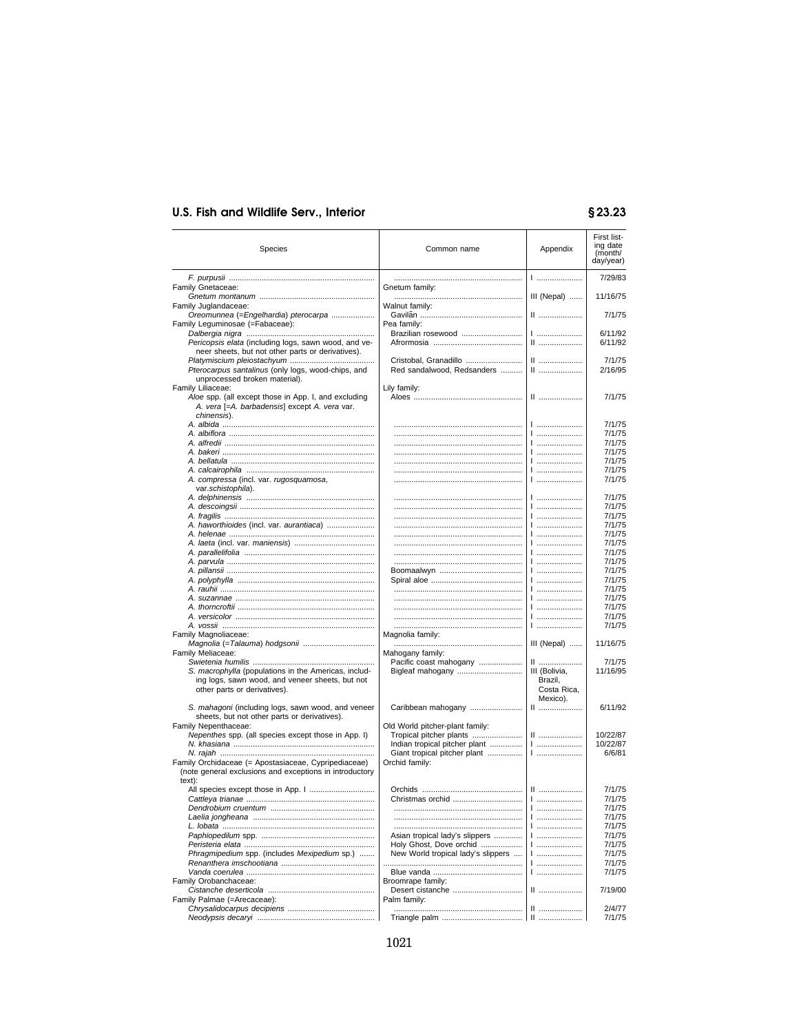# §23.23

| Species                                                                                                                                 | Common name                                                | Appendix                                            | First list-<br>ing date<br>(month/<br>day/year) |  |
|-----------------------------------------------------------------------------------------------------------------------------------------|------------------------------------------------------------|-----------------------------------------------------|-------------------------------------------------|--|
|                                                                                                                                         |                                                            | 1                                                   | 7/29/83                                         |  |
| Family Gnetaceae:                                                                                                                       | Gnetum family:                                             | III (Nepal)                                         | 11/16/75                                        |  |
| Family Juglandaceae:<br>Oreomunnea (=Engelhardia) pterocarpa                                                                            | Walnut family:                                             | II                                                  | 7/1/75                                          |  |
| Family Leguminosae (=Fabaceae):                                                                                                         | Pea family:                                                |                                                     |                                                 |  |
| Pericopsis elata (including logs, sawn wood, and ve-<br>neer sheets, but not other parts or derivatives).                               | Brazilian rosewood                                         | 1<br>II                                             | 6/11/92<br>6/11/92                              |  |
| Pterocarpus santalinus (only logs, wood-chips, and                                                                                      | Cristobal, Granadillo<br>Red sandalwood. Redsanders        | II                                                  | 7/1/75<br>2/16/95                               |  |
| unprocessed broken material).<br>Family Liliaceae:                                                                                      | Lily family:                                               |                                                     |                                                 |  |
| Aloe spp. (all except those in App. I, and excluding<br>A. vera [=A. barbadensis] except A. vera var.<br>chinensis).                    |                                                            | II                                                  | 7/1/75                                          |  |
|                                                                                                                                         |                                                            | 1<br>1                                              | 7/1/75<br>7/1/75                                |  |
|                                                                                                                                         |                                                            |                                                     | 7/1/75                                          |  |
|                                                                                                                                         |                                                            | 1                                                   | 7/1/75                                          |  |
|                                                                                                                                         |                                                            | 1<br>1                                              | 7/1/75<br>7/1/75                                |  |
| A. compressa (incl. var. rugosquamosa,<br>var.schistophila).                                                                            |                                                            | 1                                                   | 7/1/75                                          |  |
|                                                                                                                                         |                                                            | 1<br>1                                              | 7/1/75<br>7/1/75                                |  |
|                                                                                                                                         |                                                            | 1                                                   | 7/1/75                                          |  |
| A. haworthioides (incl. var. aurantiaca)                                                                                                |                                                            |                                                     | 7/1/75                                          |  |
|                                                                                                                                         |                                                            | 1<br>1                                              | 7/1/75<br>7/1/75                                |  |
|                                                                                                                                         |                                                            |                                                     | 7/1/75                                          |  |
|                                                                                                                                         |                                                            | 1                                                   | 7/1/75                                          |  |
|                                                                                                                                         |                                                            |                                                     | 7/1/75                                          |  |
|                                                                                                                                         |                                                            | 1                                                   | 7/1/75<br>7/1/75                                |  |
|                                                                                                                                         |                                                            | 1                                                   | 7/1/75                                          |  |
|                                                                                                                                         |                                                            | 1                                                   | 7/1/75                                          |  |
|                                                                                                                                         |                                                            | 1                                                   | 7/1/75<br>7/1/75                                |  |
| Family Magnoliaceae:                                                                                                                    | Magnolia family:                                           | 1                                                   |                                                 |  |
| Family Meliaceae:                                                                                                                       | Mahogany family:                                           | $III$ (Nepal)                                       | 11/16/75                                        |  |
|                                                                                                                                         | Pacific coast mahogany                                     | II                                                  | 7/1/75                                          |  |
| S. macrophylla (populations in the Americas, includ-<br>ing logs, sawn wood, and veneer sheets, but not<br>other parts or derivatives). | Bigleaf mahogany                                           | III (Bolivia,<br>Brazil,<br>Costa Rica,<br>Mexico). | 11/16/95                                        |  |
| S. mahagoni (including logs, sawn wood, and veneer<br>sheets, but not other parts or derivatives).                                      | Caribbean mahogany                                         | II                                                  | 6/11/92                                         |  |
| Family Nepenthaceae:<br>Nepenthes spp. (all species except those in App. I)                                                             | Old World pitcher-plant family:<br>Tropical pitcher plants | II                                                  | 10/22/87                                        |  |
|                                                                                                                                         | Indian tropical pitcher plant                              | 1                                                   | 10/22/87                                        |  |
| Family Orchidaceae (= Apostasiaceae, Cypripediaceae)<br>(note general exclusions and exceptions in introductory<br>text):               | Giant tropical pitcher plant<br>Orchid family:             | 1                                                   | 6/6/81                                          |  |
|                                                                                                                                         |                                                            | II                                                  | 7/1/75                                          |  |
|                                                                                                                                         |                                                            | 1                                                   | 7/1/75                                          |  |
|                                                                                                                                         |                                                            | 1<br>1                                              | 7/1/75<br>7/1/75                                |  |
|                                                                                                                                         |                                                            |                                                     | 7/1/75                                          |  |
|                                                                                                                                         | Asian tropical lady's slippers                             |                                                     | 7/1/75                                          |  |
|                                                                                                                                         | Holy Ghost, Dove orchid                                    | 1                                                   | 7/1/75<br>7/1/75                                |  |
| Phragmipedium spp. (includes Mexipedium sp.)                                                                                            | New World tropical lady's slippers                         | 1                                                   | 7/1/75                                          |  |
|                                                                                                                                         |                                                            | 1                                                   | 7/1/75                                          |  |
| Family Orobanchaceae:                                                                                                                   | Broomrape family:                                          |                                                     |                                                 |  |
| Family Palmae (=Arecaceae):                                                                                                             | Desert cistanche<br>Palm family:                           | 11                                                  | 7/19/00                                         |  |
|                                                                                                                                         |                                                            |                                                     | 2/4/77                                          |  |
|                                                                                                                                         |                                                            |                                                     | 7/1/75                                          |  |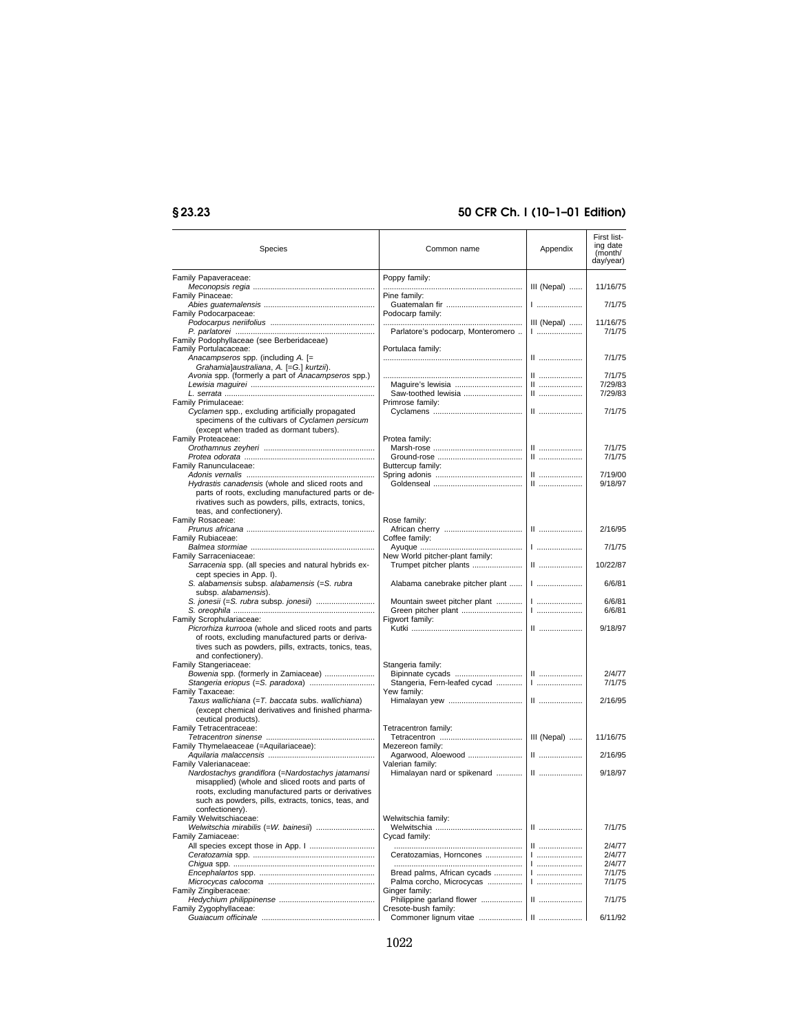| Species                                                                                                                                 | Common name                            | Appendix    | First list-<br>ing date<br>(month/<br>day/year) |  |
|-----------------------------------------------------------------------------------------------------------------------------------------|----------------------------------------|-------------|-------------------------------------------------|--|
| Family Papaveraceae:                                                                                                                    | Poppy family:                          |             |                                                 |  |
|                                                                                                                                         |                                        | III (Nepal) | 11/16/75                                        |  |
| Family Pinaceae:                                                                                                                        | Pine family:                           |             |                                                 |  |
| Family Podocarpaceae:                                                                                                                   | Podocarp family:                       | 1           | 7/1/75                                          |  |
|                                                                                                                                         |                                        | III (Nepal) | 11/16/75                                        |  |
|                                                                                                                                         | Parlatore's podocarp, Monteromero      | 1           | 7/1/75                                          |  |
| Family Podophyllaceae (see Berberidaceae)                                                                                               |                                        |             |                                                 |  |
| Family Portulacaceae:                                                                                                                   | Portulaca family:                      |             | 7/1/75                                          |  |
| Anacampseros spp. (including A. [=<br>Grahamia]australiana, A. [=G.] kurtzii).                                                          |                                        |             |                                                 |  |
| Avonia spp. (formerly a part of Anacampseros spp.)                                                                                      |                                        |             | 7/1/75                                          |  |
|                                                                                                                                         | Maquire's lewisia                      | $\ $        | 7/29/83                                         |  |
|                                                                                                                                         | Saw-toothed lewisia                    |             | 7/29/83                                         |  |
| Family Primulaceae:<br>Cyclamen spp., excluding artificially propagated                                                                 | Primrose family:                       | 11          | 7/1/75                                          |  |
| specimens of the cultivars of Cyclamen persicum                                                                                         |                                        |             |                                                 |  |
| (except when traded as dormant tubers).                                                                                                 |                                        |             |                                                 |  |
| Family Proteaceae:                                                                                                                      | Protea family:                         |             |                                                 |  |
|                                                                                                                                         |                                        | II          | 7/1/75                                          |  |
|                                                                                                                                         |                                        |             | 7/1/75                                          |  |
| Family Ranunculaceae:                                                                                                                   | Buttercup family:                      |             | 7/19/00                                         |  |
| Hydrastis canadensis (whole and sliced roots and                                                                                        |                                        |             | 9/18/97                                         |  |
| parts of roots, excluding manufactured parts or de-<br>rivatives such as powders, pills, extracts, tonics,<br>teas, and confectionery). |                                        |             |                                                 |  |
| Family Rosaceae:                                                                                                                        | Rose family:                           |             | 2/16/95                                         |  |
| Family Rubiaceae:                                                                                                                       | Coffee family:                         |             |                                                 |  |
|                                                                                                                                         |                                        |             | 7/1/75                                          |  |
| Family Sarraceniaceae:                                                                                                                  | New World pitcher-plant family:        |             |                                                 |  |
| Sarracenia spp. (all species and natural hybrids ex-<br>cept species in App. I).                                                        | Trumpet pitcher plants                 |             | 10/22/87                                        |  |
| S. alabamensis subsp. alabamensis (=S. rubra<br>subsp. alabamensis).                                                                    | Alabama canebrake pitcher plant        | 1           | 6/6/81                                          |  |
| S. jonesii (=S. rubra subsp. jonesii)                                                                                                   | Mountain sweet pitcher plant           |             | 6/6/81                                          |  |
|                                                                                                                                         | Green pitcher plant<br>Figwort family: | 1           | 6/6/81                                          |  |
| Family Scrophulariaceae:<br>Picrorhiza kurrooa (whole and sliced roots and parts                                                        |                                        | 11          | 9/18/97                                         |  |
| of roots, excluding manufactured parts or deriva-<br>tives such as powders, pills, extracts, tonics, teas,                              |                                        |             |                                                 |  |
| and confectionery).                                                                                                                     |                                        |             |                                                 |  |
| Family Stangeriaceae:<br>Bowenia spp. (formerly in Zamiaceae)                                                                           | Stangeria family:                      |             | 2/4/77                                          |  |
|                                                                                                                                         |                                        |             | 7/1/75                                          |  |
| Family Taxaceae:                                                                                                                        | Yew family:                            |             |                                                 |  |
| Taxus wallichiana (= T. baccata subs. wallichiana)<br>(except chemical derivatives and finished pharma-                                 |                                        |             | 2/16/95                                         |  |
| ceutical products).<br>Family Tetracentraceae:                                                                                          | Tetracentron family:                   |             |                                                 |  |
|                                                                                                                                         |                                        | III (Nepal) | 11/16/75                                        |  |
| Family Thymelaeaceae (=Aquilariaceae):                                                                                                  | Mezereon family:                       |             |                                                 |  |
|                                                                                                                                         | Agarwood, Aloewood                     |             | 2/16/95                                         |  |
| Family Valerianaceae:                                                                                                                   | Valerian family:                       |             |                                                 |  |
| Nardostachys grandiflora (=Nardostachys jatamansi                                                                                       |                                        |             | 9/18/97                                         |  |
| misapplied) (whole and sliced roots and parts of<br>roots, excluding manufactured parts or derivatives                                  |                                        |             |                                                 |  |
| such as powders, pills, extracts, tonics, teas, and                                                                                     |                                        |             |                                                 |  |
| confectionery).                                                                                                                         |                                        |             |                                                 |  |
| Family Welwitschiaceae:                                                                                                                 | Welwitschia family:                    |             |                                                 |  |
| Welwitschia mirabilis (=W. bainesii)                                                                                                    |                                        | II          | 7/1/75                                          |  |
| Family Zamiaceae:                                                                                                                       | Cycad family:                          |             |                                                 |  |
|                                                                                                                                         | Ceratozamias, Horncones                | II          | 2/4/77<br>2/4/77                                |  |
|                                                                                                                                         |                                        |             | 2/4/77                                          |  |
|                                                                                                                                         | Bread palms, African cycads            |             | 7/1/75                                          |  |
|                                                                                                                                         | Palma corcho, Microcycas               | 1           | 7/1/75                                          |  |
| Family Zingiberaceae:                                                                                                                   | Ginger family:                         |             |                                                 |  |
| Family Zygophyllaceae:                                                                                                                  | Cresote-bush family:                   |             | 7/1/75                                          |  |
|                                                                                                                                         |                                        |             | 6/11/92                                         |  |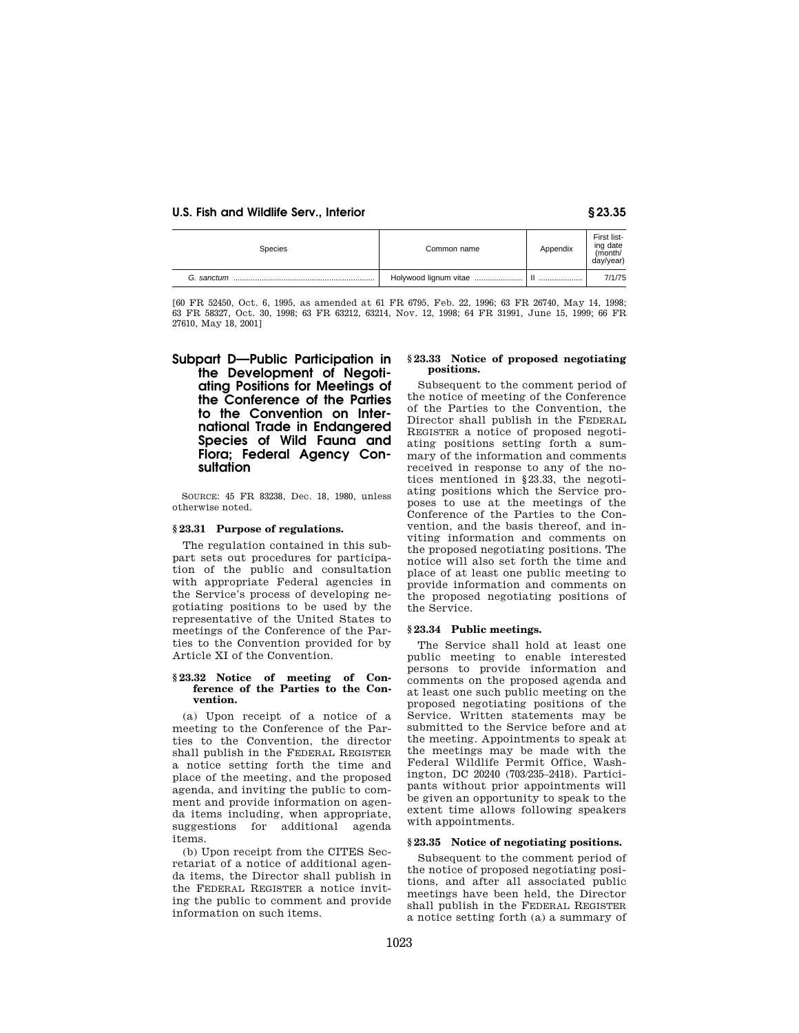| <b>Species</b> | Common name              | Appendix | First list-<br>ing date<br>(month/<br>day/year) |
|----------------|--------------------------|----------|-------------------------------------------------|
|                | Holywood lignum vitae  I | . II     | 7/1/75                                          |

[60 FR 52450, Oct. 6, 1995, as amended at 61 FR 6795, Feb. 22, 1996; 63 FR 26740, May 14, 1998; 63 FR 58327, Oct. 30, 1998; 63 FR 63212, 63214, Nov. 12, 1998; 64 FR 31991, June 15, 1999; 66 FR 27610, May 18, 2001]

**Subpart D—Public Participation in the Development of Negotiating Positions for Meetings of the Conference of the Parties to the Convention on International Trade in Endangered Species of Wild Fauna and Flora; Federal Agency Consultation**

SOURCE: 45 FR 83238, Dec. 18, 1980, unless otherwise noted.

# **§ 23.31 Purpose of regulations.**

The regulation contained in this subpart sets out procedures for participation of the public and consultation with appropriate Federal agencies in the Service's process of developing negotiating positions to be used by the representative of the United States to meetings of the Conference of the Parties to the Convention provided for by Article XI of the Convention.

### **§ 23.32 Notice of meeting of Conference of the Parties to the Convention.**

(a) Upon receipt of a notice of a meeting to the Conference of the Parties to the Convention, the director shall publish in the FEDERAL REGISTER a notice setting forth the time and place of the meeting, and the proposed agenda, and inviting the public to comment and provide information on agenda items including, when appropriate, suggestions for additional agenda items.

(b) Upon receipt from the CITES Secretariat of a notice of additional agenda items, the Director shall publish in the FEDERAL REGISTER a notice inviting the public to comment and provide information on such items.

## **§ 23.33 Notice of proposed negotiating positions.**

Subsequent to the comment period of the notice of meeting of the Conference of the Parties to the Convention, the Director shall publish in the FEDERAL REGISTER a notice of proposed negotiating positions setting forth a summary of the information and comments received in response to any of the notices mentioned in § 23.33, the negotiating positions which the Service proposes to use at the meetings of the Conference of the Parties to the Convention, and the basis thereof, and inviting information and comments on the proposed negotiating positions. The notice will also set forth the time and place of at least one public meeting to provide information and comments on the proposed negotiating positions of the Service.

## **§ 23.34 Public meetings.**

The Service shall hold at least one public meeting to enable interested persons to provide information and comments on the proposed agenda and at least one such public meeting on the proposed negotiating positions of the Service. Written statements may be submitted to the Service before and at the meeting. Appointments to speak at the meetings may be made with the Federal Wildlife Permit Office, Washington, DC 20240 (703/235–2418). Participants without prior appointments will be given an opportunity to speak to the extent time allows following speakers with appointments.

## **§ 23.35 Notice of negotiating positions.**

Subsequent to the comment period of the notice of proposed negotiating positions, and after all associated public meetings have been held, the Director shall publish in the FEDERAL REGISTER a notice setting forth (a) a summary of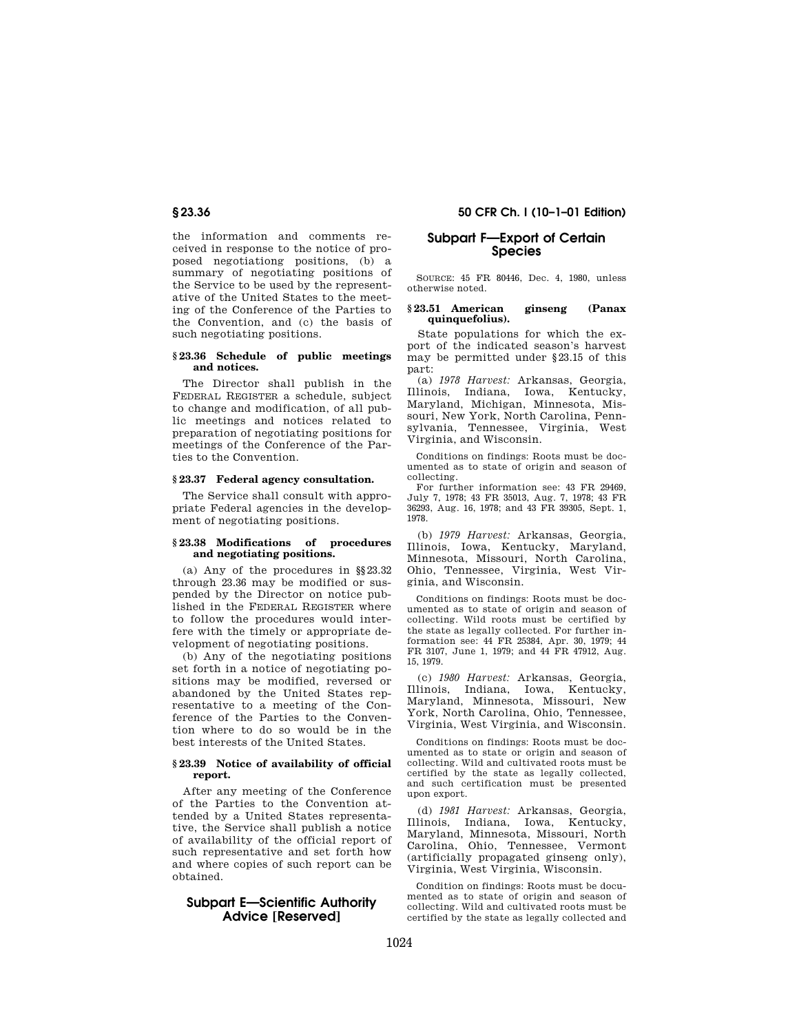the information and comments received in response to the notice of proposed negotiationg positions, (b) a summary of negotiating positions of the Service to be used by the representative of the United States to the meeting of the Conference of the Parties to the Convention, and (c) the basis of such negotiating positions.

## **§ 23.36 Schedule of public meetings and notices.**

The Director shall publish in the FEDERAL REGISTER a schedule, subject to change and modification, of all public meetings and notices related to preparation of negotiating positions for meetings of the Conference of the Parties to the Convention.

## **§ 23.37 Federal agency consultation.**

The Service shall consult with appropriate Federal agencies in the development of negotiating positions.

# **§ 23.38 Modifications of procedures and negotiating positions.**

(a) Any of the procedures in §§ 23.32 through 23.36 may be modified or suspended by the Director on notice published in the FEDERAL REGISTER where to follow the procedures would interfere with the timely or appropriate development of negotiating positions.

(b) Any of the negotiating positions set forth in a notice of negotiating positions may be modified, reversed or abandoned by the United States representative to a meeting of the Conference of the Parties to the Convention where to do so would be in the best interests of the United States.

## **§ 23.39 Notice of availability of official report.**

After any meeting of the Conference of the Parties to the Convention attended by a United States representative, the Service shall publish a notice of availability of the official report of such representative and set forth how and where copies of such report can be obtained.

# **Subpart E—Scientific Authority Advice [Reserved]**

# **§ 23.36 50 CFR Ch. I (10–1–01 Edition)**

## **Subpart F—Export of Certain Species**

SOURCE: 45 FR 80446, Dec. 4, 1980, unless otherwise noted.

## **§ 23.51 American ginseng (Panax quinquefolius).**

State populations for which the export of the indicated season's harvest may be permitted under § 23.15 of this part:

(a) *1978 Harvest:* Arkansas, Georgia, Illinois, Indiana, Iowa, Kentucky, Maryland, Michigan, Minnesota, Missouri, New York, North Carolina, Pennsylvania, Tennessee, Virginia, West Virginia, and Wisconsin.

Conditions on findings: Roots must be documented as to state of origin and season of collecting.

For further information see: 43 FR 29469, July 7, 1978; 43 FR 35013, Aug. 7, 1978; 43 FR 36293, Aug. 16, 1978; and 43 FR 39305, Sept. 1, 1978.

(b) *1979 Harvest:* Arkansas, Georgia, Illinois, Iowa, Kentucky, Maryland, Minnesota, Missouri, North Carolina, Ohio, Tennessee, Virginia, West Virginia, and Wisconsin.

Conditions on findings: Roots must be documented as to state of origin and season of collecting. Wild roots must be certified by the state as legally collected. For further information see: 44 FR 25384, Apr. 30, 1979; 44 FR 3107, June 1, 1979; and 44 FR 47912, Aug. 15, 1979.

(c) *1980 Harvest:* Arkansas, Georgia, Illinois, Indiana, Iowa, Kentucky, Maryland, Minnesota, Missouri, New York, North Carolina, Ohio, Tennessee, Virginia, West Virginia, and Wisconsin.

Conditions on findings: Roots must be documented as to state or origin and season of collecting. Wild and cultivated roots must be certified by the state as legally collected, and such certification must be presented upon export.

(d) *1981 Harvest:* Arkansas, Georgia, Illinois, Indiana, Iowa, Kentucky, Maryland, Minnesota, Missouri, North Carolina, Ohio, Tennessee, Vermont (artificially propagated ginseng only), Virginia, West Virginia, Wisconsin.

Condition on findings: Roots must be documented as to state of origin and season of collecting. Wild and cultivated roots must be certified by the state as legally collected and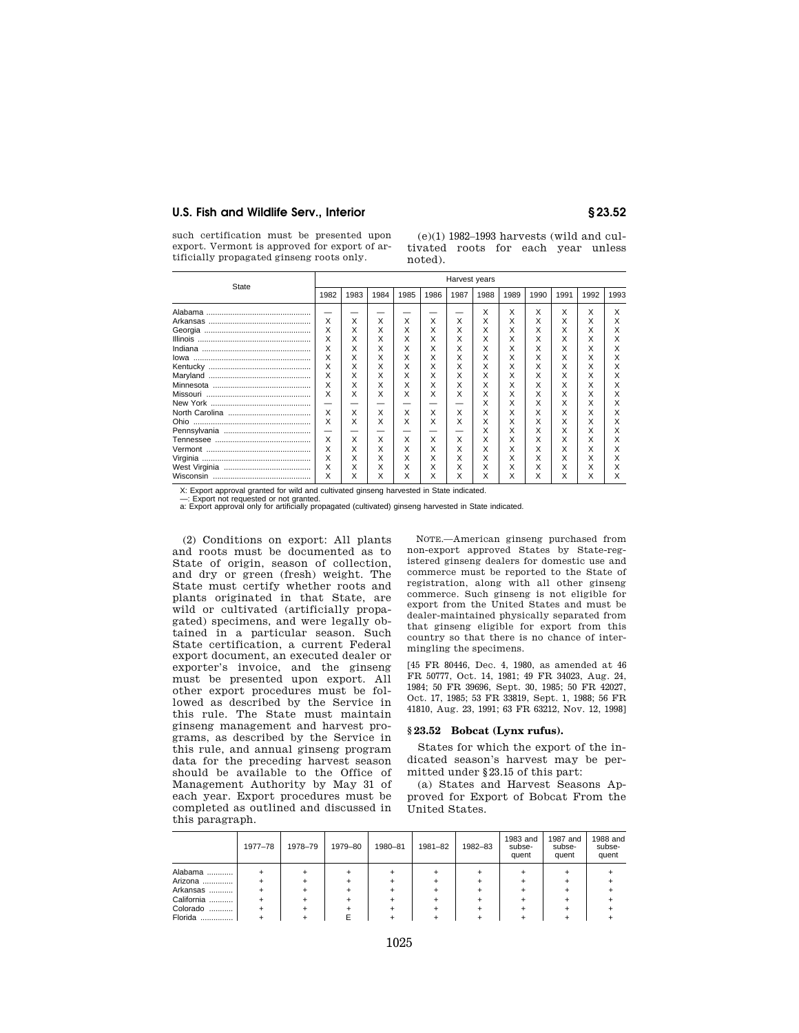## such certification must be presented upon export. Vermont is approved for export of artificially propagated ginseng roots only.

# $(e)(1)$  1982–1993 harvests (wild and cultivated roots for each year unless noted).

|           | Harvest years |      |      |      |      |      |      |      |      |      |      |      |
|-----------|---------------|------|------|------|------|------|------|------|------|------|------|------|
| State     | 1982          | 1983 | 1984 | 1985 | 1986 | 1987 | 1988 | 1989 | 1990 | 1991 | 1992 | 1993 |
| Alabama   |               |      |      |      |      |      | x    | X    | x    | X    | X    | x    |
| Arkansas  | X             | X    | X    | X    | X    | X    | X    | X    | х    | X    | X    | x    |
| Georgia   | X             | X    | X    | Χ    | x    | X    | X    | X    | x    | X    | X    | x    |
| Illinois  | x             | х    | Χ    | x    | X    | x    | X    | x    | х    | X    | X    | х    |
| Indiana   | x             | X    | Χ    | X    | x    | x    | X    | x    | x    | Χ    | X    | x    |
| lowa      | x             | x    | X    | x    | x    | X    | x    | X    | X    | X    | X    | x    |
|           | X             | х    | X    | X    | x    | x    | X    | x    | х    | X    | x    | х    |
|           | X             | X    | Χ    | x    | x    | x    | x    | x    | x    | X    | X    | x    |
| Minnesota | X             | X    | Χ    | X    | x    | X    | x    | X    | x    | X    | x    | x    |
| Missouri  | X             | X    | X    | x    | x    | x    | X    | X    | х    | Χ    | x    | x    |
| New York  |               |      |      |      |      |      | X    | X    | х    | X    | X    | x    |
|           | X             | x    | X    | x    | X    | x    | x    | X    | x    | X    | x    | x    |
|           | X             | X    | X    | x    | x    | X    | x    | X    | х    | Χ    | x    | x    |
|           |               |      |      |      |      |      | X    | X    | x    | X    | x    | x    |
|           | X             | x    | X    | X    | X    | X    | x    | x    | x    | x    | x    | x    |
|           | x             | х    | Χ    | X    | x    | х    | x    | X    | х    | X    | х    | x    |
|           | X             | X    | Χ    | x    | x    | X    | X    | x    | x    | X    | X    | x    |
|           | X             | X    | x    | x    | x    | X    | X    | x    | x    | x    | x    | x    |
|           | x             | X    | Χ    | X    | х    | л    | х    | X    | х    | X    | х    | л    |

X: Export approval granted for wild and cultivated ginseng harvested in State indicated.<br>—: Export not requested or not granted.<br>a: Export approval only for artificially propagated (cultivated) ginseng harvested in State

(2) Conditions on export: All plants and roots must be documented as to State of origin, season of collection, and dry or green (fresh) weight. The State must certify whether roots and plants originated in that State, are wild or cultivated (artificially propagated) specimens, and were legally obtained in a particular season. Such State certification, a current Federal export document, an executed dealer or exporter's invoice, and the ginseng must be presented upon export. All other export procedures must be followed as described by the Service in this rule. The State must maintain ginseng management and harvest programs, as described by the Service in this rule, and annual ginseng program data for the preceding harvest season should be available to the Office of Management Authority by May 31 of each year. Export procedures must be completed as outlined and discussed in this paragraph.

NOTE.—American ginseng purchased from non-export approved States by State-registered ginseng dealers for domestic use and commerce must be reported to the State of registration, along with all other ginseng commerce. Such ginseng is not eligible for export from the United States and must be dealer-maintained physically separated from that ginseng eligible for export from this country so that there is no chance of intermingling the specimens.

[45 FR 80446, Dec. 4, 1980, as amended at 46 FR 50777, Oct. 14, 1981; 49 FR 34023, Aug. 24, 1984; 50 FR 39696, Sept. 30, 1985; 50 FR 42027, Oct. 17, 1985; 53 FR 33819, Sept. 1, 1988; 56 FR 41810, Aug. 23, 1991; 63 FR 63212, Nov. 12, 1998]

## **§ 23.52 Bobcat (Lynx rufus).**

States for which the export of the indicated season's harvest may be permitted under § 23.15 of this part:

(a) States and Harvest Seasons Approved for Export of Bobcat From the United States.

|            | 1977-78 | 1978-79 | 1979-80 | 1980-81 | 1981-82 | 1982-83 | 1983 and<br>subse-<br>quent | 1987 and<br>subse-<br>quent | 1988 and<br>subse-<br>quent |
|------------|---------|---------|---------|---------|---------|---------|-----------------------------|-----------------------------|-----------------------------|
| Alabama    |         |         |         |         |         |         |                             |                             |                             |
| Arizona    |         |         |         |         |         |         |                             |                             |                             |
| Arkansas   |         |         |         |         |         |         |                             |                             |                             |
| California |         |         |         |         |         |         |                             |                             |                             |
| Colorado   |         |         |         |         |         |         |                             |                             |                             |
| Florida    |         |         |         |         |         |         |                             |                             |                             |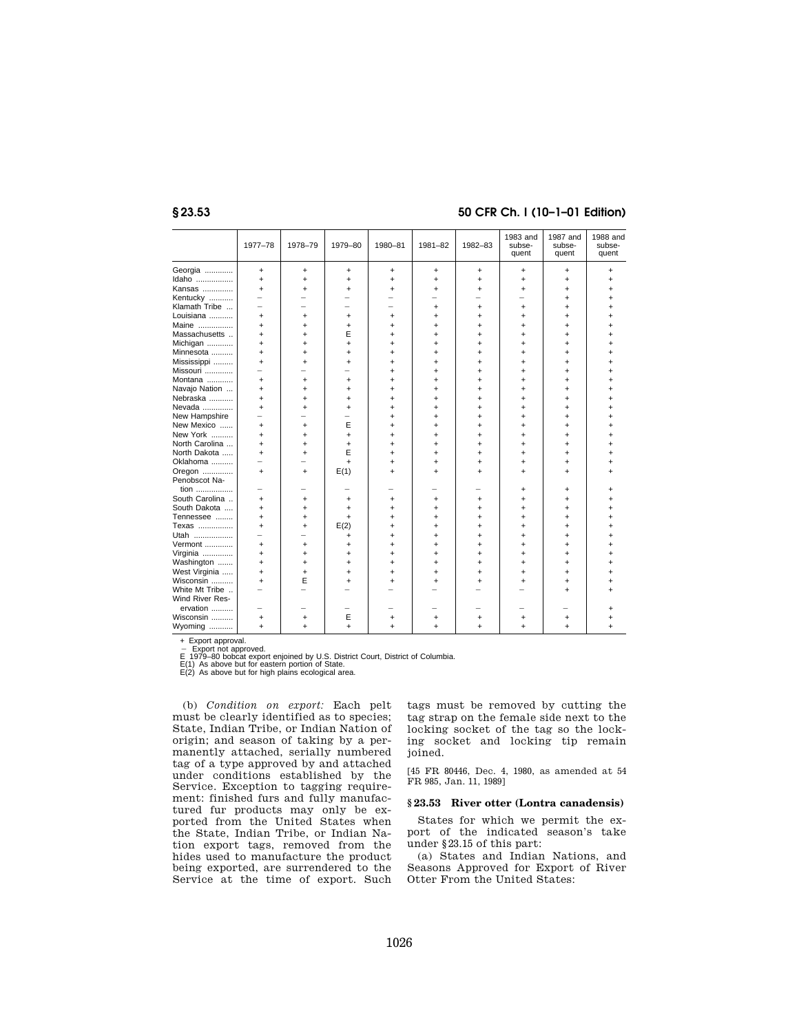|                 | 1977-78                  | 1978-79                | 1979-80   | 1980-81                | 1981-82   | 1982-83   | 1983 and<br>subse-<br>quent | 1987 and<br>subse-<br>quent | 1988 and<br>subse-<br>quent |
|-----------------|--------------------------|------------------------|-----------|------------------------|-----------|-----------|-----------------------------|-----------------------------|-----------------------------|
| Georgia         | $\ddot{}$                | $\ddot{}$              | $\ddot{}$ | $\ddot{}$              | +         | $\ddot{}$ | $\ddot{}$                   | $\ddot{}$                   | $\ddot{}$                   |
| Idaho           | $\ddot{}$                | $\ddot{}$              | $\ddot{}$ | $\ddot{}$              | $\ddot{}$ | $\ddot{}$ | $\ddot{}$                   | $\ddot{}$                   | $\ddot{}$                   |
| Kansas          | $\ddot{}$                | $\ddot{}$              | $\ddot{}$ | $\ddot{}$              | $\ddot{}$ | $\ddot{}$ | $\ddot{}$                   | $\ddot{}$                   | $\ddot{}$                   |
| Kentucky        |                          |                        |           |                        |           |           |                             | $\ddot{}$                   | $\ddot{}$                   |
| Klamath Tribe   | $\overline{\phantom{0}}$ |                        |           |                        | $\ddot{}$ | $\ddot{}$ | $\ddot{}$                   | $\ddot{}$                   | $\ddot{}$                   |
| Louisiana       | $\ddot{}$                | $\ddot{}$              | $\ddot{}$ | $\ddot{}$              | $\ddot{}$ | $\ddot{}$ | $\ddot{}$                   | $\ddot{}$                   | $\ddot{}$                   |
| Maine           | $\ddot{}$                | $\ddot{}$              | $\ddot{}$ | $\ddot{}$              | $\ddot{}$ | $\ddot{}$ | $\ddot{}$                   | $\ddot{}$                   | $\ddot{}$                   |
| Massachusetts   | $\ddot{}$                | $\ddot{}$              | E         | $\ddot{}$              | $\ddot{}$ | $\ddot{}$ | $\ddot{}$                   | $\ddot{}$                   | $\ddot{}$                   |
| Michigan        | $\ddot{}$                | $\ddot{}$              | $\ddot{}$ | $\ddot{}$              | $\ddot{}$ | $\ddot{}$ | ÷.                          | $\ddot{}$                   | $\ddot{}$                   |
| Minnesota       | $\ddot{}$                | $\ddot{}$              | $\ddot{}$ | $\ddot{}$              | $\ddot{}$ | $\ddot{}$ | $\ddot{}$                   | $\ddot{}$                   | $\ddot{}$                   |
| Mississippi     | $\ddot{}$                | $\ddot{}$              | $\ddot{}$ | ÷.                     | $\ddot{}$ | $\ddot{}$ | $\ddot{}$                   | $\ddot{}$                   | $\ddot{}$                   |
| Missouri        |                          |                        |           | $\ddot{}$              | $\ddot{}$ | $\ddot{}$ | $\ddot{}$                   | $\ddot{}$                   | $\ddot{}$                   |
| Montana         | $\ddot{}$                | $\ddot{}$              | $\ddot{}$ | $\ddot{}$              | $\ddot{}$ | $\ddot{}$ | $\ddot{}$                   | $\ddot{}$                   | $\ddot{}$                   |
| Navajo Nation   | $\ddot{}$                | $\ddot{}$              | $\ddot{}$ | $\ddot{}$              | $\ddot{}$ | $\ddot{}$ | ÷.                          | $\ddot{}$                   | $\ddot{}$                   |
| Nebraska        |                          |                        |           |                        |           |           |                             |                             |                             |
| Nevada          | $\ddot{}$                | $\ddot{}$<br>$\ddot{}$ | $\ddot{}$ | $\ddot{}$<br>$\ddot{}$ | $\ddot{}$ | $\ddot{}$ | $\ddot{}$<br>$\ddot{}$      | $\ddot{}$<br>$\ddot{}$      | $\ddot{}$<br>$\ddot{}$      |
|                 | $\ddot{}$                |                        | $\ddot{}$ |                        | $\ddot{}$ | $\ddot{}$ |                             |                             |                             |
| New Hampshire   |                          |                        |           | $\ddot{}$              | $\ddot{}$ | $\ddot{}$ | $\ddot{}$                   | $\ddot{}$                   | $\ddot{}$                   |
| New Mexico      | $\ddot{}$                | $\ddot{}$              | E         | $\ddot{}$              | $\ddot{}$ | $\ddot{}$ | $\ddot{}$                   | $\ddot{}$                   | $\ddot{}$                   |
| New York        | $\ddot{}$                | $\ddot{}$              | $\ddot{}$ | $\ddot{}$              | $\ddot{}$ | $\ddot{}$ | $\ddot{}$                   | $\ddot{}$                   | $\ddot{}$                   |
| North Carolina  | $\ddot{}$                | $\ddot{}$              | $\ddot{}$ | $\ddot{}$              | $\ddot{}$ | $\ddot{}$ | $\ddot{}$                   | $\ddot{}$                   | $\ddot{}$                   |
| North Dakota    | $\ddot{}$                | $\ddot{}$              | E         | $\ddot{}$              | $\ddot{}$ | $\ddot{}$ | $\ddot{}$                   | $\ddot{}$                   | $\ddot{}$                   |
| Oklahoma        | $\overline{\phantom{0}}$ |                        | $\ddot{}$ | $\ddot{}$              | $\ddot{}$ | $\ddot{}$ | $\ddot{}$                   | $\ddot{}$                   | $\ddot{}$                   |
| Oregon          | $\ddot{}$                | $\ddot{}$              | E(1)      | $\ddot{}$              | $\ddot{}$ | $\ddot{}$ | $\ddot{}$                   | $\ddot{}$                   | $\ddot{}$                   |
| Penobscot Na-   |                          |                        |           |                        |           |           |                             |                             |                             |
| tion            |                          |                        |           |                        |           |           | +                           | $\ddot{}$                   | $\ddot{}$                   |
| South Carolina  | $\ddot{}$                | $\ddot{}$              | +         | $\ddot{}$              | $\ddot{}$ | $\ddot{}$ | $\ddot{}$                   | $\ddot{}$                   | $\ddot{}$                   |
| South Dakota    | $\ddot{}$                | $\ddot{}$              | $\ddot{}$ | $\ddot{}$              | $\ddot{}$ | $\ddot{}$ | $\ddot{}$                   | $\ddot{}$                   | $\ddot{}$                   |
| Tennessee       | $\ddot{}$                | $\ddot{}$              | $\ddot{}$ | $\ddot{}$              | $\ddot{}$ | $\ddot{}$ | $\ddot{}$                   | $\ddot{}$                   | $\ddot{}$                   |
| Texas           | $\ddot{}$                | $\ddot{}$              | E(2)      | $\ddot{}$              | $\ddot{}$ | $\ddot{}$ | $\ddot{}$                   | $\ddot{}$                   | $\ddot{}$                   |
| Utah            |                          |                        | +         | $\ddot{}$              | $\ddot{}$ | $\ddot{}$ | $\ddot{}$                   | $\ddot{}$                   | $\ddot{}$                   |
| Vermont         | $\ddot{}$                | $\ddot{}$              | $\ddot{}$ | ÷.                     | $\ddot{}$ | $\ddot{}$ | $\ddot{}$                   | $\ddot{}$                   | $\ddot{}$                   |
| Virginia        | $\ddot{}$                | $\ddot{}$              | $\ddot{}$ | $\ddot{}$              | $\ddot{}$ | $\ddot{}$ | $\ddot{}$                   | $\ddot{}$                   | $\ddot{}$                   |
| Washington      | $\ddot{}$                | $\ddot{}$              | $\ddot{}$ | $\ddot{}$              | $\ddot{}$ | $\ddot{}$ | $\ddot{}$                   | $\ddot{}$                   | $\ddot{}$                   |
| West Virginia   | $\ddot{}$                | $\ddot{}$              | $\ddot{}$ | $\ddot{}$              | $\ddot{}$ | $\ddot{}$ | $\ddot{}$                   | $\ddot{}$                   | $\ddot{}$                   |
| Wisconsin       | $\ddot{}$                | E                      | $\ddot{}$ | $\ddot{}$              | $\ddot{}$ | $\ddot{}$ | $\ddot{}$                   | $\ddot{}$                   | $\ddot{}$                   |
| White Mt Tribe  |                          |                        |           |                        |           |           |                             | $\ddot{}$                   | $\ddot{}$                   |
| Wind River Res- |                          |                        |           |                        |           |           |                             |                             |                             |
| ervation        |                          |                        |           |                        |           |           |                             |                             |                             |
| Wisconsin       | $\ddot{}$                | $\ddot{}$              | E         | $\ddot{}$              | $\ddot{}$ | +         | $\ddot{}$                   | $\ddot{}$                   |                             |
| Wyoming         | $\ddot{}$                | $\ddot{}$              | $\ddot{}$ | $\ddot{}$              | $\ddot{}$ | $\ddot{}$ | $+$                         | $\ddot{}$                   | $\ddot{}$                   |

+ Export approval.

¥ Export not approved. E 1979–80 bobcat export enjoined by U.S. District Court, District of Columbia. E(1) As above but for eastern portion of State. E(2) As above but for high plains ecological area.

(b) *Condition on export:* Each pelt must be clearly identified as to species; State, Indian Tribe, or Indian Nation of origin; and season of taking by a permanently attached, serially numbered tag of a type approved by and attached under conditions established by the Service. Exception to tagging requirement: finished furs and fully manufactured fur products may only be exported from the United States when the State, Indian Tribe, or Indian Nation export tags, removed from the hides used to manufacture the product being exported, are surrendered to the Service at the time of export. Such

tags must be removed by cutting the tag strap on the female side next to the locking socket of the tag so the locking socket and locking tip remain joined.

[45 FR 80446, Dec. 4, 1980, as amended at 54 FR 985, Jan. 11, 1989]

# **§ 23.53 River otter (Lontra canadensis)**

States for which we permit the export of the indicated season's take under § 23.15 of this part:

(a) States and Indian Nations, and Seasons Approved for Export of River Otter From the United States: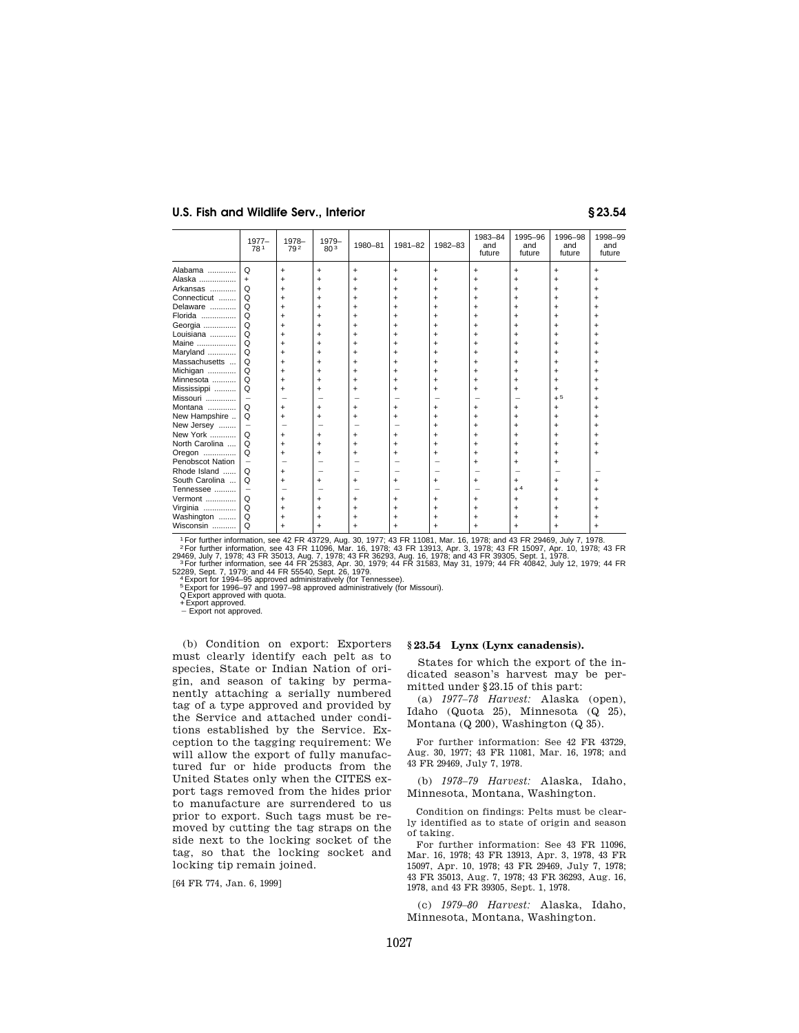|                  | $1977 -$<br>781          | 1978-<br>792 | 1979-<br>803 | 1980-81 | 1981-82   | 1982-83   | 1983-84<br>and<br>future | 1995-96<br>and<br>future | 1996-98<br>and<br>future | 1998-99<br>and<br>future |
|------------------|--------------------------|--------------|--------------|---------|-----------|-----------|--------------------------|--------------------------|--------------------------|--------------------------|
| Alabama          | Q                        | $\ddot{}$    | $\ddot{}$    | +       | $\ddot{}$ | $\ddot{}$ | $\ddot{}$                | +                        | $\ddot{}$                | $\ddot{}$                |
| Alaska           | $\ddot{}$                | +            | +            | +       | +         | +         | +                        | +                        |                          | $\ddot{}$                |
| Arkansas         | Q                        | +            |              | ٠       | $\ddot{}$ | $\ddot{}$ | $\ddot{}$                | +                        | +                        | $\ddot{}$                |
| Connecticut      | Q                        | +            |              |         | +         | $\ddot{}$ | $\ddot{}$                | +                        | +                        | $\ddot{}$                |
| Delaware         | O                        | +            |              | +       | +         | $\ddot{}$ | $\ddot{}$                | +                        | +                        | +                        |
| Florida          | Q                        | +            |              | +       | +         | $\ddot{}$ | +                        | +                        | +                        | +                        |
| Georgia          | Q                        | +            |              | +       | $\ddot{}$ | $\ddot{}$ | $\ddot{}$                | +                        | +                        | $\ddot{}$                |
| Louisiana        | Q                        | +            |              |         | $\ddot{}$ | $\ddot{}$ | $\ddot{}$                | $\ddot{}$                | ÷.                       | $\ddot{}$                |
| Maine            | Q                        | +            |              | +       | +         | +         | +                        | +                        | +                        | +                        |
| Maryland         | Q                        | +            |              | +       | +         | $\ddot{}$ | +                        | $\ddot{}$                | $\ddot{}$                | +                        |
| Massachusetts    | Q                        | +            |              |         | +         | $\ddot{}$ | $\ddot{}$                | +                        | +                        | $\ddot{}$                |
| Michigan         | Q                        | +            |              |         | $\ddot{}$ | $\ddot{}$ | $\ddot{}$                | ٠                        | ÷.                       | ÷.                       |
| Minnesota        | Q                        | $\ddot{}$    | +            | +       | $\ddot{}$ | $\ddot{}$ | $\ddot{}$                | +                        |                          | +                        |
| Mississippi      | Q                        | $\ddot{}$    | +            | +       | +         | $\ddot{}$ | +                        | $\ddot{}$                | +                        | $\ddot{}$                |
| Missouri         | $\overline{\phantom{0}}$ |              |              |         |           |           |                          |                          | $+$ $^5\,$               | ÷.                       |
| Montana          | Q                        | +            | +            | +       | +         | $\ddot{}$ | +                        | $\ddot{}$                | +                        | $\ddot{}$                |
| New Hampshire    | Q                        | $\ddot{}$    | +            | +       | $\ddot{}$ | $\ddot{}$ | $\ddot{}$                | $\ddot{}$                | +                        | $\ddot{}$                |
| New Jersey       | $\overline{\phantom{0}}$ |              |              |         |           | $\ddot{}$ | +                        | $\ddot{}$                | $\ddot{}$                | $\ddot{}$                |
| New York         | Q                        | +            | +            | +       | +         | $\ddot{}$ | $\ddot{}$                | $\ddot{}$                | +                        | $\ddot{}$                |
| North Carolina   | Q                        | +            |              | +       | +         | $\ddot{}$ | +                        | +                        | +                        | +                        |
| Oregon           | Q                        | $\ddot{}$    | +            | +       | $\ddot{}$ | $\ddot{}$ | $\ddot{}$                | +                        |                          | $\ddot{}$                |
| Penobscot Nation |                          |              |              |         |           |           | +                        | +                        | +                        |                          |
| Rhode Island     | O                        | +            |              |         |           |           |                          |                          |                          |                          |
| South Carolina   | Q                        | +            | +            | +       | +         | $\ddot{}$ | +                        | +                        | +                        | $\ddot{}$                |
| Tennessee        |                          |              |              |         |           |           |                          | $+^4$                    | $\ddot{}$                | $\ddot{}$                |
| Vermont          | Q                        | +            | +            | +       | +         | $\ddot{}$ | $\ddot{}$                | +                        | +                        | $\ddot{}$                |
| Virginia         | Q                        | +            |              | +       | +         | $\ddot{}$ | $\ddot{}$                | +                        | +                        | $\ddot{}$                |
| Washington       | Q                        | +            |              | +       | $\ddot{}$ | $\ddot{}$ | $\ddot{}$                | +                        |                          | $\ddot{}$                |
| Wisconsin        | Q                        | +            |              |         | $\ddot{}$ | $\ddot{}$ | +                        | +                        | +                        | $\ddot{}$                |

<sup>1</sup> For further information, see 42 FR 43729, Aug. 30, 1977; 43 FR 11081, Mar. 16, 1978; and 43 FR 29469, July 7, 1978.<br><sup>2</sup> For further information, see 43 FR 11096, Mar. 16, 1978; 43 FR 13913, Apr. 3, 1978; 43 FR 15097, A

52289, Sept. 7, 1979; and 44 FR 55540, Sept. 26, 1979.<br><sup>4</sup> Export for 1994–95 approved administratively (for Tennessee).<br>5Export for 1996–97 and 1997–98 approved administratively (for Missouri).

Q Export approved with quota.

+ Export approved. ¥Export not approved.

(b) Condition on export: Exporters must clearly identify each pelt as to species, State or Indian Nation of origin, and season of taking by permanently attaching a serially numbered tag of a type approved and provided by the Service and attached under conditions established by the Service. Exception to the tagging requirement: We will allow the export of fully manufactured fur or hide products from the United States only when the CITES export tags removed from the hides prior to manufacture are surrendered to us prior to export. Such tags must be removed by cutting the tag straps on the side next to the locking socket of the tag, so that the locking socket and locking tip remain joined.

[64 FR 774, Jan. 6, 1999]

## **§ 23.54 Lynx (Lynx canadensis).**

States for which the export of the indicated season's harvest may be permitted under § 23.15 of this part:

(a) *1977–78 Harvest:* Alaska (open), Idaho (Quota 25), Minnesota (Q 25), Montana (Q 200), Washington (Q 35).

For further information: See 42 FR 43729, Aug. 30, 1977; 43 FR 11081, Mar. 16, 1978; and 43 FR 29469, July 7, 1978.

(b) *1978–79 Harvest:* Alaska, Idaho, Minnesota, Montana, Washington.

Condition on findings: Pelts must be clearly identified as to state of origin and season of taking.

For further information: See 43 FR 11096, Mar. 16, 1978; 43 FR 13913, Apr. 3, 1978, 43 FR 15097, Apr. 10, 1978; 43 FR 29469, July 7, 1978; 43 FR 35013, Aug. 7, 1978; 43 FR 36293, Aug. 16, 1978, and 43 FR 39305, Sept. 1, 1978.

(c) *1979–80 Harvest:* Alaska, Idaho, Minnesota, Montana, Washington.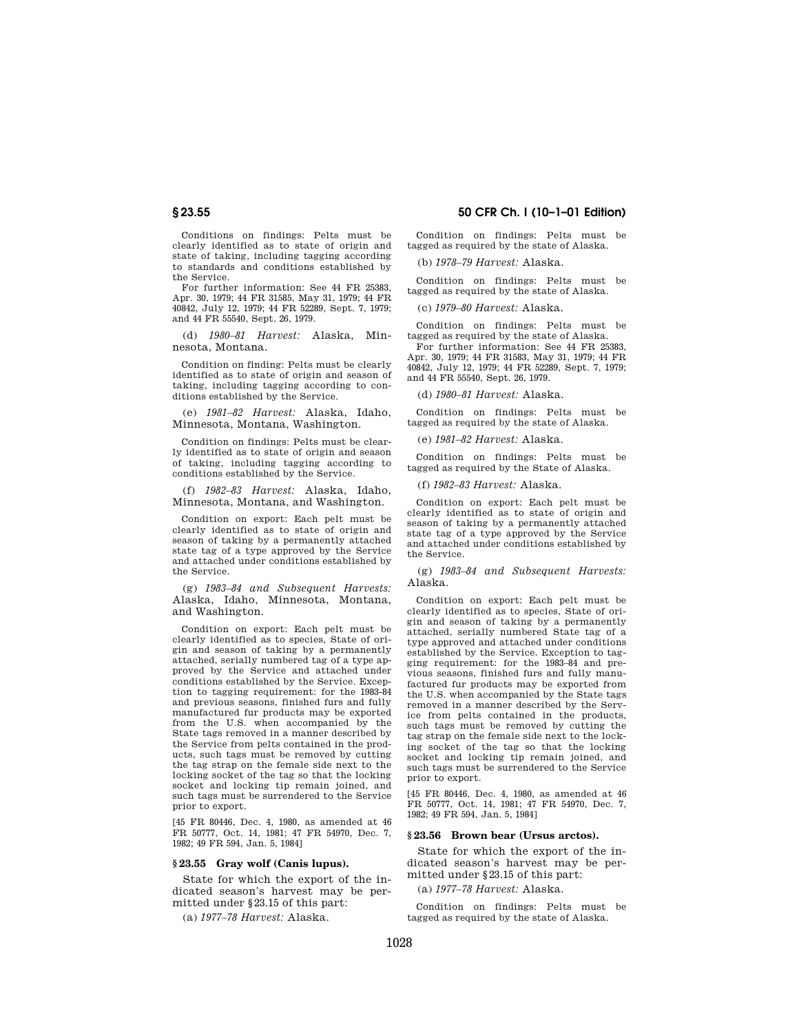Conditions on findings: Pelts must be clearly identified as to state of origin and state of taking, including tagging according to standards and conditions established by the Service.

For further information: See 44 FR 25383, Apr. 30, 1979; 44 FR 31585, May 31, 1979; 44 FR 40842, July 12, 1979; 44 FR 52289, Sept. 7, 1979; and 44 FR 55540, Sept. 26, 1979.

(d) *1980–81 Harvest:* Alaska, Minnesota, Montana.

Condition on finding: Pelts must be clearly identified as to state of origin and season of taking, including tagging according to conditions established by the Service.

(e) *1981–82 Harvest:* Alaska, Idaho, Minnesota, Montana, Washington.

Condition on findings: Pelts must be clearly identified as to state of origin and season of taking, including tagging according to conditions established by the Service.

(f) *1982–83 Harvest:* Alaska, Idaho, Minnesota, Montana, and Washington.

Condition on export: Each pelt must be clearly identified as to state of origin and season of taking by a permanently attached state tag of a type approved by the Service and attached under conditions established by the Service.

(g) *1983–84 and Subsequent Harvests:* Alaska, Idaho, Minnesota, Montana, and Washington.

Condition on export: Each pelt must be clearly identified as to species, State of origin and season of taking by a permanently attached, serially numbered tag of a type approved by the Service and attached under conditions established by the Service. Exception to tagging requirement: for the 1983-84 and previous seasons, finished furs and fully manufactured fur products may be exported from the U.S. when accompanied by the State tags removed in a manner described by the Service from pelts contained in the products, such tags must be removed by cutting the tag strap on the female side next to the locking socket of the tag so that the locking socket and locking tip remain joined, and such tags must be surrendered to the Service prior to export.

[45 FR 80446, Dec. 4, 1980, as amended at 46 FR 50777, Oct. 14, 1981; 47 FR 54970, Dec. 7, 1982; 49 FR 594, Jan. 5, 1984]

## **§ 23.55 Gray wolf (Canis lupus).**

State for which the export of the indicated season's harvest may be permitted under § 23.15 of this part:

(a) *1977–78 Harvest:* Alaska.

# **§ 23.55 50 CFR Ch. I (10–1–01 Edition)**

Condition on findings: Pelts must be tagged as required by the state of Alaska.

(b) *1978–79 Harvest:* Alaska.

Condition on findings: Pelts must be tagged as required by the state of Alaska.

(c) *1979–80 Harvest:* Alaska.

Condition on findings: Pelts must be tagged as required by the state of Alaska.

For further information: See 44 FR 25383, Apr. 30, 1979; 44 FR 31583, May 31, 1979; 44 FR 40842, July 12, 1979; 44 FR 52289, Sept. 7, 1979; and 44 FR 55540, Sept. 26, 1979.

(d) *1980–81 Harvest:* Alaska.

Condition on findings: Pelts must be tagged as required by the state of Alaska.

(e) *1981–82 Harvest:* Alaska.

Condition on findings: Pelts must be tagged as required by the State of Alaska.

(f) *1982–83 Harvest:* Alaska.

Condition on export: Each pelt must be clearly identified as to state of origin and season of taking by a permanently attached state tag of a type approved by the Service and attached under conditions established by the Service.

(g) *1983–84 and Subsequent Harvests:* Alaska.

Condition on export: Each pelt must be clearly identified as to species, State of origin and season of taking by a permanently attached, serially numbered State tag of a type approved and attached under conditions established by the Service. Exception to tagging requirement: for the 1983–84 and previous seasons, finished furs and fully manufactured fur products may be exported from the U.S. when accompanied by the State tags removed in a manner described by the Service from pelts contained in the products, such tags must be removed by cutting the tag strap on the female side next to the locking socket of the tag so that the locking socket and locking tip remain joined, and such tags must be surrendered to the Service prior to export.

[45 FR 80446, Dec. 4, 1980, as amended at 46 FR 50777, Oct. 14, 1981; 47 FR 54970, Dec. 7, 1982; 49 FR 594, Jan. 5, 1984]

## **§ 23.56 Brown bear (Ursus arctos).**

State for which the export of the indicated season's harvest may be permitted under § 23.15 of this part:

(a) *1977–78 Harvest:* Alaska.

Condition on findings: Pelts must be tagged as required by the state of Alaska.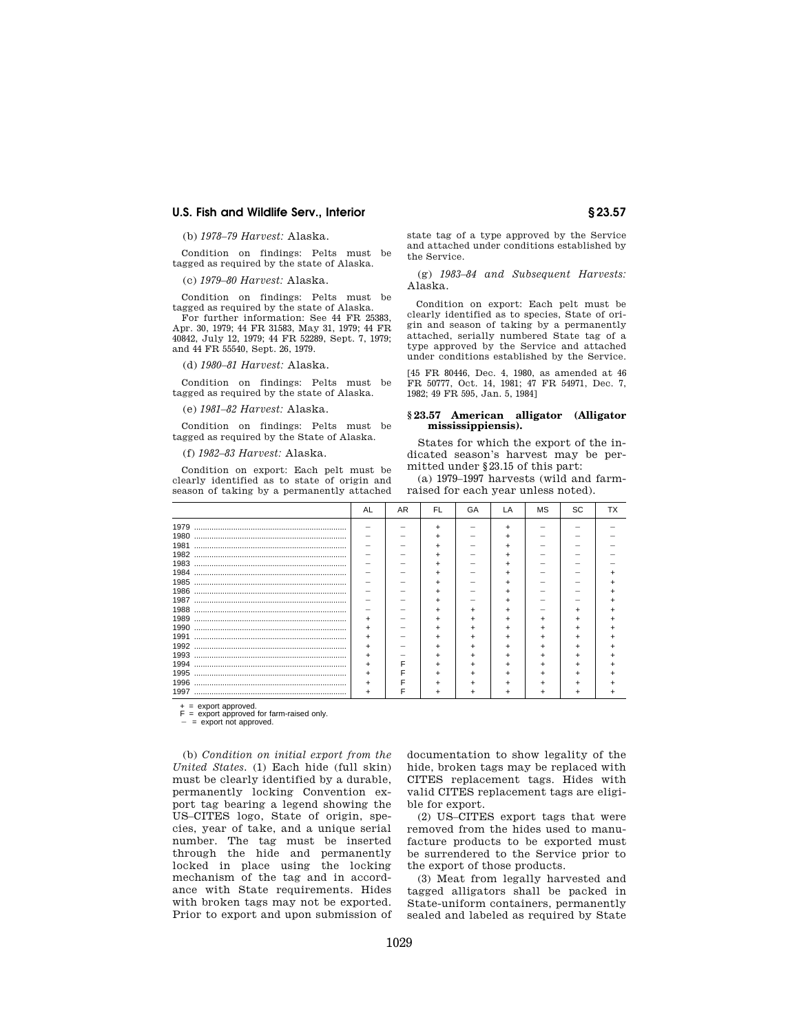(b) *1978–79 Harvest:* Alaska.

Condition on findings: Pelts must be tagged as required by the state of Alaska.

(c) *1979–80 Harvest:* Alaska.

Condition on findings: Pelts must be tagged as required by the state of Alaska.

For further information: See 44 FR 25383, Apr. 30, 1979; 44 FR 31583, May 31, 1979; 44 FR 40842, July 12, 1979; 44 FR 52289, Sept. 7, 1979; and 44 FR 55540, Sept. 26, 1979.

(d) *1980–81 Harvest:* Alaska.

Condition on findings: Pelts must be tagged as required by the state of Alaska.

(e) *1981–82 Harvest:* Alaska.

Condition on findings: Pelts must be tagged as required by the State of Alaska.

(f) *1982–83 Harvest:* Alaska.

Condition on export: Each pelt must be clearly identified as to state of origin and season of taking by a permanently attached

state tag of a type approved by the Service and attached under conditions established by the Service.

(g) *1983–84 and Subsequent Harvests:* Alaska.

Condition on export: Each pelt must be clearly identified as to species, State of origin and season of taking by a permanently attached, serially numbered State tag of a type approved by the Service and attached under conditions established by the Service.

[45 FR 80446, Dec. 4, 1980, as amended at 46 FR 50777, Oct. 14, 1981; 47 FR 54971, Dec. 7, 1982; 49 FR 595, Jan. 5, 1984]

## **§ 23.57 American alligator (Alligator mississippiensis).**

States for which the export of the indicated season's harvest may be permitted under § 23.15 of this part:

(a) 1979–1997 harvests (wild and farmraised for each year unless noted).

|      | AL        | AR. | FL | GA | LA | MS | SC | ТX |
|------|-----------|-----|----|----|----|----|----|----|
| 1979 |           |     |    |    |    |    |    |    |
| 1980 |           |     |    |    |    |    |    |    |
| 1981 |           |     |    |    |    |    |    |    |
| 1982 |           |     |    |    |    |    |    |    |
| 1983 |           |     |    |    |    |    |    |    |
| 1984 |           |     |    |    |    |    |    |    |
| 1985 |           |     |    |    |    |    |    |    |
| 1986 |           |     |    |    |    |    |    |    |
| 1987 |           |     |    |    |    |    |    |    |
| 1988 |           |     |    |    |    |    | +  |    |
| 1989 | $\ddot{}$ |     |    |    |    |    |    |    |
| 1990 | +         |     |    |    |    |    |    |    |
| 1991 | $\ddot{}$ |     |    |    |    |    | +  |    |
| 1992 | $\ddot{}$ |     |    |    |    |    |    |    |
| 1993 | $\ddot{}$ |     |    |    |    |    |    |    |
| 1994 | $\ddot{}$ |     |    |    |    |    | +  |    |
| 1995 | $\ddot{}$ |     |    |    |    |    |    |    |
| 1996 | +         |     |    |    |    |    |    |    |
|      | $\ddot{}$ |     |    |    | ٠  |    | ٠  |    |

= export approved.  $F =$  export approved for farm-raised only.

 $\overline{a}$ export not approved.

(b) *Condition on initial export from the United States.* (1) Each hide (full skin) must be clearly identified by a durable, permanently locking Convention export tag bearing a legend showing the US–CITES logo, State of origin, species, year of take, and a unique serial number. The tag must be inserted through the hide and permanently locked in place using the locking mechanism of the tag and in accordance with State requirements. Hides with broken tags may not be exported. Prior to export and upon submission of

documentation to show legality of the hide, broken tags may be replaced with CITES replacement tags. Hides with valid CITES replacement tags are eligible for export.

(2) US–CITES export tags that were removed from the hides used to manufacture products to be exported must be surrendered to the Service prior to the export of those products.

(3) Meat from legally harvested and tagged alligators shall be packed in State-uniform containers, permanently sealed and labeled as required by State